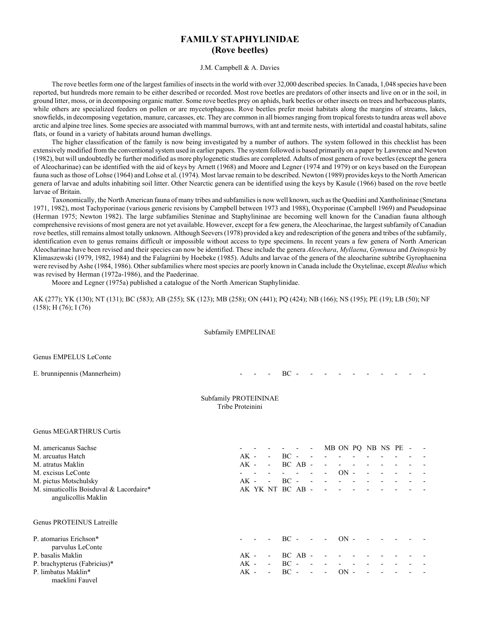# **FAMILY STAPHYLINIDAE (Rove beetles)**

J.M. Campbell & A. Davies

The rove beetles form one of the largest families of insects in the world with over 32,000 described species. In Canada, 1,048 species have been reported, but hundreds more remain to be either described or recorded. Most rove beetles are predators of other insects and live on or in the soil, in ground litter, moss, or in decomposing organic matter. Some rove beetles prey on aphids, bark beetles or other insects on trees and herbaceous plants, while others are specialized feeders on pollen or are mycetophagous. Rove beetles prefer moist habitats along the margins of streams, lakes, snowfields, in decomposing vegetation, manure, carcasses, etc. They are common in all biomes ranging from tropical forests to tundra areas well above arctic and alpine tree lines. Some species are associated with mammal burrows, with ant and termite nests, with intertidal and coastal habitats, saline flats, or found in a variety of habitats around human dwellings.

The higher classification of the family is now being investigated by a number of authors. The system followed in this checklist has been extensively modified from the conventional system used in earlier papers. The system followed is based primarily on a paper by Lawrence and Newton (1982), but will undoubtedly be further modified as more phylogenetic studies are completed. Adults of most genera of rove beetles (except the genera of Aleocharinae) can be identified with the aid of keys by Arnett (1968) and Moore and Legner (1974 and 1979) or on keys based on the European fauna such as those of Lohse (1964) and Lohse et al. (1974). Most larvae remain to be described. Newton (1989) provides keys to the North American genera of larvae and adults inhabiting soil litter. Other Nearctic genera can be identified using the keys by Kasule (1966) based on the rove beetle larvae of Britain.

Taxonomically, the North American fauna of many tribes and subfamilies is now well known, such as the Quediini and Xantholininae (Smetana 1971, 1982), most Tachyporinae (various generic revisions by Campbell between 1973 and 1988), Oxyporinae (Campbell 1969) and Pseudopsinae (Herman 1975; Newton 1982). The large subfamilies Steninae and Staphylininae are becoming well known for the Canadian fauna although comprehensive revisions of most genera are not yet available. However, except for a few genera, the Aleocharinae, the largest subfamily of Canadian rove beetles, still remains almost totally unknown. Although Seevers (1978) provided a key and redescription of the genera and tribes of the subfamily, identification even to genus remains difficult or impossible without access to type specimens. In recent years a few genera of North American Aleocharinae have been revised and their species can now be identified. These include the genera *Aleochara*, *Myllaena*, *Gymnusa* and *Deinopsis* by Klimaszewski (1979, 1982, 1984) and the Falagriini by Hoebeke (1985). Adults and larvae of the genera of the aleocharine subtribe Gyrophaenina were revised by Ashe (1984, 1986). Other subfamilies where most species are poorly known in Canada include the Oxytelinae, except *Bledius* which was revised by Herman (1972a-1986), and the Paederinae.

Moore and Legner (1975a) published a catalogue of the North American Staphylinidae.

AK (277); YK (130); NT (131); BC (583); AB (255); SK (123); MB (258); ON (441); PQ (424); NB (166); NS (195); PE (19); LB (50); NF (158); H (76); I (76)

#### Subfamily EMPELINAE

Genus EMPELUS LeConte

E. brunnipennis (Mannerheim) - - - BC - - - - - -

#### Subfamily PROTEININAE Tribe Proteinini

#### Genus MEGARTHRUS Curtis

| M. americanus Sachse                                            |        |                          |                  |             | $\overline{\phantom{a}}$ |                          | MB ON PQ NB NS PE - |                |  |  |
|-----------------------------------------------------------------|--------|--------------------------|------------------|-------------|--------------------------|--------------------------|---------------------|----------------|--|--|
| M. arcuatus Hatch                                               | $AK -$ | $\sim$                   | $BC -$           |             | $\sim$                   |                          |                     |                |  |  |
| M. atratus Maklin                                               | $AK -$ | $\overline{\phantom{a}}$ |                  | $BC$ $AB$ - |                          | $\overline{\phantom{a}}$ |                     |                |  |  |
| M. excisus LeConte                                              |        |                          |                  | $\sim$      | $\overline{\phantom{a}}$ | $\overline{\phantom{a}}$ | $ON -$              | $\overline{a}$ |  |  |
| M. pictus Motschulsky                                           | $AK -$ | $\blacksquare$           | $BC -$           |             | $\sim$ $-$               | $\overline{\phantom{0}}$ |                     |                |  |  |
| M. sinuaticollis Boisduval & Lacordaire*<br>angulicollis Maklin |        |                          | AK YK NT BC AB - |             |                          |                          |                     |                |  |  |
| Genus PROTEINUS Latreille                                       |        |                          |                  |             |                          |                          |                     |                |  |  |
| P. atomarius Erichson*<br>parvulus LeConte                      |        |                          | – BC –           |             | $\sim$                   | $\sim$                   | $ON -$              |                |  |  |
| P. basalis Maklin                                               | $AK -$ | $\overline{\phantom{a}}$ | $BC$ $AB$ -      |             |                          |                          |                     |                |  |  |
| P. brachypterus (Fabricius)*                                    | $AK -$ | $\overline{\phantom{a}}$ | $BC -$           |             | $\sim$                   |                          |                     |                |  |  |
| P. limbatus Maklin*<br>maeklini Fauvel                          | $AK -$ | $\sim$                   | $BC -$           |             | $\sim$ $-$               | $\overline{\phantom{a}}$ | $ON -$              |                |  |  |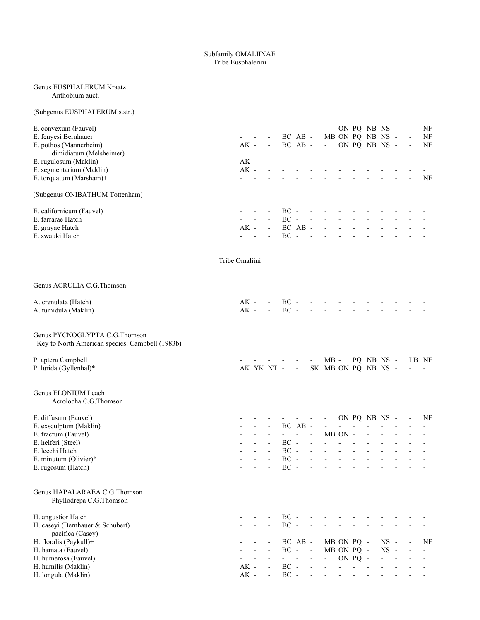#### Subfamily OMALIINAE Tribe Eusphalerini

#### Genus EUSPHALERUM Kraatz Anthobium auct.

# (Subgenus EUSPHALERUM s.str.)

| E. convexum (Fauvel)<br>E. fenyesi Bernhauer<br>E. pothos (Mannerheim)<br>dimidiatum (Melsheimer)<br>E. rugulosum (Maklin)<br>E. segmentarium (Maklin)<br>E. torquatum (Marsham)+ |                | $AK -$<br>$AK -$<br>$AK -$ | $\overline{a}$ | $\overline{\phantom{a}}$<br>$\blacksquare$ |                                                             | BC AB -<br>BC AB -      |                                                              | $\overline{\phantom{a}}$<br>$\sim$       |                                     |                | ON PQ NB NS -<br>MB ON PQ NB NS -<br>ON PQ NB NS - |  | $\overline{\phantom{a}}$ | NF<br>NF<br>NF<br>$\overline{\phantom{0}}$<br><b>NF</b> |
|-----------------------------------------------------------------------------------------------------------------------------------------------------------------------------------|----------------|----------------------------|----------------|--------------------------------------------|-------------------------------------------------------------|-------------------------|--------------------------------------------------------------|------------------------------------------|-------------------------------------|----------------|----------------------------------------------------|--|--------------------------|---------------------------------------------------------|
| (Subgenus ONIBATHUM Tottenham)                                                                                                                                                    |                |                            |                |                                            |                                                             |                         |                                                              |                                          |                                     |                |                                                    |  |                          |                                                         |
| E. californicum (Fauvel)<br>E. farrarae Hatch<br>E. grayae Hatch<br>E. swauki Hatch                                                                                               |                | $AK -$                     | $\overline{a}$ | $\Box$                                     | $BC -$<br>$BC -$<br>$BC -$                                  | BC AB -                 | $\overline{\phantom{a}}$<br>$\overline{\phantom{a}}$         | $\overline{\phantom{a}}$                 |                                     |                |                                                    |  |                          |                                                         |
|                                                                                                                                                                                   | Tribe Omaliini |                            |                |                                            |                                                             |                         |                                                              |                                          |                                     |                |                                                    |  |                          |                                                         |
| Genus ACRULIA C.G. Thomson                                                                                                                                                        |                |                            |                |                                            |                                                             |                         |                                                              |                                          |                                     |                |                                                    |  |                          |                                                         |
| A. crenulata (Hatch)<br>A. tumidula (Maklin)                                                                                                                                      |                | $AK -$<br>$AK -$           |                | $\sim$                                     | $BC -$<br>$BC -$                                            |                         |                                                              |                                          |                                     |                |                                                    |  |                          |                                                         |
| Genus PYCNOGLYPTA C.G.Thomson<br>Key to North American species: Campbell (1983b)                                                                                                  |                |                            |                |                                            |                                                             |                         |                                                              |                                          |                                     |                |                                                    |  |                          |                                                         |
| P. aptera Campbell<br>P. lurida (Gyllenhal)*                                                                                                                                      |                |                            |                | AK YK NT -                                 |                                                             | $\sim$                  |                                                              | $MB -$<br>SK MB ON PQ NB NS -            |                                     |                | PO NB NS -                                         |  | LB NF                    |                                                         |
| Genus ELONIUM Leach<br>Acrolocha C.G.Thomson                                                                                                                                      |                |                            |                |                                            |                                                             |                         |                                                              |                                          |                                     |                |                                                    |  |                          |                                                         |
| E. diffusum (Fauvel)<br>E. exsculptum (Maklin)<br>E. fractum (Fauvel)<br>E. helferi (Steel)<br>E. leechi Hatch<br>E. minutum (Olivier)*<br>E. rugosum (Hatch)                     |                |                            | $\overline{a}$ | $\blacksquare$<br>$\blacksquare$<br>$\Box$ | $\omega_{\rm{max}}$<br>$BC -$<br>$BC -$<br>$BC -$<br>$BC -$ | BC AB -<br>$\mathbf{r}$ | $\blacksquare$<br>$\overline{a}$<br>$\overline{\phantom{a}}$ | $\mathbf{r}$<br>$\overline{a}$<br>$\Box$ | MB ON -<br>$\overline{\phantom{a}}$ | $\overline{a}$ | ON PQ NB NS -                                      |  |                          | NF<br>$\overline{a}$<br>$\overline{a}$                  |
| Genus HAPALARAEA C.G.Thomson<br>Phyllodrepa C.G.Thomson                                                                                                                           |                |                            |                |                                            |                                                             |                         |                                                              |                                          |                                     |                |                                                    |  |                          |                                                         |
| H. angustior Hatch                                                                                                                                                                |                |                            |                |                                            | $BC -$                                                      |                         |                                                              |                                          |                                     |                |                                                    |  |                          |                                                         |

| H. caseyi (Bernhauer $& Schubert$ ) |  | - - - BC - - - - - - - - - - -       |  |  |  |  |  |
|-------------------------------------|--|--------------------------------------|--|--|--|--|--|
| pacifica (Casey)                    |  |                                      |  |  |  |  |  |
| H. floralis (Paykull)+              |  | $- - - BC AB - MB ON PQ - NS - - NF$ |  |  |  |  |  |
| H. hamata (Fauvel)                  |  | - - - $BC -$ - $MB ON PQ - NS -$ - - |  |  |  |  |  |
| H. humerosa (Fauvel)                |  |                                      |  |  |  |  |  |
| H. humilis (Maklin)                 |  | AK - - BC - - - - - - - - - - -      |  |  |  |  |  |
| H. longula (Maklin)                 |  | $AK - - BC - - - - - - - - - - - -$  |  |  |  |  |  |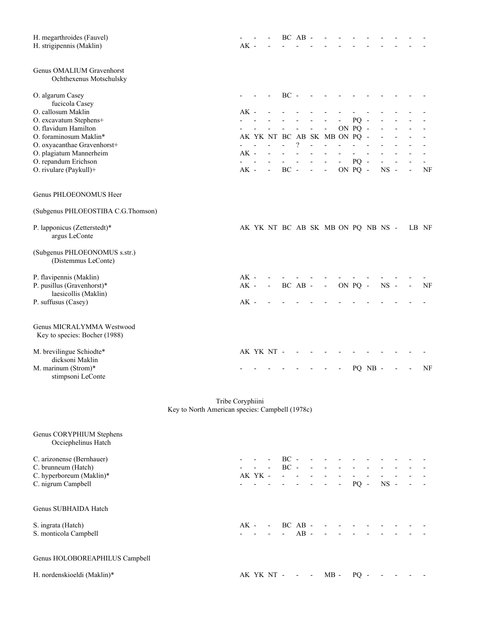| H. megarthroides (Fauvel)<br>H. strigipennis (Maklin)      |                                                                     | $AK -$ |      |                              |              | BC AB    |                |                                    |         |         |             |                |       |    |
|------------------------------------------------------------|---------------------------------------------------------------------|--------|------|------------------------------|--------------|----------|----------------|------------------------------------|---------|---------|-------------|----------------|-------|----|
| Genus OMALIUM Gravenhorst<br>Ochthexenus Motschulsky       |                                                                     |        |      |                              |              |          |                |                                    |         |         |             |                |       |    |
| O. algarum Casey                                           |                                                                     |        |      |                              | $BC -$       |          |                |                                    |         |         |             |                |       |    |
| fucicola Casey                                             |                                                                     |        |      |                              |              |          |                |                                    |         |         |             |                |       |    |
| O. callosum Maklin<br>O. excavatum Stephens+               |                                                                     | $AK -$ |      |                              |              |          |                |                                    | PQ      |         |             |                |       |    |
| O. flavidum Hamilton                                       |                                                                     |        |      |                              |              |          |                |                                    | ON PQ - |         |             |                |       |    |
| O. foraminosum Maklin*                                     |                                                                     |        |      |                              |              |          |                | AK YK NT BC AB SK MB ON PQ -       |         |         |             |                |       |    |
| O. oxyacanthae Gravenhorst+                                |                                                                     |        |      |                              |              | $\gamma$ |                |                                    |         |         |             |                |       |    |
| O. plagiatum Mannerheim                                    |                                                                     | $AK -$ |      |                              |              |          |                |                                    |         |         |             |                |       |    |
| O. repandum Erichson                                       |                                                                     |        |      |                              |              |          |                |                                    | $PQ -$  |         |             |                |       |    |
| O. rivulare (Paykull)+                                     |                                                                     | $AK -$ |      |                              | $BC -$       |          | $\blacksquare$ | $\overline{\phantom{a}}$           | ON PQ - |         | $_{\rm NS}$ | $\overline{a}$ |       | NF |
| Genus PHLOEONOMUS Heer                                     |                                                                     |        |      |                              |              |          |                |                                    |         |         |             |                |       |    |
| (Subgenus PHLOEOSTIBA C.G.Thomson)                         |                                                                     |        |      |                              |              |          |                |                                    |         |         |             |                |       |    |
| P. lapponicus (Zetterstedt)*<br>argus LeConte              |                                                                     |        |      |                              |              |          |                | AK YK NT BC AB SK MB ON PQ NB NS - |         |         |             |                | LB NF |    |
| (Subgenus PHLOEONOMUS s.str.)<br>(Distemmus LeConte)       |                                                                     |        |      |                              |              |          |                |                                    |         |         |             |                |       |    |
| P. flavipennis (Maklin)                                    |                                                                     | $AK -$ |      |                              |              |          |                |                                    |         |         |             |                |       |    |
| P. pusillus (Gravenhorst)*                                 |                                                                     | $AK -$ |      | $\qquad \qquad \blacksquare$ |              | BC AB -  |                | $\overline{\phantom{a}}$           | ON PQ - |         | $NS -$      |                |       | NF |
| laesicollis (Maklin)                                       |                                                                     |        |      |                              |              |          |                |                                    |         |         |             |                |       |    |
| P. suffusus (Casey)                                        |                                                                     | $AK -$ |      |                              |              |          |                |                                    |         |         |             |                |       |    |
| Genus MICRALYMMA Westwood<br>Key to species: Bocher (1988) |                                                                     |        |      |                              |              |          |                |                                    |         |         |             |                |       |    |
| M. brevilingue Schiodte*                                   |                                                                     |        |      | AK YK NT -                   |              |          |                |                                    |         |         |             |                |       |    |
| dicksoni Maklin                                            |                                                                     |        |      |                              |              |          |                |                                    |         |         |             |                |       |    |
| M. marinum (Strom)*<br>stimpsoni LeConte                   |                                                                     |        |      |                              |              |          |                |                                    |         | PQ NB - |             |                |       | NF |
|                                                            | Tribe Coryphiini<br>Key to North American species: Campbell (1978c) |        |      |                              |              |          |                |                                    |         |         |             |                |       |    |
| Genus CORYPHIUM Stephens<br>Occiephelinus Hatch            |                                                                     |        |      |                              |              |          |                |                                    |         |         |             |                |       |    |
| C. arizonense (Bernhauer)                                  |                                                                     |        |      |                              | $- - BC -$   |          |                |                                    |         |         |             |                |       |    |
| C. brunneum (Hatch)                                        |                                                                     |        |      |                              | $- - BC -$   |          |                |                                    |         |         |             |                |       |    |
| C. hyperboreum (Maklin)*                                   |                                                                     |        |      |                              | $AKYK - - -$ |          |                |                                    |         |         |             |                |       |    |
| C. nigrum Campbell                                         |                                                                     |        |      |                              |              |          |                | $     PQ -$                        |         |         | $NS -$      |                |       |    |
| Genus SUBHAIDA Hatch                                       |                                                                     |        |      |                              |              |          |                |                                    |         |         |             |                |       |    |
| S. ingrata (Hatch)                                         |                                                                     |        | AK - |                              | $- BC AB -$  |          |                |                                    |         |         |             |                |       |    |
| S. monticola Campbell                                      |                                                                     |        |      |                              |              | $AB -$   |                |                                    |         |         |             |                |       |    |
| Genus HOLOBOREAPHILUS Campbell                             |                                                                     |        |      |                              |              |          |                |                                    |         |         |             |                |       |    |

H. nordenskioeldi (Maklin)\* <br>AK YK NT - - - MB - PQ - - - - -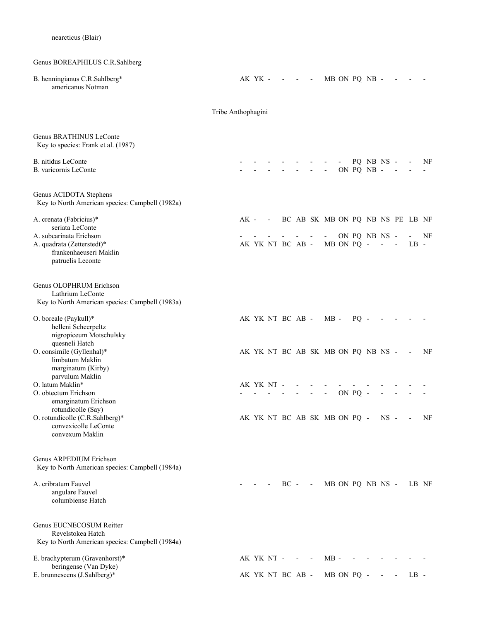# Genus BOREAPHILUS C.R.Sahlberg

| B. henningianus C.R.Sahlberg*<br>americanus Notman                                                   |                    |      | AK YK - |                          |                  | $\sim$ $  -$ |            |                                    |            | MB ON PO NB -            |                |                          |        |    |
|------------------------------------------------------------------------------------------------------|--------------------|------|---------|--------------------------|------------------|--------------|------------|------------------------------------|------------|--------------------------|----------------|--------------------------|--------|----|
|                                                                                                      | Tribe Anthophagini |      |         |                          |                  |              |            |                                    |            |                          |                |                          |        |    |
| Genus BRATHINUS LeConte<br>Key to species: Frank et al. (1987)                                       |                    |      |         |                          |                  |              |            |                                    |            |                          |                |                          |        |    |
| B. nitidus LeConte<br>B. varicornis LeConte                                                          |                    |      |         |                          |                  |              |            | $\overline{\phantom{a}}$           |            | PQ NB NS -<br>ON PQ NB - |                |                          |        | NF |
| Genus ACIDOTA Stephens<br>Key to North American species: Campbell (1982a)                            |                    |      |         |                          |                  |              |            |                                    |            |                          |                |                          |        |    |
| A. crenata (Fabricius)*<br>seriata LeConte                                                           |                    | AK - |         | $\overline{\phantom{a}}$ |                  |              |            | BC AB SK MB ON PQ NB NS PE LB NF   |            |                          |                |                          |        |    |
| A. subcarinata Erichson<br>A. quadrata (Zetterstedt)*<br>frankenhaeuseri Maklin<br>patruelis Leconte |                    |      |         |                          | AK YK NT BC AB - |              |            |                                    | MB ON PQ - | ON PQ NB NS -            | $\blacksquare$ |                          | $LB -$ | NF |
| Genus OLOPHRUM Erichson<br>Lathrium LeConte<br>Key to North American species: Campbell (1983a)       |                    |      |         |                          |                  |              |            |                                    |            |                          |                |                          |        |    |
| O. boreale (Paykull)*<br>helleni Scheerpeltz<br>nigropiceum Motschulsky<br>quesneli Hatch            |                    |      |         |                          | AK YK NT BC AB - |              |            | $MB -$                             | $PQ -$     |                          |                |                          |        |    |
| O. consimile (Gyllenhal)*<br>limbatum Maklin<br>marginatum (Kirby)<br>parvulum Maklin                |                    |      |         |                          |                  |              |            | AK YK NT BC AB SK MB ON PQ NB NS - |            |                          |                |                          |        | NF |
| O. latum Maklin*<br>O. obtectum Erichson                                                             |                    |      |         | AK YK NT -               |                  |              |            | $\overline{\phantom{a}}$           | ON PQ -    |                          |                |                          |        |    |
| emarginatum Erichson<br>rotundicolle (Say)                                                           |                    |      |         |                          |                  |              |            |                                    |            |                          |                |                          |        |    |
| O. rotundicolle (C.R.Sahlberg)*<br>convexicolle LeConte<br>convexum Maklin                           |                    |      |         |                          |                  |              |            | AK YK NT BC AB SK MB ON PQ -       |            |                          | $NS -$         |                          |        | NF |
| Genus ARPEDIUM Erichson<br>Key to North American species: Campbell (1984a)                           |                    |      |         |                          |                  |              |            |                                    |            |                          |                |                          |        |    |
| A. cribratum Fauvel<br>angulare Fauvel<br>columbiense Hatch                                          |                    |      |         |                          | $BC -$           |              | $\sim$ $-$ | MB ON PQ NB NS -                   |            |                          |                |                          | LB NF  |    |
| Genus EUCNECOSUM Reitter<br>Revelstokea Hatch<br>Key to North American species: Campbell (1984a)     |                    |      |         |                          |                  |              |            |                                    |            |                          |                |                          |        |    |
| E. brachypterum (Gravenhorst)*<br>beringense (Van Dyke)                                              |                    |      |         | AK YK NT -               |                  |              |            | $MB -$                             |            |                          |                |                          |        |    |
| E. brunnescens (J.Sahlberg)*                                                                         |                    |      |         |                          | AK YK NT BC AB - |              |            |                                    | MB ON PQ - |                          |                | $\overline{\phantom{a}}$ | $LB -$ |    |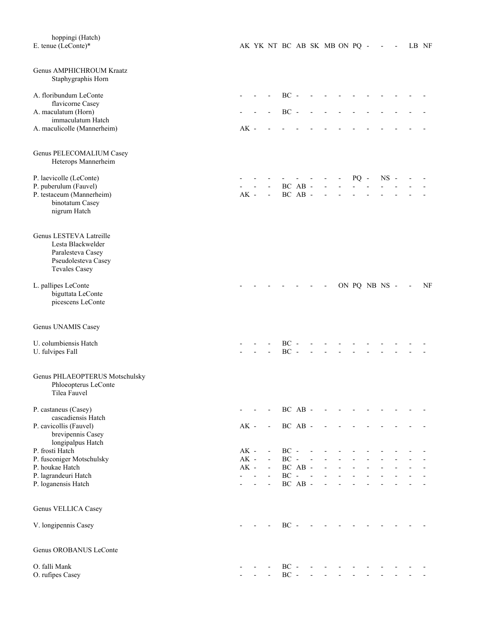| hoppingi (Hatch)<br>E. tenue (LeConte)*            |        |                                   |                             |            |                          |            | AK YK NT BC AB SK MB ON PQ - |                                                                      | $\overline{\phantom{a}}$ | $\overline{\phantom{a}}$ | LB NF |    |
|----------------------------------------------------|--------|-----------------------------------|-----------------------------|------------|--------------------------|------------|------------------------------|----------------------------------------------------------------------|--------------------------|--------------------------|-------|----|
| Genus AMPHICHROUM Kraatz<br>Staphygraphis Horn     |        |                                   |                             |            |                          |            |                              |                                                                      |                          |                          |       |    |
| A. floribundum LeConte                             |        |                                   |                             | $BC -$     |                          |            |                              |                                                                      |                          |                          |       |    |
| flavicorne Casey<br>A. maculatum (Horn)            |        |                                   |                             | $BC -$     |                          |            |                              |                                                                      |                          |                          |       |    |
| immaculatum Hatch<br>A. maculicolle (Mannerheim)   | $AK -$ |                                   |                             |            |                          |            |                              |                                                                      |                          |                          |       |    |
|                                                    |        |                                   |                             |            |                          |            |                              |                                                                      |                          |                          |       |    |
| Genus PELECOMALIUM Casey<br>Heterops Mannerheim    |        |                                   |                             |            |                          |            |                              |                                                                      |                          |                          |       |    |
| P. laevicolle (LeConte)                            |        |                                   |                             |            |                          |            |                              | $PQ -$                                                               | $NS -$                   |                          |       |    |
| P. puberulum (Fauvel)<br>P. testaceum (Mannerheim) | $AK -$ |                                   | $\blacksquare$              |            | BC AB -<br>BC AB -       |            |                              |                                                                      |                          |                          |       |    |
| binotatum Casey<br>nigrum Hatch                    |        |                                   |                             |            |                          |            |                              |                                                                      |                          |                          |       |    |
|                                                    |        |                                   |                             |            |                          |            |                              |                                                                      |                          |                          |       |    |
| Genus LESTEVA Latreille                            |        |                                   |                             |            |                          |            |                              |                                                                      |                          |                          |       |    |
| Lesta Blackwelder<br>Paralesteva Casey             |        |                                   |                             |            |                          |            |                              |                                                                      |                          |                          |       |    |
| Pseudolesteva Casey                                |        |                                   |                             |            |                          |            |                              |                                                                      |                          |                          |       |    |
| <b>Tevales Casey</b>                               |        |                                   |                             |            |                          |            |                              |                                                                      |                          |                          |       |    |
| L. pallipes LeConte                                |        |                                   |                             |            |                          |            |                              | ON PQ NB NS -                                                        |                          |                          |       | NF |
| biguttata LeConte<br>picescens LeConte             |        |                                   |                             |            |                          |            |                              |                                                                      |                          |                          |       |    |
| Genus UNAMIS Casey                                 |        |                                   |                             |            |                          |            |                              |                                                                      |                          |                          |       |    |
| U. columbiensis Hatch                              |        |                                   |                             | $BC -$     |                          |            |                              |                                                                      |                          |                          |       |    |
| U. fulvipes Fall                                   |        |                                   |                             | $\rm BC$   | $\overline{\phantom{a}}$ |            |                              |                                                                      |                          |                          |       |    |
| Genus PHLAEOPTERUS Motschulsky                     |        |                                   |                             |            |                          |            |                              |                                                                      |                          |                          |       |    |
| Phloeopterus LeConte                               |        |                                   |                             |            |                          |            |                              |                                                                      |                          |                          |       |    |
| Tilea Fauvel                                       |        |                                   |                             |            |                          |            |                              |                                                                      |                          |                          |       |    |
| P. castaneus (Casey)<br>cascadiensis Hatch         |        |                                   |                             |            |                          |            | BC AB - - - -                |                                                                      |                          |                          |       |    |
| P. cavicollis (Fauvel)                             | $AK -$ |                                   | $\overline{\phantom{a}}$    |            | BC AB -                  |            | $\overline{\phantom{a}}$     |                                                                      |                          |                          |       |    |
| brevipennis Casey<br>longipalpus Hatch             |        |                                   |                             |            |                          |            |                              |                                                                      |                          |                          |       |    |
| P. frosti Hatch                                    | $AK -$ |                                   | $\mathcal{L}_{\mathcal{A}}$ | $BC -$     |                          | $\sim$ $-$ |                              |                                                                      |                          |                          |       |    |
| P. fusconiger Motschulsky                          |        | $AK -$                            | $\omega_{\rm{max}}$         | $BC - -$   |                          |            | $\overline{\phantom{a}}$     |                                                                      |                          |                          |       |    |
| P. houkae Hatch                                    |        | $AK -$<br>$\omega_{\rm{eff}}=2.0$ |                             | - $BCAB$ - |                          | $BC - -$   | $\omega_{\rm{max}}$          | $\omega_{\rm{eff}}=2.0$<br>$\omega_{\rm{max}}$ , $\omega_{\rm{max}}$ |                          |                          |       |    |
| P. lagrandeuri Hatch<br>P. loganensis Hatch        |        | $\overline{a}$                    |                             |            | BC AB -                  |            | $\overline{\phantom{a}}$     |                                                                      |                          |                          |       |    |
|                                                    |        |                                   |                             |            |                          |            |                              |                                                                      |                          |                          |       |    |
| Genus VELLICA Casey                                |        |                                   |                             |            |                          |            |                              |                                                                      |                          |                          |       |    |
| V. longipennis Casey                               |        |                                   | $\overline{\phantom{a}}$    |            |                          | $BC - -$   | $\sim 100$                   |                                                                      |                          |                          |       |    |
| Genus OROBANUS LeConte                             |        |                                   |                             |            |                          |            |                              |                                                                      |                          |                          |       |    |
| O. falli Mank                                      |        |                                   |                             |            |                          |            | $BC - - - - -$               |                                                                      |                          |                          |       |    |
| O. rufipes Casey                                   |        |                                   |                             |            |                          |            | $BC - - - - - -$             |                                                                      |                          |                          |       |    |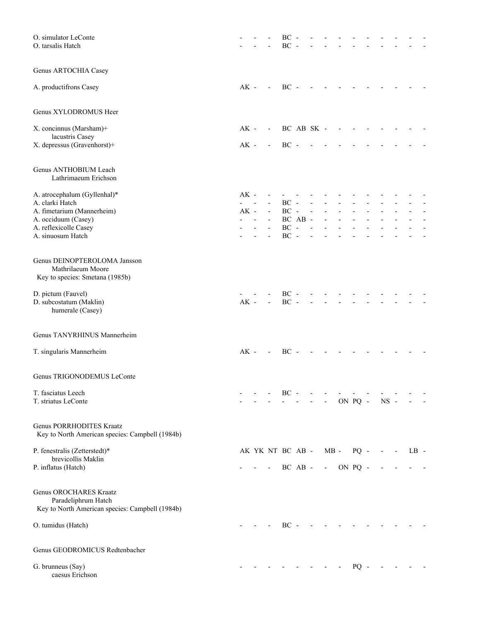| O. simulator LeConte<br>O. tarsalis Hatch                                                        |        |                          | ВC<br>BC         |                                                                                                                                                                                                                           |                          |                          |               |        |        |                          |        |  |
|--------------------------------------------------------------------------------------------------|--------|--------------------------|------------------|---------------------------------------------------------------------------------------------------------------------------------------------------------------------------------------------------------------------------|--------------------------|--------------------------|---------------|--------|--------|--------------------------|--------|--|
| Genus ARTOCHIA Casey                                                                             |        |                          |                  |                                                                                                                                                                                                                           |                          |                          |               |        |        |                          |        |  |
| A. productifrons Casey                                                                           | AK -   | $\overline{\phantom{a}}$ | $BC -$           |                                                                                                                                                                                                                           |                          |                          |               |        |        |                          |        |  |
| Genus XYLODROMUS Heer                                                                            |        |                          |                  |                                                                                                                                                                                                                           |                          |                          |               |        |        |                          |        |  |
| X. concinnus (Marsham)+                                                                          | $AK -$ | $\overline{\phantom{a}}$ |                  | BC AB SK -                                                                                                                                                                                                                |                          |                          |               |        |        |                          |        |  |
| lacustris Casey<br>X. depressus (Gravenhorst)+                                                   | $AK -$ | $\overline{\phantom{a}}$ | $BC -$           |                                                                                                                                                                                                                           |                          |                          |               |        |        |                          |        |  |
| Genus ANTHOBIUM Leach<br>Lathrimaeum Erichson                                                    |        |                          |                  |                                                                                                                                                                                                                           |                          |                          |               |        |        |                          |        |  |
| A. atrocephalum (Gyllenhal)*                                                                     | $AK -$ |                          |                  |                                                                                                                                                                                                                           |                          |                          |               |        |        |                          |        |  |
| A. clarki Hatch<br>A. fimetarium (Mannerheim)                                                    | $AK -$ |                          | $BC -$<br>$BC -$ |                                                                                                                                                                                                                           | $\overline{\phantom{a}}$ |                          |               |        |        |                          |        |  |
| A. occiduum (Casey)                                                                              |        | $\blacksquare$           |                  | BC AB -                                                                                                                                                                                                                   |                          |                          |               |        |        |                          |        |  |
| A. reflexicolle Casey<br>A. sinuosum Hatch                                                       |        | $\overline{\phantom{a}}$ | $BC -$<br>$BC -$ |                                                                                                                                                                                                                           |                          |                          |               |        |        |                          |        |  |
| Genus DEINOPTEROLOMA Jansson<br>Mathrilaeum Moore<br>Key to species: Smetana (1985b)             |        |                          |                  |                                                                                                                                                                                                                           |                          |                          |               |        |        |                          |        |  |
| D. pictum (Fauvel)<br>D. subcostatum (Maklin)<br>humerale (Casey)                                | $AK -$ | $\overline{\phantom{a}}$ | $BC -$<br>$BC -$ |                                                                                                                                                                                                                           |                          |                          |               |        |        |                          |        |  |
| Genus TANYRHINUS Mannerheim                                                                      |        |                          |                  |                                                                                                                                                                                                                           |                          |                          |               |        |        |                          |        |  |
| T. singularis Mannerheim                                                                         | $AK -$ | $\mathbf{r}$             | $BC -$           |                                                                                                                                                                                                                           |                          |                          |               |        |        |                          |        |  |
| Genus TRIGONODEMUS LeConte                                                                       |        |                          |                  |                                                                                                                                                                                                                           |                          |                          |               |        |        |                          |        |  |
| T. fasciatus Leech<br>T. striatus LeConte                                                        |        |                          | $BC -$           |                                                                                                                                                                                                                           |                          | $\overline{\phantom{a}}$ | ON PQ -       |        | $NS -$ |                          |        |  |
| Genus PORRHODITES Kraatz<br>Key to North American species: Campbell (1984b)                      |        |                          |                  |                                                                                                                                                                                                                           |                          |                          |               |        |        |                          |        |  |
| P. fenestralis (Zetterstedt)*                                                                    |        |                          | AK YK NT BC AB - |                                                                                                                                                                                                                           |                          |                          | $MB -$        | $PQ -$ |        | $\overline{\phantom{a}}$ | $LB -$ |  |
| brevicollis Maklin<br>P. inflatus (Hatch)                                                        |        | $\overline{\phantom{a}}$ |                  | BC AB -                                                                                                                                                                                                                   |                          |                          | $-$ ON PQ $-$ |        |        |                          |        |  |
| Genus OROCHARES Kraatz<br>Paradeliphrum Hatch<br>Key to North American species: Campbell (1984b) |        |                          |                  |                                                                                                                                                                                                                           |                          |                          |               |        |        |                          |        |  |
| O. tumidus (Hatch)                                                                               |        |                          | $BC -$           |                                                                                                                                                                                                                           |                          |                          |               |        |        |                          |        |  |
| Genus GEODROMICUS Redtenbacher                                                                   |        |                          |                  |                                                                                                                                                                                                                           |                          |                          |               |        |        |                          |        |  |
| G. brunneus (Say)<br>caesus Erichson                                                             |        |                          |                  | $\frac{1}{2} \left( \frac{1}{2} \left( \frac{1}{2} \right) - \frac{1}{2} \left( \frac{1}{2} \right) \right) + \frac{1}{2} \left( \frac{1}{2} \left( \frac{1}{2} \right) - \frac{1}{2} \left( \frac{1}{2} \right) \right)$ |                          |                          |               | $PQ -$ |        |                          |        |  |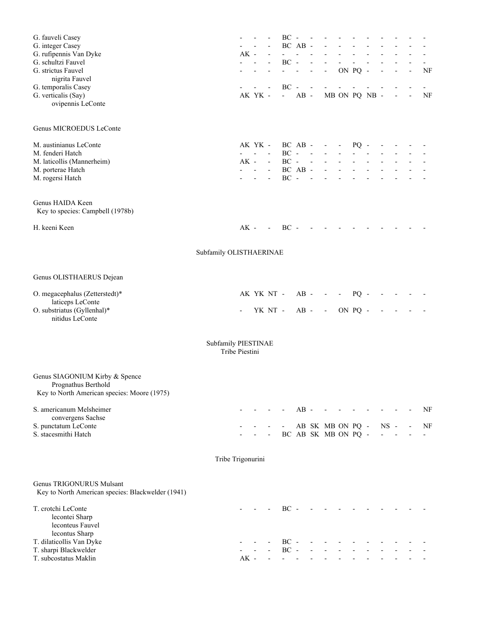| G. fauveli Casey                                      |                         |        |                     |                     | BC                  | $\overline{\phantom{a}}$ | $\overline{\phantom{0}}$ |                          |                                            |                               |                          |        |                |    |    |
|-------------------------------------------------------|-------------------------|--------|---------------------|---------------------|---------------------|--------------------------|--------------------------|--------------------------|--------------------------------------------|-------------------------------|--------------------------|--------|----------------|----|----|
| G. integer Casey                                      |                         |        |                     |                     |                     | BC AB -                  |                          |                          |                                            |                               |                          |        |                |    |    |
| G. rufipennis Van Dyke                                |                         | $AK -$ |                     |                     |                     | $\overline{a}$           |                          |                          |                                            |                               |                          |        |                |    |    |
| G. schultzi Fauvel                                    |                         |        |                     |                     | $BC -$              |                          |                          |                          |                                            |                               |                          |        |                |    |    |
| G. strictus Fauvel                                    |                         |        |                     |                     | $\omega_{\rm{max}}$ | $\overline{a}$           | $\frac{1}{2}$            | $\overline{\phantom{a}}$ |                                            | ON PQ -                       |                          |        | $\overline{a}$ | ÷, | NF |
| nigrita Fauvel                                        |                         |        |                     |                     |                     |                          |                          |                          |                                            |                               |                          |        |                |    |    |
| G. temporalis Casey                                   |                         |        |                     |                     | $BC -$              |                          | $\overline{\phantom{a}}$ |                          |                                            |                               |                          |        |                |    |    |
| G. verticalis (Say)                                   |                         |        | AK YK -             |                     | $\omega_{\rm{max}}$ | $AB -$                   |                          |                          |                                            |                               | MB ON PQ NB -            |        |                |    | NF |
| ovipennis LeConte                                     |                         |        |                     |                     |                     |                          |                          |                          |                                            |                               |                          |        |                |    |    |
| Genus MICROEDUS LeConte                               |                         |        |                     |                     |                     |                          |                          |                          |                                            |                               |                          |        |                |    |    |
| M. austinianus LeConte                                |                         |        | AK YK -             |                     | BC AB -             |                          |                          |                          |                                            |                               |                          |        |                |    |    |
| M. fenderi Hatch                                      |                         |        | $\omega_{\rm{max}}$ |                     |                     | $BC - -$                 |                          | $\sim 100$<br>$\sim$     | $\blacksquare$<br>$\overline{\phantom{a}}$ | $PQ -$<br>$\omega_{\rm{max}}$ |                          |        |                |    |    |
| M. laticollis (Mannerheim)                            |                         |        | $AK -$              | $\omega_{\rm{max}}$ |                     |                          |                          | $BC - - -$               | $\Delta \sim 10^{-1}$                      |                               |                          |        |                |    |    |
| M. porterae Hatch                                     |                         |        | and a state         |                     |                     | BC AB -                  |                          | $\blacksquare$           | $\omega_{\rm{max}}$ , $\omega_{\rm{max}}$  |                               |                          |        |                |    |    |
| M. rogersi Hatch                                      |                         |        |                     | $\blacksquare$      | $BC -$              |                          | $\sim$ $-$               | $\blacksquare$           | $\overline{\phantom{a}}$                   | $\blacksquare$                | $\overline{\phantom{a}}$ |        |                |    |    |
|                                                       |                         |        |                     |                     |                     |                          |                          |                          |                                            |                               |                          |        |                |    |    |
| Genus HAIDA Keen<br>Key to species: Campbell (1978b)  |                         |        |                     |                     |                     |                          |                          |                          |                                            |                               |                          |        |                |    |    |
| H. keeni Keen                                         |                         | $AK -$ |                     | <b>Contractor</b>   | $BC -$              |                          |                          |                          |                                            |                               |                          |        |                |    |    |
|                                                       | Subfamily OLISTHAERINAE |        |                     |                     |                     |                          |                          |                          |                                            |                               |                          |        |                |    |    |
| Genus OLISTHAERUS Dejean                              |                         |        |                     |                     |                     |                          |                          |                          |                                            |                               |                          |        |                |    |    |
|                                                       |                         |        |                     |                     |                     |                          |                          |                          |                                            |                               |                          |        |                |    |    |
| O. megacephalus (Zetterstedt)*                        |                         |        |                     |                     | AK YK NT -          | $AB -$                   |                          | $\overline{\phantom{a}}$ | $\sim$                                     | $PQ -$                        |                          |        |                |    |    |
| laticeps LeConte                                      |                         |        |                     |                     | YK NT -             | $AB -$                   |                          |                          |                                            | ON PQ -                       |                          |        |                |    |    |
| O. substriatus (Gyllenhal)*<br>nitidus LeConte        |                         |        |                     |                     |                     |                          |                          | $\sim 100$ km s $^{-1}$  |                                            |                               |                          |        |                |    |    |
|                                                       | Subfamily PIESTINAE     |        |                     |                     |                     |                          |                          |                          |                                            |                               |                          |        |                |    |    |
|                                                       | Tribe Piestini          |        |                     |                     |                     |                          |                          |                          |                                            |                               |                          |        |                |    |    |
| Genus SIAGONIUM Kirby & Spence<br>Prognathus Berthold |                         |        |                     |                     |                     |                          |                          |                          |                                            |                               |                          |        |                |    |    |
| Key to North American species: Moore (1975)           |                         |        |                     |                     |                     |                          |                          |                          |                                            |                               |                          |        |                |    |    |
| S. americanum Melsheimer                              |                         |        |                     |                     |                     | $AB -$                   |                          |                          |                                            |                               |                          |        |                |    | NF |
| convergens Sachse                                     |                         |        |                     |                     |                     |                          |                          |                          |                                            |                               |                          |        |                |    |    |
| S. punctatum LeConte                                  |                         |        |                     |                     |                     |                          |                          | AB SK MB ON PQ -         |                                            |                               |                          | $NS -$ |                |    | NF |
| S. stacesmithi Hatch                                  |                         |        |                     |                     |                     |                          |                          | BC AB SK MB ON PQ -      |                                            |                               |                          |        |                |    |    |
|                                                       | Tribe Trigonurini       |        |                     |                     |                     |                          |                          |                          |                                            |                               |                          |        |                |    |    |
| Genus TRIGONURUS Mulsant                              |                         |        |                     |                     |                     |                          |                          |                          |                                            |                               |                          |        |                |    |    |
| Key to North American species: Blackwelder (1941)     |                         |        |                     |                     |                     |                          |                          |                          |                                            |                               |                          |        |                |    |    |
| T. crotchi LeConte                                    |                         |        |                     |                     | $BC -$              |                          |                          |                          |                                            |                               |                          |        |                |    |    |
| lecontei Sharp                                        |                         |        |                     |                     |                     |                          |                          |                          |                                            |                               |                          |        |                |    |    |
| leconteus Fauvel                                      |                         |        |                     |                     |                     |                          |                          |                          |                                            |                               |                          |        |                |    |    |
| lecontus Sharp                                        |                         |        |                     |                     |                     |                          |                          |                          |                                            |                               |                          |        |                |    |    |
| T. dilaticollis Van Dyke                              |                         |        |                     |                     | $BC -$              |                          |                          |                          |                                            |                               |                          |        |                |    |    |
| T. sharpi Blackwelder                                 |                         |        |                     |                     | $BC -$              |                          |                          |                          |                                            |                               |                          |        |                |    |    |
| T. subcostatus Maklin                                 |                         | $AK -$ |                     |                     |                     |                          |                          |                          |                                            |                               |                          |        |                |    |    |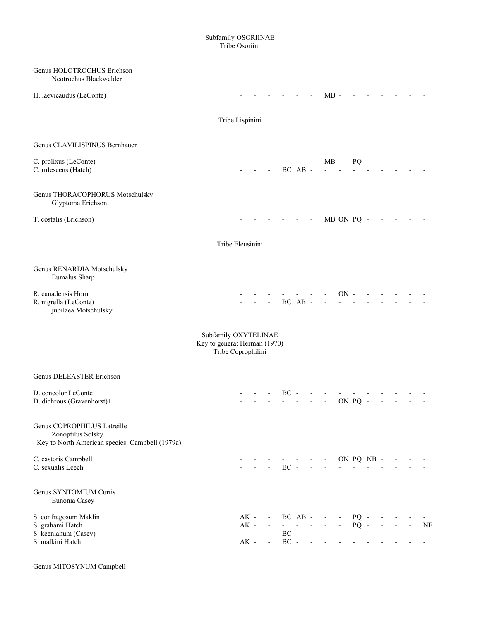#### Subfamily OSORIINAE Tribe Osoriini

| Genus HOLOTROCHUS Erichson<br>Neotrochus Blackwelder                                                |                                                                            |                  |                                                                  |                                                               |                         |                                           |                                  |                                            |                                              |                                         |            |                |                |                      |
|-----------------------------------------------------------------------------------------------------|----------------------------------------------------------------------------|------------------|------------------------------------------------------------------|---------------------------------------------------------------|-------------------------|-------------------------------------------|----------------------------------|--------------------------------------------|----------------------------------------------|-----------------------------------------|------------|----------------|----------------|----------------------|
| H. laevicaudus (LeConte)                                                                            |                                                                            |                  |                                                                  |                                                               |                         |                                           |                                  | $MB -$                                     |                                              |                                         |            |                |                |                      |
|                                                                                                     |                                                                            | Tribe Lispinini  |                                                                  |                                                               |                         |                                           |                                  |                                            |                                              |                                         |            |                |                |                      |
| Genus CLAVILISPINUS Bernhauer                                                                       |                                                                            |                  |                                                                  |                                                               |                         |                                           |                                  |                                            |                                              |                                         |            |                |                |                      |
| C. prolixus (LeConte)<br>C. rufescens (Hatch)                                                       |                                                                            |                  |                                                                  |                                                               |                         | BC AB -                                   |                                  | $MB -$                                     |                                              | $PQ -$                                  |            |                |                |                      |
| Genus THORACOPHORUS Motschulsky<br>Glyptoma Erichson                                                |                                                                            |                  |                                                                  |                                                               |                         |                                           |                                  |                                            |                                              |                                         |            |                |                |                      |
| T. costalis (Erichson)                                                                              |                                                                            |                  |                                                                  |                                                               |                         | $\sim 100$                                |                                  |                                            |                                              | MB ON PQ -                              |            |                |                |                      |
|                                                                                                     |                                                                            | Tribe Eleusinini |                                                                  |                                                               |                         |                                           |                                  |                                            |                                              |                                         |            |                |                |                      |
| Genus RENARDIA Motschulsky<br>Eumalus Sharp                                                         |                                                                            |                  |                                                                  |                                                               |                         |                                           |                                  |                                            |                                              |                                         |            |                |                |                      |
| R. canadensis Horn<br>R. nigrella (LeConte)<br>jubilaea Motschulsky                                 |                                                                            |                  |                                                                  |                                                               |                         | BC AB -                                   |                                  |                                            | $ON -$                                       |                                         |            |                |                |                      |
|                                                                                                     | Subfamily OXYTELINAE<br>Key to genera: Herman (1970)<br>Tribe Coprophilini |                  |                                                                  |                                                               |                         |                                           |                                  |                                            |                                              |                                         |            |                |                |                      |
| Genus DELEASTER Erichson                                                                            |                                                                            |                  |                                                                  |                                                               |                         |                                           |                                  |                                            |                                              |                                         |            |                |                |                      |
| D. concolor LeConte<br>D. dichrous (Gravenhorst)+                                                   |                                                                            |                  |                                                                  |                                                               | $BC -$                  |                                           |                                  | $\qquad \qquad \blacksquare$               |                                              | ON PQ -                                 |            |                |                |                      |
| Genus COPROPHILUS Latreille<br>Zonoptilus Solsky<br>Key to North American species: Campbell (1979a) |                                                                            |                  |                                                                  |                                                               |                         |                                           |                                  |                                            |                                              |                                         |            |                |                |                      |
| C. castoris Campbell<br>C. sexualis Leech                                                           |                                                                            |                  | $\omega_{\rm{eff}}$                                              |                                                               |                         |                                           |                                  | $\sim 100$<br>$\overline{\phantom{a}}$     |                                              |                                         | ON PQ NB - |                |                |                      |
| Genus SYNTOMIUM Curtis<br>Eunonia Casey                                                             |                                                                            |                  |                                                                  |                                                               |                         |                                           |                                  |                                            |                                              |                                         |            |                |                |                      |
| S. confragosum Maklin<br>S. grahami Hatch<br>S. keenianum (Casey)<br>S. malkini Hatch               |                                                                            |                  | $AK -$<br>$AK -$<br>$\mathbf{L} = \mathbf{L} \mathbf{L}$<br>AK - | $\omega_{\rm{max}}$<br>$\sim 10^{-11}$<br>$\omega_{\rm{max}}$ | $- BC AB - -$<br>$BC -$ | $\omega_{\rm{eff}}=2.01\pm0.01$<br>$BC -$ | $\mathbb{L}^2$<br>$\overline{a}$ | $\omega_{\rm{max}}$<br>$\omega_{\rm{max}}$ | $\sim$<br>$\sim$<br>$\overline{\phantom{a}}$ | $PQ -$<br>$PQ -$<br>$\omega_{\rm{max}}$ |            | $\blacksquare$ | $\blacksquare$ | NF<br>$\blacksquare$ |
|                                                                                                     |                                                                            |                  |                                                                  |                                                               |                         |                                           |                                  |                                            |                                              |                                         |            |                |                |                      |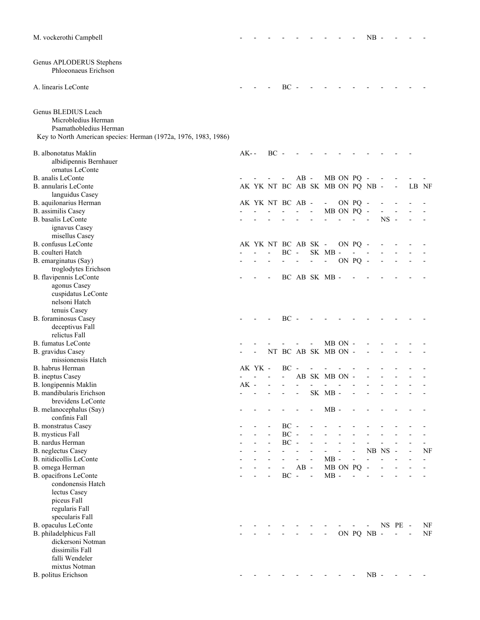| M. vockerothi Campbell                                                                                                                  |       |         |        |                          |        |                          |                                 |            |                          | NB                       |        |                          |                |    |
|-----------------------------------------------------------------------------------------------------------------------------------------|-------|---------|--------|--------------------------|--------|--------------------------|---------------------------------|------------|--------------------------|--------------------------|--------|--------------------------|----------------|----|
| Genus APLODERUS Stephens<br>Phloeonaeus Erichson                                                                                        |       |         |        |                          |        |                          |                                 |            |                          |                          |        |                          |                |    |
| A. linearis LeConte                                                                                                                     |       |         |        | $BC -$                   |        |                          |                                 |            |                          |                          |        |                          |                |    |
| Genus BLEDIUS Leach<br>Microbledius Herman<br>Psamathobledius Herman<br>Key to North American species: Herman (1972a, 1976, 1983, 1986) |       |         |        |                          |        |                          |                                 |            |                          |                          |        |                          |                |    |
| B. albonotatus Maklin<br>albidipennis Bernhauer                                                                                         | AK- - |         | $BC -$ |                          |        |                          |                                 |            |                          |                          |        |                          |                |    |
| ornatus LeConte                                                                                                                         |       |         |        |                          |        |                          |                                 |            |                          |                          |        |                          |                |    |
| B. analis LeConte                                                                                                                       |       |         |        |                          | $AB -$ |                          |                                 | MB ON PQ - |                          |                          |        |                          |                |    |
| B. annularis LeConte                                                                                                                    |       |         |        |                          |        |                          | AK YK NT BC AB SK MB ON PQ NB - |            |                          |                          |        | $\overline{\phantom{a}}$ | LB NF          |    |
| languidus Casey                                                                                                                         |       |         |        | AK YK NT BC AB -         |        |                          |                                 |            |                          |                          |        |                          |                |    |
| B. aquilonarius Herman<br>B. assimilis Casey                                                                                            |       |         |        |                          |        |                          | $\sim$                          | MB ON PQ - | ON PQ -                  |                          |        |                          |                |    |
| B. basalis LeConte                                                                                                                      |       |         |        |                          |        |                          |                                 |            | $\mathbf{r}$             |                          | $NS -$ |                          |                |    |
| ignavus Casey                                                                                                                           |       |         |        |                          |        |                          |                                 |            |                          |                          |        |                          |                |    |
| misellus Casey                                                                                                                          |       |         |        |                          |        |                          |                                 |            |                          |                          |        |                          |                |    |
| <b>B.</b> confusus LeConte                                                                                                              |       |         |        | AK YK NT BC AB SK -      |        |                          |                                 |            | ON PQ -                  |                          |        |                          |                |    |
| B. coulteri Hatch                                                                                                                       |       |         |        | $BC -$                   |        |                          | SK MB-                          |            | $\blacksquare$           |                          |        |                          |                |    |
| B. emarginatus (Say)                                                                                                                    |       |         |        |                          |        | $\overline{\phantom{a}}$ | $\blacksquare$                  |            | ON PQ -                  |                          |        |                          |                |    |
| troglodytes Erichson                                                                                                                    |       |         |        |                          |        |                          |                                 |            |                          |                          |        |                          |                |    |
| B. flavipennis LeConte<br>agonus Casey<br>cuspidatus LeConte<br>nelsoni Hatch                                                           |       |         |        |                          |        |                          | BC AB SK MB -                   |            |                          |                          |        |                          |                |    |
| tenuis Casey                                                                                                                            |       |         |        |                          |        |                          |                                 |            |                          |                          |        |                          |                |    |
| B. foraminosus Casey                                                                                                                    |       |         |        | $BC -$                   |        |                          |                                 |            |                          |                          |        |                          |                |    |
| deceptivus Fall                                                                                                                         |       |         |        |                          |        |                          |                                 |            |                          |                          |        |                          |                |    |
| relictus Fall                                                                                                                           |       |         |        |                          |        |                          |                                 |            |                          |                          |        |                          |                |    |
| <b>B.</b> fumatus LeConte                                                                                                               |       |         |        |                          |        |                          |                                 | MB ON -    |                          |                          |        |                          |                |    |
| B. gravidus Casey                                                                                                                       |       |         |        |                          |        |                          | NT BC AB SK MB ON -             |            |                          |                          |        |                          |                |    |
| missionensis Hatch                                                                                                                      |       |         |        |                          |        |                          |                                 |            |                          |                          |        |                          |                |    |
| B. habrus Herman                                                                                                                        |       | AK YK - |        | BC                       |        |                          |                                 |            |                          |                          |        |                          |                |    |
| B. ineptus Casey                                                                                                                        |       |         |        |                          |        |                          | AB SK MB ON -                   |            |                          |                          |        |                          |                |    |
| B. longipennis Maklin                                                                                                                   | AK    |         |        |                          |        |                          |                                 |            |                          |                          |        |                          |                |    |
| B. mandibularis Erichson<br>brevidens LeConte                                                                                           |       |         |        |                          |        |                          | SK MB-                          |            |                          |                          |        |                          |                |    |
| B. melanocephalus (Say)                                                                                                                 |       |         |        |                          |        |                          | $MB -$                          |            |                          |                          |        |                          |                |    |
| confinis Fall                                                                                                                           |       |         |        |                          |        |                          |                                 |            |                          |                          |        |                          |                |    |
| B. monstratus Casey                                                                                                                     |       |         |        | $BC -$                   |        |                          |                                 |            |                          |                          |        |                          |                |    |
| B. mysticus Fall                                                                                                                        |       |         |        | $BC -$                   |        |                          |                                 |            |                          |                          |        |                          |                |    |
| B. nardus Herman                                                                                                                        |       |         |        | $BC -$                   |        |                          |                                 |            |                          |                          |        |                          |                |    |
| <b>B.</b> neglectus Casey                                                                                                               |       |         |        |                          |        |                          |                                 |            |                          | NB NS                    |        | $\sim$                   |                | NF |
| B. nitidicollis LeConte                                                                                                                 |       |         |        |                          |        |                          | $MB -$                          |            |                          |                          |        |                          |                |    |
| B. omega Herman                                                                                                                         |       |         |        | $\overline{\phantom{a}}$ | $AB -$ |                          |                                 | MB ON PQ   |                          | $\overline{\phantom{a}}$ |        |                          |                |    |
| B. opacifrons LeConte                                                                                                                   |       |         |        | $BC -$                   |        | $\sim$ $-$               | $MB -$                          |            |                          |                          |        |                          |                |    |
| condonensis Hatch                                                                                                                       |       |         |        |                          |        |                          |                                 |            |                          |                          |        |                          |                |    |
| lectus Casey                                                                                                                            |       |         |        |                          |        |                          |                                 |            |                          |                          |        |                          |                |    |
| piceus Fall                                                                                                                             |       |         |        |                          |        |                          |                                 |            |                          |                          |        |                          |                |    |
| regularis Fall                                                                                                                          |       |         |        |                          |        |                          |                                 |            |                          |                          |        |                          |                |    |
| specularis Fall<br>B. opaculus LeConte                                                                                                  |       |         |        |                          |        |                          |                                 |            |                          |                          |        | NS PE -                  |                | NF |
| B. philadelphicus Fall                                                                                                                  |       |         |        |                          |        |                          |                                 |            |                          | ON PQ NB -               |        | $\overline{\phantom{a}}$ | $\blacksquare$ | NF |
| dickersoni Notman                                                                                                                       |       |         |        |                          |        |                          |                                 |            |                          |                          |        |                          |                |    |
| dissimilis Fall                                                                                                                         |       |         |        |                          |        |                          |                                 |            |                          |                          |        |                          |                |    |
| falli Wendeler                                                                                                                          |       |         |        |                          |        |                          |                                 |            |                          |                          |        |                          |                |    |
| mixtus Notman                                                                                                                           |       |         |        |                          |        |                          |                                 |            |                          |                          |        |                          |                |    |
| B. politus Erichson                                                                                                                     |       |         |        |                          |        |                          |                                 |            | $\overline{\phantom{a}}$ | $NB -$                   |        |                          |                |    |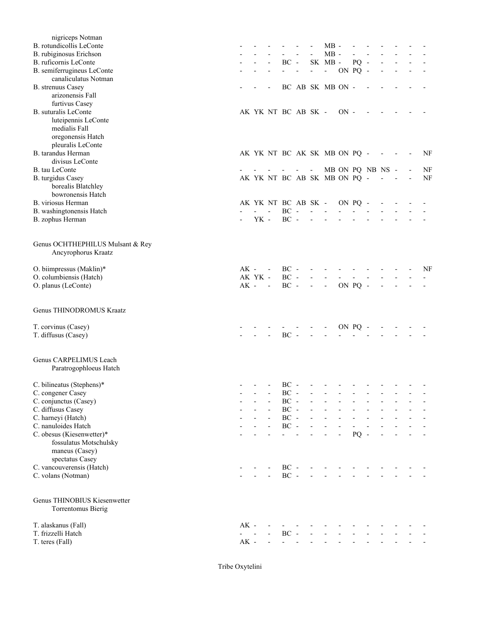| nigriceps Notman                               |        |                                      |                     |                          |                              |            |         |                          |        |                          |    |
|------------------------------------------------|--------|--------------------------------------|---------------------|--------------------------|------------------------------|------------|---------|--------------------------|--------|--------------------------|----|
| B. rotundicollis LeConte                       |        |                                      |                     |                          | $MB -$                       |            |         |                          |        |                          |    |
| B. rubiginosus Erichson                        |        |                                      |                     |                          | $MB -$                       |            |         |                          |        |                          |    |
| B. ruficornis LeConte                          |        |                                      | $BC -$              |                          | SK MB-                       |            | $PQ -$  |                          |        |                          |    |
| B. semiferrugineus LeConte                     |        |                                      |                     | $\overline{\phantom{a}}$ | $\sim 10^{-1}$               | ON PQ -    |         |                          |        |                          |    |
| canaliculatus Notman                           |        |                                      |                     |                          |                              |            |         |                          |        |                          |    |
| <b>B.</b> strenuus Casey                       |        |                                      |                     |                          | BC AB SK MB ON -             |            |         |                          |        |                          |    |
| arizonensis Fall<br>furtivus Casey             |        |                                      |                     |                          |                              |            |         |                          |        |                          |    |
| <b>B.</b> suturalis LeConte                    |        |                                      | AK YK NT BC AB SK - |                          |                              | $ON -$     |         |                          |        |                          |    |
| luteipennis LeConte                            |        |                                      |                     |                          |                              |            |         |                          |        |                          |    |
| medialis Fall                                  |        |                                      |                     |                          |                              |            |         |                          |        |                          |    |
| oregonensis Hatch                              |        |                                      |                     |                          |                              |            |         |                          |        |                          |    |
| pleuralis LeConte                              |        |                                      |                     |                          |                              |            |         |                          |        |                          |    |
| B. tarandus Herman                             |        |                                      |                     |                          | AK YK NT BC AK SK MB ON PQ - |            |         |                          |        |                          | NF |
| divisus LeConte                                |        |                                      |                     |                          |                              |            |         |                          |        |                          |    |
| B. tau LeConte                                 |        |                                      |                     | $\overline{\phantom{a}}$ |                              |            |         | MB ON PQ NB NS -         |        |                          | NF |
| B. turgidus Casey                              |        |                                      |                     |                          | AK YK NT BC AB SK MB ON PQ - |            |         | $\overline{\phantom{a}}$ | $\sim$ | $\overline{\phantom{a}}$ | NF |
| borealis Blatchley                             |        |                                      |                     |                          |                              |            |         |                          |        |                          |    |
| bowronensis Hatch                              |        |                                      |                     |                          |                              |            |         |                          |        |                          |    |
| B. viriosus Herman                             |        |                                      |                     |                          | AK YK NT BC AB SK -          | ON PQ -    |         |                          |        |                          |    |
| B. washingtonensis Hatch                       |        | $\mathbf{L} = \mathbf{L} \mathbf{L}$ | $BC -$              | $\overline{a}$           |                              |            |         |                          |        |                          |    |
| B. zophus Herman                               |        | YK -                                 | $BC -$              | $\overline{\phantom{0}}$ | $\overline{\phantom{a}}$     |            |         |                          |        |                          |    |
|                                                |        |                                      |                     |                          |                              |            |         |                          |        |                          |    |
| Genus OCHTHEPHILUS Mulsant & Rey               |        |                                      |                     |                          |                              |            |         |                          |        |                          |    |
| Ancyrophorus Kraatz                            |        |                                      |                     |                          |                              |            |         |                          |        |                          |    |
| O. biimpressus (Maklin)*                       | $AK -$ |                                      | $BC -$              |                          |                              |            |         |                          |        |                          | NF |
| O. columbiensis (Hatch)                        |        | AK YK -                              | $BC -$              | $\frac{1}{2}$            | $\blacksquare$               | $\sim 100$ |         |                          |        |                          |    |
| O. planus (LeConte)                            | $AK$ - | $\sim$ $-$                           | $BC -$              | $\sim 100$               | $\overline{\phantom{a}}$     |            | ON PQ - |                          |        |                          |    |
|                                                |        |                                      |                     |                          |                              |            |         |                          |        |                          |    |
| Genus THINODROMUS Kraatz                       |        |                                      |                     |                          |                              |            |         |                          |        |                          |    |
| T. corvinus (Casey)                            |        |                                      |                     |                          |                              |            | ON PQ - |                          |        |                          |    |
| T. diffusus (Casey)                            |        |                                      | $BC -$              |                          |                              |            |         |                          |        |                          |    |
|                                                |        |                                      |                     |                          |                              |            |         |                          |        |                          |    |
| Genus CARPELIMUS Leach                         |        |                                      |                     |                          |                              |            |         |                          |        |                          |    |
| Paratrogophloeus Hatch                         |        |                                      |                     |                          |                              |            |         |                          |        |                          |    |
|                                                |        |                                      |                     |                          |                              |            |         |                          |        |                          |    |
|                                                |        |                                      |                     |                          |                              |            |         |                          |        |                          |    |
|                                                |        | .                                    |                     |                          | $BC - - - - - - -$           |            |         |                          |        |                          |    |
| C. bilineatus (Stephens)*<br>C. congener Casey |        |                                      | $BC -$              |                          |                              |            |         |                          |        |                          |    |
| C. conjunctus (Casey)                          |        |                                      | $BC -$              |                          |                              |            |         |                          |        |                          |    |
| C. diffusus Casey                              |        |                                      | $BC -$              |                          |                              |            |         |                          |        |                          |    |
| C. harneyi (Hatch)                             |        |                                      | $BC -$              |                          |                              |            |         |                          |        |                          |    |
| C. nanuloides Hatch                            |        |                                      | $\rm BC$ -          | $\frac{1}{2}$            |                              |            |         |                          |        |                          |    |
| C. obesus (Kiesenwetter)*                      |        |                                      |                     |                          |                              |            | $PQ -$  |                          |        |                          |    |
| fossulatus Motschulsky                         |        |                                      |                     |                          |                              |            |         |                          |        |                          |    |
| maneus (Casey)                                 |        |                                      |                     |                          |                              |            |         |                          |        |                          |    |
| spectatus Casey                                |        |                                      |                     |                          |                              |            |         |                          |        |                          |    |
| C. vancouverensis (Hatch)                      |        |                                      | $BC -$              |                          | $\overline{\phantom{a}}$     |            |         |                          |        |                          |    |
| C. volans (Notman)                             |        |                                      | $BC -$              |                          |                              |            |         |                          |        |                          |    |
|                                                |        |                                      |                     |                          |                              |            |         |                          |        |                          |    |
| Genus THINOBIUS Kiesenwetter                   |        |                                      |                     |                          |                              |            |         |                          |        |                          |    |
| Torrentomus Bierig                             |        |                                      |                     |                          |                              |            |         |                          |        |                          |    |
| T. alaskanus (Fall)                            | $AK -$ |                                      |                     |                          |                              |            |         |                          |        |                          |    |
| T. frizzelli Hatch<br>T. teres (Fall)          | $AK$ - | $\overline{a}$                       | $BC -$              |                          |                              |            |         |                          |        |                          |    |

Tribe Oxytelini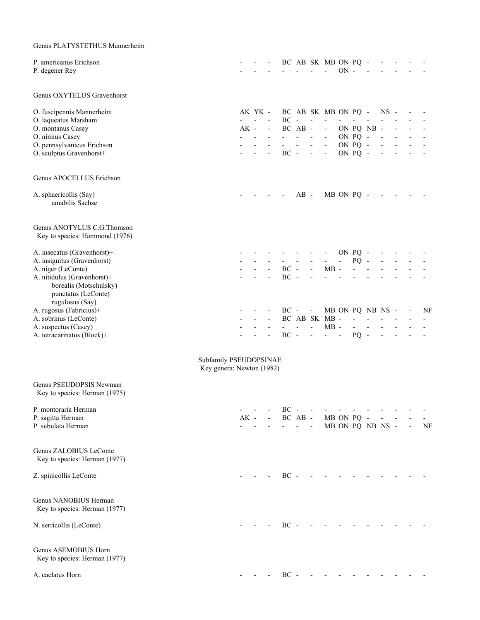| Genus PLATYSTETHUS Mannerheim                                                                   |                                                     |        |                |                              |                          |                                 |                                            |                                       |                     |                            |                          |                          |                          |                          |    |
|-------------------------------------------------------------------------------------------------|-----------------------------------------------------|--------|----------------|------------------------------|--------------------------|---------------------------------|--------------------------------------------|---------------------------------------|---------------------|----------------------------|--------------------------|--------------------------|--------------------------|--------------------------|----|
| P. americanus Erichson<br>P. degener Rey                                                        |                                                     |        |                | $\sim$                       |                          |                                 |                                            | BC AB SK MB ON PQ -<br>$\blacksquare$ | $ON -$              |                            |                          |                          |                          |                          |    |
| Genus OXYTELUS Gravenhorst                                                                      |                                                     |        |                |                              |                          |                                 |                                            |                                       |                     |                            |                          |                          |                          |                          |    |
| O. fuscipennis Mannerheim                                                                       |                                                     |        | AK YK -        |                              | BC AB SK MB ON PQ - NS - |                                 |                                            |                                       |                     |                            |                          |                          |                          |                          |    |
| O. laqueatus Marsham                                                                            |                                                     |        | $\overline{a}$ |                              | $BC -$                   |                                 | $\sim$ $\sim$                              | $\sim 100$                            | $\omega_{\rm{max}}$ | $\omega_{\rm{max}}$        | $\overline{\phantom{a}}$ |                          |                          |                          |    |
| O. montanus Casey                                                                               |                                                     |        | $AK -$         | $\blacksquare$               |                          | BC AB -                         |                                            | $\sim 100$                            |                     |                            | ON PQ NB -               |                          |                          |                          |    |
| O. nimius Casey                                                                                 |                                                     |        |                |                              |                          | $\overline{\phantom{a}}$        | $\overline{\phantom{a}}$<br>$\blacksquare$ | $\sim 100$<br>$\blacksquare$          |                     | ON PQ -<br>ON PQ -         |                          |                          |                          |                          |    |
| O. pennsylvanicus Erichson<br>O. sculptus Gravenhorst+                                          |                                                     |        |                |                              | $BC -$                   |                                 | $\overline{\phantom{a}}$                   | $\overline{\phantom{a}}$              |                     | ON PQ -                    |                          |                          |                          |                          |    |
| Genus APOCELLUS Erichson                                                                        |                                                     |        |                |                              |                          |                                 |                                            |                                       |                     |                            |                          |                          |                          |                          |    |
| A. sphaericollis (Say)<br>amabilis Sachse                                                       |                                                     |        |                |                              |                          | $AB -$                          |                                            |                                       | MB ON PQ -          |                            |                          | $\sim$                   | $\sim$                   |                          |    |
| Genus ANOTYLUS C.G.Thomson<br>Key to species: Hammond (1976)                                    |                                                     |        |                |                              |                          |                                 |                                            |                                       |                     |                            |                          |                          |                          |                          |    |
| A. insecatus (Gravenhorst)+                                                                     |                                                     |        |                |                              |                          |                                 | $\sim 100$                                 | $\sim 100$                            |                     | ON PQ -                    |                          |                          |                          |                          |    |
| A. insignitus (Gravenhorst)                                                                     |                                                     |        |                |                              | $\omega_{\rm{max}}$      | $\overline{\phantom{a}}$        | $\overline{\phantom{a}}$                   | $\omega_{\rm{max}}$                   | $\omega_{\rm{max}}$ | $PQ -$                     |                          |                          |                          |                          |    |
| A. niger (LeConte)                                                                              |                                                     |        |                |                              | $BC -$                   |                                 | $\overline{\phantom{a}}$                   | $MB -$                                |                     |                            |                          |                          |                          |                          |    |
| A. nitidulus (Gravenhorst)+<br>borealis (Motschulsky)<br>punctatus (LeConte)<br>rugulosus (Say) |                                                     |        |                |                              | $BC -$                   |                                 |                                            |                                       |                     |                            |                          |                          |                          |                          |    |
| A. rugosus (Fabricius)+                                                                         |                                                     |        |                |                              |                          | $BC - -$                        |                                            | MB ON PQ NB NS -                      |                     |                            |                          |                          |                          |                          | NF |
| A. sobrinus (LeConte)                                                                           |                                                     |        |                |                              |                          |                                 |                                            | BC AB SK MB -                         |                     | $\Delta \sim 100$          | $\overline{\phantom{a}}$ |                          |                          |                          |    |
| A. suspectus (Casey)<br>A. tetracarinatus (Block)+                                              |                                                     |        |                | $\qquad \qquad \blacksquare$ | $\sim 10^{-11}$          | $\omega_{\rm{max}}$<br>$BC - -$ | $\blacksquare$                             | $MB -$<br>$\omega_{\rm{max}}=0.1$     |                     | $\sim$ 100 $\mu$<br>$PQ -$ | $\mathbf{r}$             | $\overline{\phantom{a}}$ | $\overline{\phantom{a}}$ |                          |    |
|                                                                                                 | Subfamily PSEUDOPSINAE<br>Key genera: Newton (1982) |        |                |                              |                          |                                 |                                            |                                       |                     |                            |                          |                          |                          |                          |    |
| Genus PSEUDOPSIS Newman<br>Key to species: Herman (1975)                                        |                                                     |        |                |                              |                          |                                 |                                            |                                       |                     |                            |                          |                          |                          |                          |    |
| P. montoraria Herman                                                                            |                                                     |        |                |                              | $BC -$                   |                                 |                                            |                                       |                     |                            |                          |                          |                          |                          |    |
| P. sagitta Herman                                                                               |                                                     | $AK -$ |                |                              |                          | BC AB -                         |                                            | MB ON PQ -                            |                     |                            |                          |                          |                          |                          |    |
| P. subulata Herman                                                                              |                                                     |        |                |                              |                          |                                 | $\sim$ $-$                                 |                                       |                     |                            | MB ON PQ NB NS -         |                          |                          | $\overline{\phantom{a}}$ | NF |
| Genus ZALOBIUS LeConte<br>Key to species: Herman (1977)                                         |                                                     |        |                |                              |                          |                                 |                                            |                                       |                     |                            |                          |                          |                          |                          |    |
| Z. spinicollis LeConte                                                                          |                                                     |        |                |                              |                          | $BC -$                          |                                            |                                       |                     |                            |                          |                          |                          |                          |    |
| Genus NANOBIUS Herman<br>Key to species: Herman (1977)                                          |                                                     |        |                |                              |                          |                                 |                                            |                                       |                     |                            |                          |                          |                          |                          |    |
| N. serricollis (LeConte)                                                                        |                                                     |        |                |                              | $BC -$                   |                                 |                                            |                                       |                     |                            |                          |                          |                          |                          |    |
| Genus ASEMOBIUS Horn<br>Key to species: Herman (1977)                                           |                                                     |        |                |                              |                          |                                 |                                            |                                       |                     |                            |                          |                          |                          |                          |    |
| A. caelatus Horn                                                                                |                                                     |        |                |                              | $BC -$                   |                                 |                                            |                                       |                     |                            |                          |                          |                          |                          |    |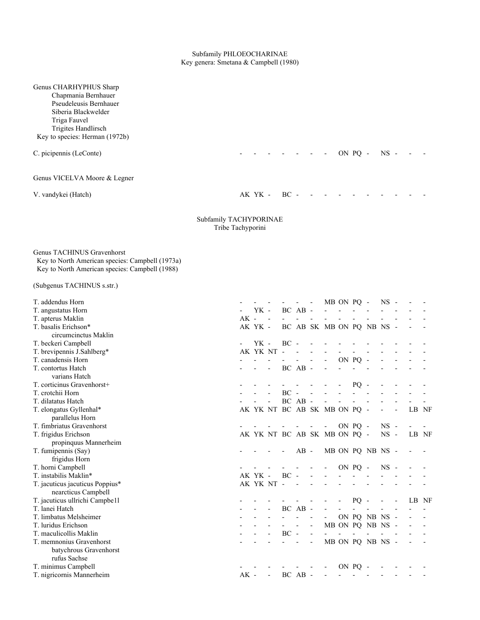#### Subfamily PHLOEOCHARINAE Key genera: Smetana & Campbell (1980)

| Genus CHARHYPHUS Sharp<br>Chapmania Bernhauer<br>Pseudeleusis Bernhauer<br>Siberia Blackwelder<br>Triga Fauvel<br>Trigites Handlirsch<br>Key to species: Herman (1972b) |                   |         |                              |        |         |                          |                                   |            |         |                          |        |  |       |
|-------------------------------------------------------------------------------------------------------------------------------------------------------------------------|-------------------|---------|------------------------------|--------|---------|--------------------------|-----------------------------------|------------|---------|--------------------------|--------|--|-------|
| C. picipennis (LeConte)                                                                                                                                                 |                   |         |                              |        |         |                          |                                   |            | ON PQ - |                          | $NS -$ |  |       |
| Genus VICELVA Moore & Legner                                                                                                                                            |                   |         |                              |        |         |                          |                                   |            |         |                          |        |  |       |
| V. vandykei (Hatch)                                                                                                                                                     |                   | AK YK - |                              | BC     |         |                          |                                   |            |         |                          |        |  |       |
| Subfamily TACHYPORINAE                                                                                                                                                  | Tribe Tachyporini |         |                              |        |         |                          |                                   |            |         |                          |        |  |       |
| Genus TACHINUS Gravenhorst<br>Key to North American species: Campbell (1973a)<br>Key to North American species: Campbell (1988)<br>(Subgenus TACHINUS s.str.)           |                   |         |                              |        |         |                          |                                   |            |         |                          |        |  |       |
|                                                                                                                                                                         |                   |         |                              |        |         |                          |                                   |            |         |                          |        |  |       |
| T. addendus Horn                                                                                                                                                        |                   |         |                              |        |         |                          |                                   | MB ON PO - |         |                          | $NS -$ |  |       |
| T. angustatus Horn                                                                                                                                                      | $AK -$            | YK -    | $\sim$                       |        | BC AB - |                          |                                   |            |         |                          |        |  |       |
| T. apterus Maklin<br>T. basalis Erichson*                                                                                                                               |                   | AK YK - |                              |        |         |                          | BC AB SK MB ON PQ NB NS -         |            |         |                          |        |  |       |
| circumcinctus Maklin                                                                                                                                                    |                   |         |                              |        |         |                          |                                   |            |         |                          |        |  |       |
| T. beckeri Campbell                                                                                                                                                     |                   | YK -    |                              | $BC -$ |         |                          |                                   |            |         |                          |        |  |       |
| T. brevipennis J.Sahlberg*                                                                                                                                              |                   |         | AK YK NT -                   |        |         |                          |                                   |            |         |                          |        |  |       |
| T. canadensis Horn                                                                                                                                                      |                   |         |                              |        |         |                          |                                   |            | ON PQ   |                          |        |  |       |
| T. contortus Hatch                                                                                                                                                      |                   |         | $\overline{\phantom{a}}$     |        | BC AB - |                          |                                   |            |         |                          |        |  |       |
| varians Hatch                                                                                                                                                           |                   |         |                              |        |         |                          |                                   |            |         |                          |        |  |       |
| T. corticinus Gravenhorst+                                                                                                                                              |                   |         |                              |        |         |                          |                                   |            | $PQ -$  |                          |        |  |       |
| T. crotchii Horn                                                                                                                                                        |                   |         |                              | $BC -$ |         |                          |                                   |            |         |                          |        |  |       |
| T. dilatatus Hatch                                                                                                                                                      |                   |         | $\qquad \qquad \blacksquare$ |        | BC AB - |                          |                                   |            |         |                          |        |  |       |
| T. elongatus Gyllenhal*                                                                                                                                                 |                   |         |                              |        |         |                          | AK YK NT BC AB SK MB ON PQ -      |            |         |                          |        |  | LB NF |
| parallelus Horn                                                                                                                                                         |                   |         |                              |        |         |                          |                                   |            |         |                          |        |  |       |
| T. fimbriatus Gravenhorst                                                                                                                                               |                   |         |                              |        |         | $\overline{\phantom{a}}$ | $\overline{\phantom{a}}$          |            | ON PQ - |                          | $NS -$ |  |       |
| T. frigidus Erichson                                                                                                                                                    |                   |         |                              |        |         |                          | AK YK NT BC AB SK MB ON PQ - NS - |            |         |                          |        |  | LB NF |
| propinquus Mannerheim                                                                                                                                                   |                   |         |                              |        |         |                          |                                   |            |         |                          |        |  |       |
| T. fumipennis (Say)                                                                                                                                                     |                   |         |                              |        | $AB -$  |                          |                                   |            |         | MB ON PQ NB NS -         |        |  |       |
| frigidus Horn                                                                                                                                                           |                   |         |                              |        |         |                          |                                   |            |         |                          |        |  |       |
| T. horni Campbell                                                                                                                                                       |                   |         |                              |        |         |                          |                                   |            | ON PQ - |                          | $NS -$ |  |       |
| T. instabilis Maklin*                                                                                                                                                   |                   | AK YK - |                              | $BC -$ |         |                          |                                   |            |         |                          |        |  |       |
| T. jacuticus jacuticus Poppius*                                                                                                                                         |                   |         | AK YK NT -                   |        |         |                          |                                   |            |         |                          |        |  |       |
| nearcticus Campbell                                                                                                                                                     |                   |         |                              |        |         |                          |                                   |            |         |                          |        |  |       |
| T. jacuticus ullrichi Campbe11                                                                                                                                          |                   |         |                              |        |         |                          |                                   |            | PQ      | $\overline{\phantom{a}}$ |        |  | LB NF |
| T. lanei Hatch                                                                                                                                                          |                   |         |                              |        | BC AB - |                          |                                   |            |         |                          |        |  |       |
| T. limbatus Melsheimer                                                                                                                                                  |                   |         |                              |        |         |                          |                                   |            |         | ON PQ NB NS -            |        |  |       |
| T. luridus Erichson                                                                                                                                                     |                   |         |                              |        |         |                          |                                   |            |         | MB ON PQ NB NS -         |        |  |       |
| T. maculicollis Maklin                                                                                                                                                  |                   |         |                              | $BC -$ |         | $\overline{\phantom{0}}$ |                                   |            |         |                          |        |  |       |
| T. memnonius Gravenhorst                                                                                                                                                |                   |         |                              |        |         | $\overline{\phantom{0}}$ |                                   |            |         | MB ON PQ NB NS -         |        |  |       |
| batychrous Gravenhorst<br>rufus Sachse                                                                                                                                  |                   |         |                              |        |         |                          |                                   |            |         |                          |        |  |       |
| T. minimus Campbell                                                                                                                                                     |                   |         |                              |        |         |                          |                                   |            | ON PQ   |                          |        |  |       |
| T. nigricornis Mannerheim                                                                                                                                               | $AK -$            |         | $\overline{\phantom{a}}$     |        | BC AB - |                          |                                   |            |         |                          |        |  |       |
|                                                                                                                                                                         |                   |         |                              |        |         |                          |                                   |            |         |                          |        |  |       |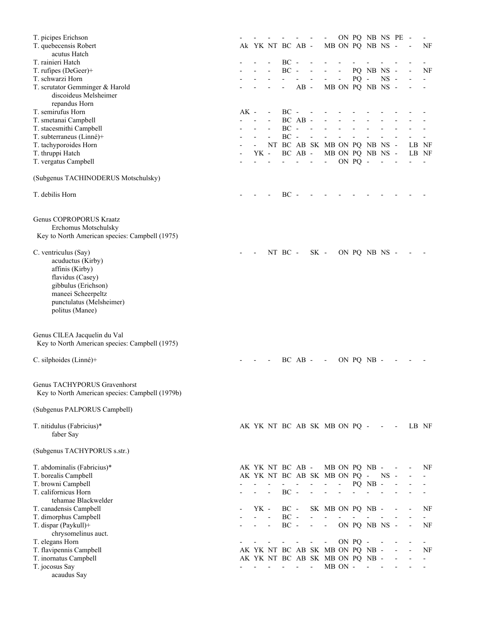| T. picipes Erichson                                                                                                                                                          |        |      |                          |                  |                          |                          |                                 |                          |         | ON PQ NB NS PE   |            |                          |       | $\overline{\phantom{a}}$ |
|------------------------------------------------------------------------------------------------------------------------------------------------------------------------------|--------|------|--------------------------|------------------|--------------------------|--------------------------|---------------------------------|--------------------------|---------|------------------|------------|--------------------------|-------|--------------------------|
| T. quebecensis Robert                                                                                                                                                        |        |      |                          | Ak YK NT BC AB - |                          |                          |                                 |                          |         | MB ON PQ NB NS - |            |                          |       | NF                       |
| acutus Hatch                                                                                                                                                                 |        |      |                          |                  |                          |                          |                                 |                          |         |                  |            |                          |       |                          |
| T. rainieri Hatch                                                                                                                                                            |        |      |                          | $BC -$           |                          |                          |                                 |                          |         |                  |            |                          |       |                          |
| T. rufipes (DeGeer)+                                                                                                                                                         |        |      |                          | $BC -$           |                          |                          |                                 | $\overline{\phantom{a}}$ |         | PQ NB NS -       |            |                          |       | NF                       |
| T. schwarzi Horn                                                                                                                                                             |        |      |                          |                  |                          | $\frac{1}{2}$            | $\sim$                          | $\overline{\phantom{a}}$ | $PQ -$  |                  | $NS -$     |                          |       |                          |
| T. scrutator Gemminger & Harold<br>discoideus Melsheimer                                                                                                                     |        |      |                          |                  | $AB -$                   |                          |                                 |                          |         | MB ON PQ NB NS - |            |                          |       |                          |
| repandus Horn                                                                                                                                                                |        |      |                          |                  |                          |                          |                                 |                          |         |                  |            |                          |       |                          |
| T. semirufus Horn<br>T. smetanai Campbell                                                                                                                                    | $AK -$ |      | $\overline{\phantom{a}}$ | $BC -$           | BC AB -                  |                          |                                 |                          |         |                  |            |                          |       |                          |
| T. stacesmithi Campbell                                                                                                                                                      |        |      |                          | BC               | $\overline{\phantom{a}}$ |                          |                                 |                          |         |                  |            |                          |       |                          |
| T. subterraneus (Linné)+                                                                                                                                                     |        |      |                          | $BC -$           |                          | $\overline{a}$           |                                 |                          |         |                  |            |                          |       |                          |
| T. tachyporoides Horn                                                                                                                                                        |        |      |                          |                  |                          |                          | NT BC AB SK MB ON PQ NB NS -    |                          |         |                  |            |                          | LB NF |                          |
| T. thruppi Hatch                                                                                                                                                             |        | YK - |                          |                  | BC AB -                  |                          |                                 |                          |         | MB ON PQ NB NS - |            |                          | LB NF |                          |
| T. vergatus Campbell                                                                                                                                                         |        |      |                          |                  |                          |                          |                                 |                          | ON PQ - |                  |            |                          |       |                          |
| (Subgenus TACHINODERUS Motschulsky)                                                                                                                                          |        |      |                          |                  |                          |                          |                                 |                          |         |                  |            |                          |       |                          |
| T. debilis Horn                                                                                                                                                              |        |      |                          | $BC -$           |                          |                          |                                 |                          |         |                  |            |                          |       |                          |
|                                                                                                                                                                              |        |      |                          |                  |                          |                          |                                 |                          |         |                  |            |                          |       |                          |
| Genus COPROPORUS Kraatz<br>Erchomus Motschulsky<br>Key to North American species: Campbell (1975)                                                                            |        |      |                          |                  |                          |                          |                                 |                          |         |                  |            |                          |       |                          |
| C. ventriculus (Say)<br>acuductus (Kirby)<br>affinis (Kirby)<br>flavidus (Casey)<br>gibbulus (Erichson)<br>maneei Scheerpeltz<br>punctulatus (Melsheimer)<br>politus (Manee) |        |      |                          | NT BC -          |                          | $SK -$                   |                                 |                          |         | ON PQ NB NS -    |            |                          |       |                          |
| Genus CILEA Jacquelin du Val<br>Key to North American species: Campbell (1975)                                                                                               |        |      |                          |                  |                          |                          |                                 |                          |         |                  |            |                          |       |                          |
| C. silphoides (Linné)+                                                                                                                                                       |        |      |                          |                  | $BC$ $AB$ -              |                          | $\overline{\phantom{a}}$        |                          |         | ON PQ NB -       |            |                          |       |                          |
| Genus TACHYPORUS Gravenhorst<br>Key to North American species: Campbell (1979b)                                                                                              |        |      |                          |                  |                          |                          |                                 |                          |         |                  |            |                          |       |                          |
| (Subgenus PALPORUS Campbell)                                                                                                                                                 |        |      |                          |                  |                          |                          |                                 |                          |         |                  |            |                          |       |                          |
| T. nitidulus (Fabricius)*<br>faber Say                                                                                                                                       |        |      |                          |                  |                          |                          | AK YK NT BC AB SK MB ON PQ -    |                          |         |                  | $\sim 100$ | $\overline{\phantom{a}}$ | LB NF |                          |
| (Subgenus TACHYPORUS s.str.)                                                                                                                                                 |        |      |                          |                  |                          |                          |                                 |                          |         |                  |            |                          |       |                          |
| T. abdominalis (Fabricius)*                                                                                                                                                  |        |      |                          | AK YK NT BC AB - |                          |                          |                                 |                          |         | MB ON PQ NB -    |            |                          |       | NF                       |
| T. borealis Campbell                                                                                                                                                         |        |      |                          |                  |                          |                          | AK YK NT BC AB SK MB ON PQ -    |                          |         |                  | $NS -$     |                          |       |                          |
| T. browni Campbell                                                                                                                                                           |        |      |                          |                  | $\overline{\phantom{a}}$ | $\overline{\phantom{0}}$ | $\blacksquare$                  | $\sim$                   |         | PQ NB -          |            |                          |       |                          |
| T. californicus Horn                                                                                                                                                         |        |      | $\overline{\phantom{a}}$ | $BC -$           |                          |                          |                                 |                          |         |                  |            |                          |       |                          |
| tehamae Blackwelder                                                                                                                                                          |        |      |                          |                  |                          |                          |                                 |                          |         |                  |            |                          |       |                          |
| T. canadensis Campbell                                                                                                                                                       |        | YK - |                          | $BC -$           |                          |                          | SK MB ON PQ NB -                |                          |         |                  |            |                          |       | NF                       |
| T. dimorphus Campbell                                                                                                                                                        |        |      | ÷,                       | $BC -$           |                          |                          |                                 |                          |         |                  |            |                          |       |                          |
| T. dispar (Paykull)+                                                                                                                                                         |        |      | $\overline{a}$           | $BC -$           |                          | $\overline{\phantom{0}}$ | $\overline{\phantom{a}}$        |                          |         | ON PQ NB NS -    |            |                          |       | NF                       |
| chrysomelinus auct.                                                                                                                                                          |        |      |                          |                  |                          |                          |                                 |                          |         |                  |            |                          |       |                          |
| T. elegans Horn                                                                                                                                                              |        |      |                          |                  |                          |                          | $\qquad \qquad \blacksquare$    |                          | ON PQ - |                  |            |                          |       |                          |
| T. flavipennis Campbell                                                                                                                                                      |        |      |                          |                  |                          |                          | AK YK NT BC AB SK MB ON PQ NB - |                          |         |                  |            |                          |       | NF                       |
| T. inornatus Campbell                                                                                                                                                        |        |      |                          |                  |                          |                          | AK YK NT BC AB SK MB ON PQ NB - |                          |         |                  |            |                          |       | $\overline{\phantom{0}}$ |
| T. jocosus Say                                                                                                                                                               |        |      |                          |                  |                          |                          |                                 | MB ON -                  |         |                  |            |                          |       |                          |
| acaudus Say                                                                                                                                                                  |        |      |                          |                  |                          |                          |                                 |                          |         |                  |            |                          |       |                          |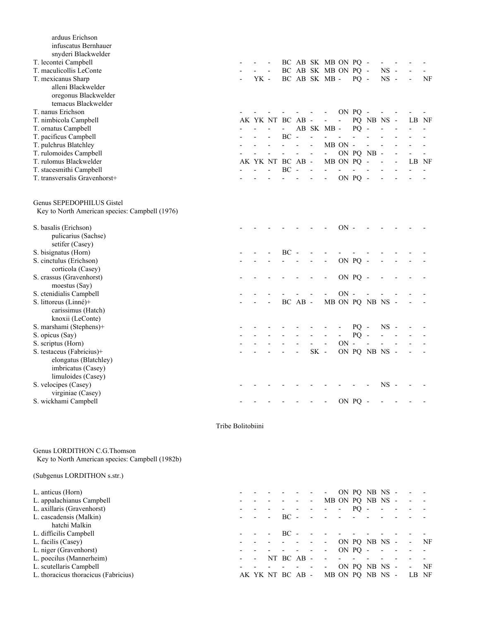| arduus Erichson<br>infuscatus Bernhauer<br>snyderi Blackwelder              |      |                  |         |                          |                          |                |         |                  |           |       |                          |
|-----------------------------------------------------------------------------|------|------------------|---------|--------------------------|--------------------------|----------------|---------|------------------|-----------|-------|--------------------------|
| T. lecontei Campbell                                                        |      |                  |         |                          | BC AB SK MB ON PQ -      |                |         |                  |           |       |                          |
| T. maculicollis LeConte                                                     |      |                  |         |                          | BC AB SK MB ON PQ -      |                |         |                  | <b>NS</b> |       |                          |
| T. mexicanus Sharp                                                          | YK - |                  |         |                          | BC AB SK MB -            |                | $PQ -$  |                  | $NS -$    |       | NF                       |
| alleni Blackwelder                                                          |      |                  |         |                          |                          |                |         |                  |           |       |                          |
| oregonus Blackwelder                                                        |      |                  |         |                          |                          |                |         |                  |           |       |                          |
| temacus Blackwelder                                                         |      |                  |         |                          |                          |                |         |                  |           |       |                          |
| T. nanus Erichson                                                           |      |                  |         | $\overline{\phantom{a}}$ | $\overline{\phantom{a}}$ |                | ON PQ - |                  |           |       |                          |
| T. nimbicola Campbell                                                       |      | AK YK NT BC AB - |         |                          | $\overline{\phantom{a}}$ | $\blacksquare$ |         | PQ NB NS -       |           | LB NF |                          |
| T. ornatus Campbell                                                         |      | $\blacksquare$   |         |                          | AB SK MB -               |                | PQ      | $\sim$           |           |       |                          |
| T. pacificus Campbell                                                       |      | $BC -$           |         |                          |                          |                |         |                  |           |       |                          |
| T. pulchrus Blatchley                                                       |      | $\overline{a}$   |         |                          |                          | MB ON -        |         |                  |           |       |                          |
| T. rulomoides Campbell                                                      |      |                  |         | ÷,                       | $\blacksquare$           |                |         | ON PQ NB -       |           |       | $\overline{\phantom{0}}$ |
| T. rulomus Blackwelder                                                      |      | AK YK NT BC AB - |         |                          |                          | MB ON PQ -     |         |                  |           | LB NF |                          |
| T. stacesmithi Campbell                                                     |      | $BC -$           |         |                          |                          |                |         |                  |           |       |                          |
| T. transversalis Gravenhorst+                                               |      |                  |         |                          |                          |                | ON PQ - |                  |           |       |                          |
| Genus SEPEDOPHILUS Gistel<br>Key to North American species: Campbell (1976) |      |                  |         |                          |                          |                |         |                  |           |       |                          |
| S. basalis (Erichson)                                                       |      |                  |         |                          |                          | $ON -$         |         |                  |           |       |                          |
| pulicarius (Sachse)                                                         |      |                  |         |                          |                          |                |         |                  |           |       |                          |
| setifer (Casey)                                                             |      |                  |         |                          |                          |                |         |                  |           |       |                          |
| S. bisignatus (Horn)                                                        |      | $BC -$           |         |                          |                          |                |         |                  |           |       |                          |
| S. cinctulus (Erichson)                                                     |      |                  |         |                          |                          |                | ON PQ - |                  |           |       |                          |
| corticola (Casey)                                                           |      |                  |         |                          |                          |                |         |                  |           |       |                          |
| S. crassus (Gravenhorst)                                                    |      |                  |         |                          |                          |                | ON PQ - |                  |           |       |                          |
| moestus (Say)                                                               |      |                  |         |                          |                          |                |         |                  |           |       |                          |
| S. ctenidialis Campbell                                                     |      |                  |         |                          |                          | $ON -$         |         |                  |           |       |                          |
| S. littoreus (Linné)+                                                       |      |                  | BC AB - |                          |                          |                |         | MB ON PQ NB NS - |           |       |                          |
| carissimus (Hatch)                                                          |      |                  |         |                          |                          |                |         |                  |           |       |                          |
| knoxii (LeConte)                                                            |      |                  |         |                          |                          |                |         |                  |           |       |                          |
| S. marshami (Stephens)+                                                     |      |                  |         |                          |                          |                | $PQ -$  |                  | <b>NS</b> |       |                          |
| S. opicus (Say)                                                             |      |                  |         |                          |                          |                | $PQ -$  |                  |           |       |                          |
| S. scriptus (Horn)                                                          |      |                  |         |                          |                          | $ON -$         |         | $\frac{1}{2}$    |           |       |                          |
| S. testaceus (Fabricius)+                                                   |      |                  |         | SK-                      |                          |                |         | ON PQ NB NS -    |           |       |                          |
| elongatus (Blatchley)                                                       |      |                  |         |                          |                          |                |         |                  |           |       |                          |
| imbricatus (Casey)                                                          |      |                  |         |                          |                          |                |         |                  |           |       |                          |
| limuloides (Casey)                                                          |      |                  |         |                          |                          |                |         |                  |           |       |                          |
| S. velocipes (Casey)                                                        |      |                  |         |                          |                          |                |         |                  | <b>NS</b> |       |                          |
| virginiae (Casey)                                                           |      |                  |         |                          |                          |                |         |                  |           |       |                          |
| S. wickhami Campbell                                                        |      |                  |         |                          |                          |                | ON PQ   |                  |           |       |                          |

### Tribe Bolitobiini

Genus LORDITHON C.G.Thomson Key to North American species: Campbell (1982b)

# (Subgenus LORDITHON s.str.)

| L. anticus (Horn)                    |                  |          |   | $\overline{\phantom{a}}$ |                          |     | ON PQ NB NS -    |                          | $\overline{\phantom{a}}$ |    |
|--------------------------------------|------------------|----------|---|--------------------------|--------------------------|-----|------------------|--------------------------|--------------------------|----|
| L. appalachianus Campbell            |                  |          | - |                          |                          |     | MB ON PQ NB NS - |                          | $\sim$                   |    |
| L. axillaris (Gravenhorst)           |                  |          |   |                          | $\overline{\phantom{a}}$ | PO. |                  | $\overline{\phantom{a}}$ |                          |    |
| L. cascadensis (Malkin)              |                  | $BC -$   |   | <b>Contract Contract</b> |                          |     |                  |                          |                          |    |
| hatchi Malkin                        |                  |          |   |                          |                          |     |                  |                          |                          |    |
| L. difficilis Campbell               |                  | BC.      |   |                          |                          |     |                  |                          |                          |    |
| L. facilis (Casey)                   |                  |          |   | $\overline{\phantom{a}}$ |                          |     | ON PQ NB NS -    |                          | $-$ NF                   |    |
| L. niger (Gravenhorst)               |                  |          |   | $\overline{\phantom{a}}$ | $ON PO -$                |     |                  | $\sim$                   |                          |    |
| L. poecilus (Mannerheim)             | ۰                | NT BC AB |   |                          |                          |     |                  |                          |                          |    |
| L. scutellaris Campbell              |                  |          |   | $\overline{\phantom{a}}$ |                          |     | ON PQ NB NS -    |                          | $\overline{\phantom{a}}$ | NF |
| L. thoracicus thoracicus (Fabricius) | AK YK NT BC AB - |          |   | MB ON PO NB NS -         |                          |     |                  |                          | LB NF                    |    |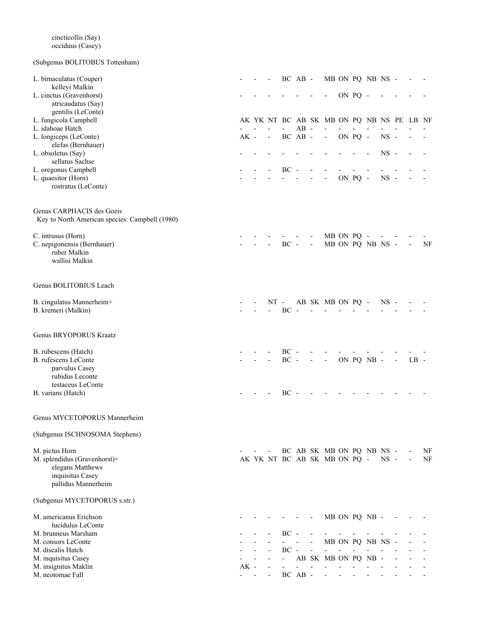# (Subgenus BOLITOBUS Tottenham)

| L. bimaculatus (Couper)                        |        |                          |                          | BC AB - |                              |                                           |            |         | MB ON PQ NB NS - |        |                          |        |    |
|------------------------------------------------|--------|--------------------------|--------------------------|---------|------------------------------|-------------------------------------------|------------|---------|------------------|--------|--------------------------|--------|----|
| kelleyi Malkin                                 |        |                          |                          |         |                              |                                           |            |         |                  |        |                          |        |    |
| L. cinctus (Gravenhorst)                       |        |                          |                          |         |                              | $\qquad \qquad \blacksquare$              |            | ON PQ - |                  |        |                          |        |    |
| atricaudatus (Say)                             |        |                          |                          |         |                              |                                           |            |         |                  |        |                          |        |    |
| gentilis (LeConte)                             |        |                          |                          |         |                              |                                           |            |         |                  |        |                          |        |    |
| L. fungicola Campbell                          |        |                          |                          |         |                              | AK YK NT BC AB SK MB ON PQ NB NS PE LB NF |            |         |                  |        |                          |        |    |
| L. idahoae Hatch                               |        |                          | $\overline{\phantom{0}}$ | $AB -$  |                              |                                           |            |         |                  |        |                          |        |    |
| L. longiceps (LeConte)                         | $AK -$ | $\overline{\phantom{a}}$ |                          | BC AB - |                              | $\blacksquare$                            |            | ON PQ - |                  | $NS -$ |                          |        |    |
| elefas (Bernhauer)                             |        |                          |                          |         |                              |                                           |            |         |                  | $NS -$ |                          |        |    |
| L. obsoletus (Say)<br>sellatus Sachse          |        |                          |                          |         |                              |                                           |            |         |                  |        |                          |        |    |
| L. oregonus Campbell                           |        |                          | $BC -$                   |         |                              |                                           |            |         |                  |        |                          |        |    |
| L. quaesitor (Horn)                            |        |                          |                          |         |                              |                                           |            | ON PQ - |                  | $NS -$ |                          |        |    |
| rostratus (LeConte)                            |        |                          |                          |         |                              |                                           |            |         |                  |        |                          |        |    |
|                                                |        |                          |                          |         |                              |                                           |            |         |                  |        |                          |        |    |
| Genus CARPHACIS des Gozis                      |        |                          |                          |         |                              |                                           |            |         |                  |        |                          |        |    |
| Key to North American species: Campbell (1980) |        |                          |                          |         |                              |                                           |            |         |                  |        |                          |        |    |
|                                                |        |                          |                          |         |                              |                                           |            |         |                  |        |                          |        |    |
| C. intrusus (Horn)                             |        |                          |                          |         |                              |                                           | MB ON PQ - |         |                  |        |                          |        |    |
| C. nepigonensis (Bernhauer)                    |        |                          | $BC -$                   |         | $\qquad \qquad \blacksquare$ |                                           |            |         | MB ON PQ NB NS - |        |                          |        | NF |
| ruber Malkin                                   |        |                          |                          |         |                              |                                           |            |         |                  |        |                          |        |    |
| wallisi Malkin                                 |        |                          |                          |         |                              |                                           |            |         |                  |        |                          |        |    |
|                                                |        |                          |                          |         |                              |                                           |            |         |                  |        |                          |        |    |
| Genus BOLITOBIUS Leach                         |        |                          |                          |         |                              |                                           |            |         |                  |        |                          |        |    |
| B. cingulatus Mannerheim+                      |        | $NT -$                   |                          |         |                              | AB SK MB ON PQ -                          |            |         |                  | $NS -$ |                          |        |    |
| B. kremeri (Malkin)                            |        |                          | $BC -$                   |         |                              |                                           |            |         |                  |        |                          |        |    |
|                                                |        |                          |                          |         |                              |                                           |            |         |                  |        |                          |        |    |
| Genus BRYOPORUS Kraatz                         |        |                          |                          |         |                              |                                           |            |         |                  |        |                          |        |    |
| B. rubescens (Hatch)                           |        |                          | $BC -$                   |         |                              |                                           |            |         |                  |        |                          |        |    |
| B. rufescens LeConte                           |        |                          | $BC -$                   |         | $\overline{\phantom{0}}$     | $\overline{\phantom{a}}$                  |            |         | ON PQ NB -       |        | $\overline{\phantom{0}}$ | $LB -$ |    |
| parvulus Casey                                 |        |                          |                          |         |                              |                                           |            |         |                  |        |                          |        |    |
| rubidus Leconte                                |        |                          |                          |         |                              |                                           |            |         |                  |        |                          |        |    |
| testaceus LeConte                              |        |                          |                          |         |                              |                                           |            |         |                  |        |                          |        |    |
| B. varians (Hatch)                             |        |                          | $BC -$                   |         |                              |                                           |            |         |                  |        |                          |        |    |
|                                                |        |                          |                          |         |                              |                                           |            |         |                  |        |                          |        |    |
| Genus MYCETOPORUS Mannerheim                   |        |                          |                          |         |                              |                                           |            |         |                  |        |                          |        |    |
| (Subgenus ISCHNOSOMA Stephens)                 |        |                          |                          |         |                              |                                           |            |         |                  |        |                          |        |    |
| M. pictus Horn                                 |        |                          |                          |         |                              | BC AB SK MB ON PQ NB NS -                 |            |         |                  |        |                          |        | NF |
| M. splendidus (Gravenhorst)+                   |        |                          |                          |         |                              | AK YK NT BC AB SK MB ON PQ -              |            |         |                  | $NS -$ |                          |        | NF |
| elegans Matthews                               |        |                          |                          |         |                              |                                           |            |         |                  |        |                          |        |    |
| inquisitus Casey                               |        |                          |                          |         |                              |                                           |            |         |                  |        |                          |        |    |
| pallidus Mannerheim                            |        |                          |                          |         |                              |                                           |            |         |                  |        |                          |        |    |
| (Subgenus MYCETOPORUS s.str.)                  |        |                          |                          |         |                              |                                           |            |         |                  |        |                          |        |    |
| M. americanus Erichson                         |        |                          |                          |         |                              |                                           |            |         | MB ON PQ NB -    |        |                          |        |    |
| lucidulus LeConte                              |        |                          |                          |         |                              |                                           |            |         |                  |        |                          |        |    |
| M. brunneus Marsham                            |        |                          | $BC -$                   |         |                              |                                           |            |         |                  |        |                          |        |    |
| M. consors LeConte                             |        |                          |                          |         |                              |                                           |            |         | MB ON PQ NB NS   |        |                          |        |    |
| M. discalis Hatch                              |        |                          | $BC -$                   |         |                              |                                           |            |         |                  |        |                          |        |    |
| M. inquisitus Casey                            |        |                          |                          |         |                              | AB SK MB ON PQ NB -                       |            |         |                  |        |                          |        |    |
| M. insignitus Maklin                           | $AK -$ |                          |                          |         |                              |                                           |            |         |                  |        |                          |        |    |
| M. neotomae Fall                               | $\sim$ |                          |                          | BC AB - |                              |                                           |            |         |                  |        |                          |        |    |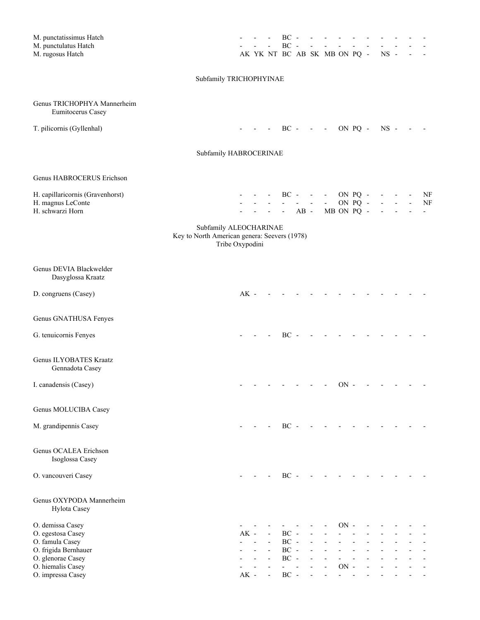| M. punctatissimus Hatch<br>M. punctulatus Hatch<br>M. rugosus Hatch                       |        |                          | $\overline{\phantom{a}}$ | $BC -$<br>$BC -$    |        | $\blacksquare$ | AK YK NT BC AB SK MB ON PQ -                                          |        |         | $NS -$ |        |                          |          |
|-------------------------------------------------------------------------------------------|--------|--------------------------|--------------------------|---------------------|--------|----------------|-----------------------------------------------------------------------|--------|---------|--------|--------|--------------------------|----------|
| Subfamily TRICHOPHYINAE                                                                   |        |                          |                          |                     |        |                |                                                                       |        |         |        |        |                          |          |
| Genus TRICHOPHYA Mannerheim<br>Eumitocerus Casey                                          |        |                          |                          |                     |        |                |                                                                       |        |         |        |        |                          |          |
| T. pilicornis (Gyllenhal)                                                                 |        |                          | $\overline{\phantom{a}}$ |                     |        |                | $BC - - - ON PQ -$                                                    |        |         | $NS -$ |        |                          |          |
| Subfamily HABROCERINAE                                                                    |        |                          |                          |                     |        |                |                                                                       |        |         |        |        |                          |          |
| Genus HABROCERUS Erichson                                                                 |        |                          |                          |                     |        |                |                                                                       |        |         |        |        |                          |          |
| H. capillaricornis (Gravenhorst)<br>H. magnus LeConte<br>H. schwarzi Horn                 |        |                          | $\omega_{\rm{max}}$      | $\omega_{\rm{max}}$ | $\sim$ |                | $BC - - - ON PQ -$<br><b>Contract Contract</b><br>- $AB - MB ON PQ -$ |        | ON PQ - |        | $\sim$ | $\overline{\phantom{a}}$ | NF<br>NF |
| Subfamily ALEOCHARINAE<br>Key to North American genera: Seevers (1978)<br>Tribe Oxypodini |        |                          |                          |                     |        |                |                                                                       |        |         |        |        |                          |          |
| Genus DEVIA Blackwelder<br>Dasyglossa Kraatz                                              |        |                          |                          |                     |        |                |                                                                       |        |         |        |        |                          |          |
| D. congruens (Casey)                                                                      | $AK -$ |                          |                          |                     |        |                |                                                                       |        |         |        |        |                          |          |
| Genus GNATHUSA Fenyes                                                                     |        |                          |                          |                     |        |                |                                                                       |        |         |        |        |                          |          |
| G. tenuicornis Fenyes                                                                     |        |                          |                          | $BC -$              |        |                |                                                                       |        |         |        |        |                          |          |
| Genus ILYOBATES Kraatz<br>Gennadota Casey                                                 |        |                          |                          |                     |        |                |                                                                       |        |         |        |        |                          |          |
| I. canadensis (Casey)                                                                     |        |                          |                          |                     |        |                |                                                                       | ON -   |         |        |        |                          |          |
| Genus MOLUCIBA Casey                                                                      |        |                          |                          |                     |        |                |                                                                       |        |         |        |        |                          |          |
| M. grandipennis Casey                                                                     |        |                          |                          | $BC -$              |        |                |                                                                       |        |         |        |        |                          |          |
| Genus OCALEA Erichson<br>Isoglossa Casey                                                  |        |                          |                          |                     |        |                |                                                                       |        |         |        |        |                          |          |
| O. vancouveri Casey                                                                       |        |                          |                          | $BC -$              |        |                |                                                                       |        |         |        |        |                          |          |
| Genus OXYPODA Mannerheim<br>Hylota Casey                                                  |        |                          |                          |                     |        |                |                                                                       |        |         |        |        |                          |          |
| O. demissa Casey                                                                          |        |                          |                          |                     |        |                |                                                                       | $ON -$ |         |        |        |                          |          |
| O. egestosa Casey<br>O. famula Casey                                                      | $AK -$ | $\overline{\phantom{a}}$ | $\overline{a}$           | $BC -$<br>$BC -$    |        |                |                                                                       |        |         |        |        |                          |          |
| O. frigida Bernhauer                                                                      |        |                          |                          | $BC -$              |        |                |                                                                       |        |         |        |        |                          |          |
| O. glenorae Casey                                                                         |        |                          | $\overline{\phantom{a}}$ | $BC -$              |        |                |                                                                       |        |         |        |        |                          |          |
| O. hiemalis Casey                                                                         |        |                          |                          |                     |        |                |                                                                       | $ON -$ |         |        |        |                          |          |
| O. impressa Casey                                                                         | $AK -$ |                          |                          | $BC -$              |        |                |                                                                       |        |         |        |        |                          |          |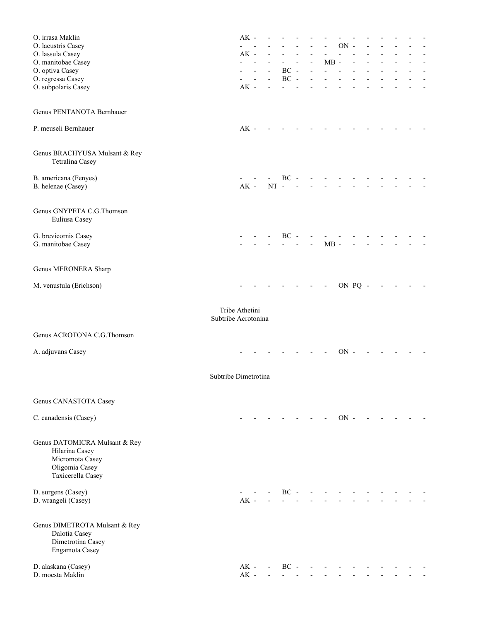| O. irrasa Maklin                                                                                          |                                       | $AK -$           |                          |                          |        |                |        |        |         |  |  |               |
|-----------------------------------------------------------------------------------------------------------|---------------------------------------|------------------|--------------------------|--------------------------|--------|----------------|--------|--------|---------|--|--|---------------|
| O. lacustris Casey                                                                                        |                                       |                  |                          |                          |        |                |        | $ON -$ |         |  |  |               |
| O. lassula Casey                                                                                          |                                       | $AK -$           |                          |                          |        |                |        |        |         |  |  |               |
| O. manitobae Casey<br>O. optiva Casey                                                                     |                                       |                  |                          |                          | $BC -$ | $\overline{a}$ | $MB -$ |        |         |  |  | $\frac{1}{2}$ |
| O. regressa Casey                                                                                         |                                       |                  | $\overline{\phantom{a}}$ | $\overline{\phantom{a}}$ | $BC -$ |                |        |        |         |  |  |               |
| O. subpolaris Casey                                                                                       |                                       | $AK -$           |                          |                          |        |                |        |        |         |  |  |               |
|                                                                                                           |                                       |                  |                          |                          |        |                |        |        |         |  |  |               |
| Genus PENTANOTA Bernhauer                                                                                 |                                       |                  |                          |                          |        |                |        |        |         |  |  |               |
| P. meuseli Bernhauer                                                                                      |                                       | $AK -$           |                          |                          |        |                |        |        |         |  |  |               |
| Genus BRACHYUSA Mulsant & Rey<br>Tetralina Casey                                                          |                                       |                  |                          |                          |        |                |        |        |         |  |  |               |
| B. americana (Fenyes)<br>B. helenae (Casey)                                                               |                                       | $AK -$           |                          | $NT -$                   | $BC -$ |                |        |        |         |  |  |               |
| Genus GNYPETA C.G.Thomson<br>Euliusa Casey                                                                |                                       |                  |                          |                          |        |                |        |        |         |  |  |               |
| G. brevicornis Casey<br>G. manitobae Casey                                                                |                                       |                  |                          |                          | $BC -$ | $\overline{a}$ | $MB -$ |        |         |  |  |               |
| Genus MERONERA Sharp                                                                                      |                                       |                  |                          |                          |        |                |        |        |         |  |  |               |
| M. venustula (Erichson)                                                                                   |                                       |                  |                          |                          |        |                |        |        | ON PQ - |  |  |               |
|                                                                                                           | Tribe Athetini<br>Subtribe Acrotonina |                  |                          |                          |        |                |        |        |         |  |  |               |
| Genus ACROTONA C.G.Thomson                                                                                |                                       |                  |                          |                          |        |                |        |        |         |  |  |               |
| A. adjuvans Casey                                                                                         |                                       |                  |                          |                          |        |                |        | $ON -$ |         |  |  |               |
|                                                                                                           | Subtribe Dimetrotina                  |                  |                          |                          |        |                |        |        |         |  |  |               |
| Genus CANASTOTA Casey                                                                                     |                                       |                  |                          |                          |        |                |        |        |         |  |  |               |
| C. canadensis (Casey)                                                                                     |                                       |                  |                          |                          |        |                |        | $ON -$ |         |  |  |               |
| Genus DATOMICRA Mulsant & Rey<br>Hilarina Casey<br>Micromota Casey<br>Oligomia Casey<br>Taxicerella Casey |                                       |                  |                          |                          |        |                |        |        |         |  |  |               |
| D. surgens (Casey)<br>D. wrangeli (Casey)                                                                 |                                       | $AK -$           |                          |                          | $BC -$ |                |        |        |         |  |  |               |
| Genus DIMETROTA Mulsant & Rey<br>Dalotia Casey<br>Dimetrotina Casey<br>Engamota Casey                     |                                       |                  |                          |                          |        |                |        |        |         |  |  |               |
| D. alaskana (Casey)<br>D. moesta Maklin                                                                   |                                       | $AK -$<br>$AK -$ |                          |                          | $BC -$ |                |        |        |         |  |  |               |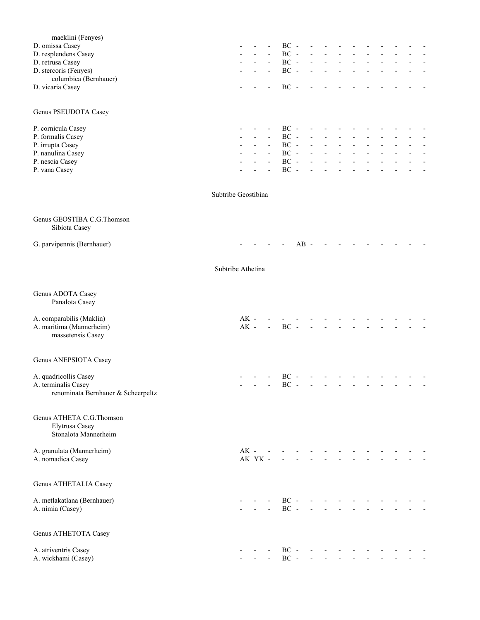| maeklini (Fenyes)<br>D. omissa Casey<br>D. resplendens Casey<br>D. retrusa Casey<br>D. stercoris (Fenyes)<br>columbica (Bernhauer)<br>D. vicaria Casey |                     |                  |         | $\overline{\phantom{a}}$<br>$\blacksquare$           | $BC -$<br>$BC -$<br>$\rm BC$ -<br>$BC -$<br>$BC -$                   |        |                          |                          |  |  |  |                          |
|--------------------------------------------------------------------------------------------------------------------------------------------------------|---------------------|------------------|---------|------------------------------------------------------|----------------------------------------------------------------------|--------|--------------------------|--------------------------|--|--|--|--------------------------|
| Genus PSEUDOTA Casey                                                                                                                                   |                     |                  |         |                                                      |                                                                      |        |                          |                          |  |  |  |                          |
| P. cornicula Casey<br>P. formalis Casey<br>P. irrupta Casey<br>P. nanulina Casey<br>P. nescia Casey<br>P. vana Casey                                   |                     |                  |         | $\overline{\phantom{a}}$<br>$\overline{\phantom{a}}$ | $BC -$<br>$BC -$<br>$\rm BC$ -<br>$\rm BC$ -<br>$\rm BC$ -<br>$BC -$ |        |                          |                          |  |  |  | $\overline{\phantom{a}}$ |
|                                                                                                                                                        | Subtribe Geostibina |                  |         |                                                      |                                                                      |        |                          |                          |  |  |  |                          |
| Genus GEOSTIBA C.G.Thomson<br>Sibiota Casey                                                                                                            |                     |                  |         |                                                      |                                                                      |        |                          |                          |  |  |  |                          |
| G. parvipennis (Bernhauer)                                                                                                                             |                     |                  |         |                                                      |                                                                      | $AB -$ |                          |                          |  |  |  |                          |
|                                                                                                                                                        | Subtribe Athetina   |                  |         |                                                      |                                                                      |        |                          |                          |  |  |  |                          |
| Genus ADOTA Casey<br>Panalota Casey                                                                                                                    |                     |                  |         |                                                      |                                                                      |        |                          |                          |  |  |  |                          |
| A. comparabilis (Maklin)<br>A. maritima (Mannerheim)<br>massetensis Casey                                                                              |                     | $AK -$<br>$AK -$ |         |                                                      | $BC -$                                                               |        |                          |                          |  |  |  |                          |
| Genus ANEPSIOTA Casey                                                                                                                                  |                     |                  |         |                                                      |                                                                      |        |                          |                          |  |  |  |                          |
| A. quadricollis Casey<br>A. terminalis Casey<br>renominata Bernhauer & Scheerpeltz                                                                     |                     |                  |         |                                                      | $BC -$<br>$BC -$                                                     |        |                          |                          |  |  |  |                          |
| Genus ATHETA C.G.Thomson<br>Elytrusa Casey<br>Stonalota Mannerheim                                                                                     |                     |                  |         |                                                      |                                                                      |        |                          |                          |  |  |  |                          |
| A. granulata (Mannerheim)<br>A. nomadica Casey                                                                                                         |                     | $AK -$           | AK YK - |                                                      |                                                                      |        |                          |                          |  |  |  |                          |
| Genus ATHETALIA Casey                                                                                                                                  |                     |                  |         |                                                      |                                                                      |        |                          |                          |  |  |  |                          |
| A. metlakatlana (Bernhauer)<br>A. nimia (Casey)                                                                                                        |                     |                  |         |                                                      | $BC -$<br>$BC -$                                                     |        | $\overline{\phantom{a}}$ |                          |  |  |  |                          |
| Genus ATHETOTA Casey                                                                                                                                   |                     |                  |         |                                                      |                                                                      |        |                          |                          |  |  |  |                          |
| A. atriventris Casey<br>A. wickhami (Casey)                                                                                                            |                     |                  |         |                                                      | $BC -$                                                               | $BC -$ | $\omega_{\rm{max}}$      | $\overline{\phantom{a}}$ |  |  |  |                          |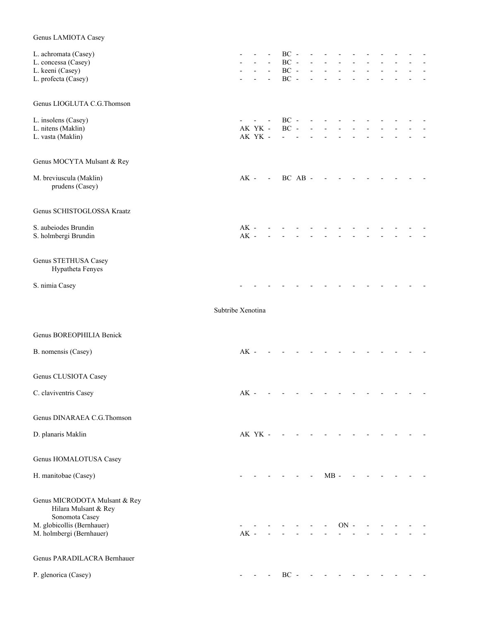| Genus LAMIOTA Casey                                                                                                               |                  |                    |                                                      |                                      |  |        |        |  |  |  |
|-----------------------------------------------------------------------------------------------------------------------------------|------------------|--------------------|------------------------------------------------------|--------------------------------------|--|--------|--------|--|--|--|
| L. achromata (Casey)<br>L. concessa (Casey)<br>L. keeni (Casey)<br>L. profecta (Casey)                                            |                  |                    | $\overline{\phantom{a}}$<br>$\overline{\phantom{a}}$ | $BC -$<br>$BC -$<br>$BC -$<br>$BC -$ |  |        |        |  |  |  |
| Genus LIOGLUTA C.G. Thomson                                                                                                       |                  |                    |                                                      |                                      |  |        |        |  |  |  |
| L. insolens (Casey)<br>L. nitens (Maklin)<br>L. vasta (Maklin)                                                                    |                  | AK YK -<br>AK YK - | $\blacksquare$                                       | $BC -$<br>$BC -$                     |  |        |        |  |  |  |
| Genus MOCYTA Mulsant & Rey                                                                                                        |                  |                    |                                                      |                                      |  |        |        |  |  |  |
| M. breviuscula (Maklin)<br>prudens (Casey)                                                                                        | $AK -$           |                    | $\sim$                                               | BC AB -                              |  |        |        |  |  |  |
| Genus SCHISTOGLOSSA Kraatz                                                                                                        |                  |                    |                                                      |                                      |  |        |        |  |  |  |
| S. aubeiodes Brundin<br>S. holmbergi Brundin                                                                                      | $AK -$<br>$AK -$ |                    |                                                      |                                      |  |        |        |  |  |  |
| Genus STETHUSA Casey<br>Hypatheta Fenyes                                                                                          |                  |                    |                                                      |                                      |  |        |        |  |  |  |
| S. nimia Casey                                                                                                                    |                  |                    |                                                      |                                      |  |        |        |  |  |  |
| Subtribe Xenotina                                                                                                                 |                  |                    |                                                      |                                      |  |        |        |  |  |  |
| Genus BOREOPHILIA Benick                                                                                                          |                  |                    |                                                      |                                      |  |        |        |  |  |  |
| B. nomensis (Casey)                                                                                                               | $AK -$           |                    |                                                      |                                      |  |        |        |  |  |  |
| Genus CLUSIOTA Casey                                                                                                              |                  |                    |                                                      |                                      |  |        |        |  |  |  |
| C. claviventris Casey                                                                                                             | $AK -$           |                    |                                                      |                                      |  |        |        |  |  |  |
| Genus DINARAEA C.G.Thomson                                                                                                        |                  |                    |                                                      |                                      |  |        |        |  |  |  |
| D. planaris Maklin                                                                                                                |                  | AK YK -            |                                                      |                                      |  |        |        |  |  |  |
| Genus HOMALOTUSA Casey                                                                                                            |                  |                    |                                                      |                                      |  |        |        |  |  |  |
| H. manitobae (Casey)                                                                                                              |                  |                    |                                                      |                                      |  | $MB -$ |        |  |  |  |
| Genus MICRODOTA Mulsant & Rey<br>Hilara Mulsant & Rey<br>Sonomota Casey<br>M. globicollis (Bernhauer)<br>M. holmbergi (Bernhauer) | $AK -$           |                    |                                                      |                                      |  |        | $ON -$ |  |  |  |
| Genus PARADILACRA Bernhauer                                                                                                       |                  |                    |                                                      |                                      |  |        |        |  |  |  |
| P. glenorica (Casey)                                                                                                              |                  |                    |                                                      | $BC -$                               |  |        |        |  |  |  |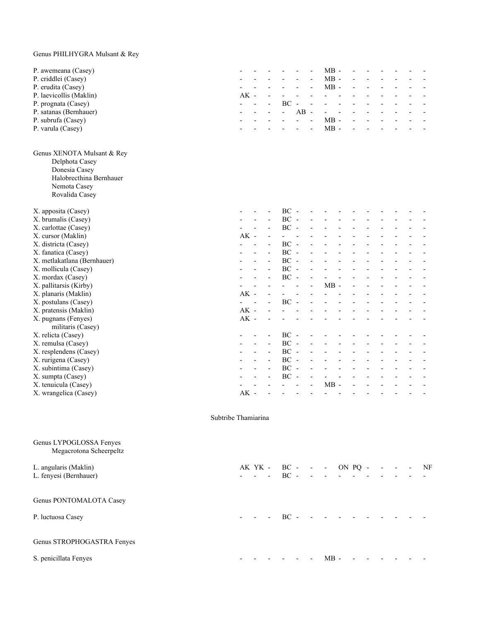# Genus PHILHYGRA Mulsant & Rey

| P. awemeana (Casey)                                |                     |        |        |                |                          |                          |                | $MB -$                   |  |                |  |    |
|----------------------------------------------------|---------------------|--------|--------|----------------|--------------------------|--------------------------|----------------|--------------------------|--|----------------|--|----|
| P. criddlei (Casey)                                |                     |        |        |                |                          |                          |                | $MB -$                   |  |                |  |    |
| P. erudita (Casey)                                 |                     |        |        |                |                          |                          | $\frac{1}{2}$  | $MB -$                   |  |                |  |    |
| P. laevicollis (Maklin)                            |                     | $AK -$ |        |                |                          |                          |                | $\overline{a}$           |  |                |  |    |
| P. prognata (Casey)                                |                     |        |        |                | $\rm BC$                 | $\overline{\phantom{a}}$ |                |                          |  |                |  |    |
| P. satanas (Bernhauer)                             |                     |        |        |                | $\overline{a}$           | $AB -$                   |                | $\frac{1}{2}$            |  |                |  |    |
| P. subrufa (Casey)                                 |                     |        |        |                |                          | $\overline{a}$           | $\frac{1}{2}$  | $MB -$                   |  |                |  |    |
| P. varula (Casey)                                  |                     |        |        |                |                          |                          |                | $MB -$                   |  |                |  |    |
| Genus XENOTA Mulsant & Rey                         |                     |        |        |                |                          |                          |                |                          |  |                |  |    |
| Delphota Casey                                     |                     |        |        |                |                          |                          |                |                          |  |                |  |    |
| Donesia Casey                                      |                     |        |        |                |                          |                          |                |                          |  |                |  |    |
| Halobrecthina Bernhauer                            |                     |        |        |                |                          |                          |                |                          |  |                |  |    |
| Nemota Casey                                       |                     |        |        |                |                          |                          |                |                          |  |                |  |    |
| Rovalida Casey                                     |                     |        |        |                |                          |                          |                |                          |  |                |  |    |
| X. apposita (Casey)                                |                     |        |        |                | $BC -$                   |                          |                |                          |  |                |  |    |
| X. brumalis (Casey)                                |                     |        |        | $\overline{a}$ | $BC -$                   |                          |                |                          |  |                |  |    |
| X. carlottae (Casey)                               |                     |        |        |                | $BC -$                   |                          |                |                          |  |                |  |    |
| X. cursor (Maklin)                                 |                     | $AK -$ |        |                |                          |                          |                |                          |  |                |  |    |
| X. districta (Casey)                               |                     |        |        |                | $BC -$                   |                          |                |                          |  |                |  |    |
| X. fanatica (Casey)                                |                     |        |        | $\overline{a}$ | $BC -$                   |                          | $\overline{a}$ |                          |  |                |  |    |
| X. metlakatlana (Bernhauer)                        |                     |        |        | $\overline{a}$ | $BC -$                   |                          |                |                          |  |                |  |    |
| X. mollicula (Casey)                               |                     |        |        |                | $BC -$                   |                          |                |                          |  |                |  |    |
| X. mordax (Casey)                                  |                     |        |        | $\overline{a}$ | $BC -$                   |                          |                |                          |  |                |  |    |
| X. pallitarsis (Kirby)                             |                     |        |        | $\overline{a}$ |                          |                          | $\overline{a}$ | $MB -$                   |  |                |  |    |
| X. planaris (Maklin)                               |                     | $AK -$ |        | $\overline{a}$ |                          |                          |                |                          |  |                |  |    |
| X. postulans (Casey)                               |                     |        |        |                | $BC -$                   |                          |                |                          |  |                |  |    |
| X. pratensis (Maklin)                              |                     | $AK -$ |        |                |                          |                          |                |                          |  |                |  |    |
| X. pugnans (Fenyes)                                |                     | $AK -$ |        |                |                          |                          |                |                          |  |                |  |    |
| militaris (Casey)                                  |                     |        |        |                |                          |                          |                |                          |  |                |  |    |
| X. relicta (Casey)                                 |                     |        |        | $\overline{a}$ | $BC -$                   |                          |                |                          |  |                |  |    |
| X. remulsa (Casey)                                 |                     |        |        | $\overline{a}$ | $BC -$                   |                          |                |                          |  |                |  |    |
| X. resplendens (Casey)                             |                     |        |        | $\overline{a}$ | $BC -$<br>$BC -$         |                          | $\overline{a}$ |                          |  |                |  |    |
| X. rurigena (Casey)                                |                     |        |        | $\overline{a}$ | $BC -$                   |                          | $\overline{a}$ |                          |  |                |  |    |
| X. subintima (Casey)                               |                     |        |        |                | $BC -$                   |                          |                |                          |  |                |  |    |
| X. sumpta (Casey)                                  |                     |        |        |                | $\overline{\phantom{0}}$ |                          | $\overline{a}$ | $MB -$                   |  | $\overline{a}$ |  |    |
| X. tenuicula (Casey)<br>X. wrangelica (Casey)      |                     | $AK -$ |        |                |                          |                          |                |                          |  |                |  |    |
|                                                    |                     |        |        |                |                          |                          |                |                          |  |                |  |    |
|                                                    | Subtribe Thamiarina |        |        |                |                          |                          |                |                          |  |                |  |    |
|                                                    |                     |        |        |                |                          |                          |                |                          |  |                |  |    |
| Genus LYPOGLOSSA Fenyes<br>Megacrotona Scheerpeltz |                     |        |        |                |                          |                          |                |                          |  |                |  |    |
| L. angularis (Maklin)                              |                     |        |        |                |                          |                          |                | AK YK - BC - - - ON PQ - |  |                |  | NF |
| L. fenyesi (Bernhauer)                             |                     |        | $\sim$ |                | $BC -$                   |                          |                |                          |  |                |  |    |
|                                                    |                     |        |        |                |                          |                          |                |                          |  |                |  |    |
| Genus PONTOMALOTA Casey                            |                     |        |        |                |                          |                          |                |                          |  |                |  |    |
| P. luctuosa Casey                                  |                     |        |        |                | $BC -$                   |                          |                |                          |  |                |  |    |
| Genus STROPHOGASTRA Fenyes                         |                     |        |        |                |                          |                          |                |                          |  |                |  |    |
| S. penicillata Fenyes                              |                     |        |        |                |                          |                          |                | $MB -$                   |  |                |  |    |
|                                                    |                     |        |        |                |                          |                          |                |                          |  |                |  |    |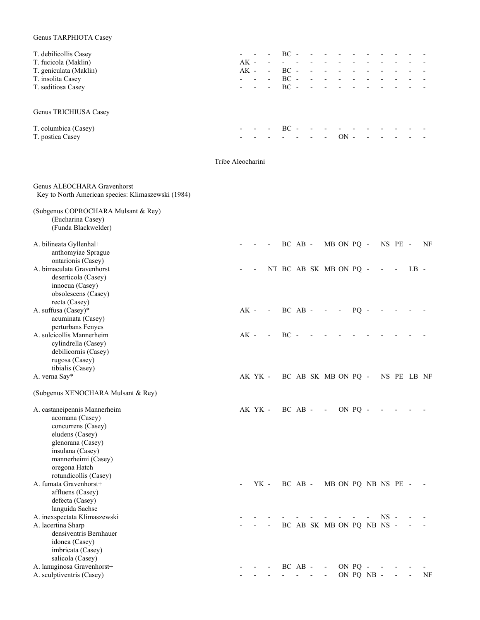# Genus TARPHIOTA Casey

| T. debilicollis Casey  | $\mathcal{L}_{\text{max}}$ , and $\mathcal{L}_{\text{max}}$ |                            | $-$ BC $-$                                 |                          |                          |    |  |  |        |
|------------------------|-------------------------------------------------------------|----------------------------|--------------------------------------------|--------------------------|--------------------------|----|--|--|--------|
| T. fucicola (Maklin)   | AK -                                                        | $\overline{\phantom{a}}$   |                                            |                          |                          |    |  |  |        |
| T. geniculata (Maklin) | AK -                                                        | $\overline{\phantom{a}}$   | $BC -$                                     | $\overline{\phantom{a}}$ |                          |    |  |  |        |
| T. insolita Casey      |                                                             | and the state of the state | $BC -$                                     |                          | and the control          |    |  |  |        |
| T. seditiosa Casey     |                                                             |                            | $- -  - BC - - - - - - - - - - - -$        |                          |                          |    |  |  | $\sim$ |
| Genus TRICHIUSA Casey  |                                                             |                            |                                            |                          |                          |    |  |  |        |
| T. columbica (Casey)   |                                                             | $\overline{a}$             | $BC -$                                     |                          |                          |    |  |  |        |
| T. postica Casey       |                                                             |                            | and the state of the state of the state of |                          | $\overline{\phantom{a}}$ | ON |  |  |        |
|                        |                                                             |                            |                                            |                          |                          |    |  |  |        |

```
 Tribe Aleocharini
```
Genus ALEOCHARA Gravenhorst Key to North American species: Klimaszewski (1984)

| (Subgenus COPROCHARA Mulsant & Rey)<br>(Eucharina Casey)<br>(Funda Blackwelder)                                                                                                                    |        |         |        |        |             |                           |                          |         |            |        |                          |                          |    |
|----------------------------------------------------------------------------------------------------------------------------------------------------------------------------------------------------|--------|---------|--------|--------|-------------|---------------------------|--------------------------|---------|------------|--------|--------------------------|--------------------------|----|
| A. bilineata Gyllenhal+<br>anthomyiae Sprague<br>ontarionis (Casey)                                                                                                                                |        |         |        |        | $BC$ $AB$ - |                           | MB ON PQ -               |         |            |        | NS PE -                  |                          | NF |
| A. bimaculata Gravenhorst<br>deserticola (Casey)<br>innocua (Casey)<br>obsolescens (Casey)<br>recta (Casey)                                                                                        |        |         |        |        |             | NT BC AB SK MB ON PQ -    |                          |         |            |        | $\overline{\phantom{a}}$ | $LB -$                   |    |
| A. suffusa (Casey)*<br>acuminata (Casey)<br>perturbans Fenyes                                                                                                                                      | $AK -$ |         | $\sim$ |        | BC AB -     | $\sim$                    | $\overline{\phantom{a}}$ | $PQ -$  |            |        |                          |                          |    |
| A. sulcicollis Mannerheim<br>cylindrella (Casey)<br>debilicornis (Casey)<br>rugosa (Casey)<br>tibialis (Casey)                                                                                     | $AK -$ |         |        | $BC -$ |             |                           |                          |         |            |        |                          |                          |    |
| A. verna Say*                                                                                                                                                                                      |        | AK YK - |        |        |             | BC AB SK MB ON PQ -       |                          |         |            |        |                          | NS PE LB NF              |    |
| (Subgenus XENOCHARA Mulsant & Rey)                                                                                                                                                                 |        |         |        |        |             |                           |                          |         |            |        |                          |                          |    |
| A. castaneipennis Mannerheim<br>acomana (Casey)<br>concurrens (Casey)<br>eludens (Casey)<br>glenorana (Casey)<br>insulana (Casey)<br>mannerheimi (Casey)<br>oregona Hatch<br>rotundicollis (Casey) |        | AK YK - |        |        | $BC$ $AB$ - | $\sim$ $-$                |                          | ON PO - |            |        |                          |                          |    |
| A. fumata Gravenhorst+<br>affluens (Casey)<br>defecta (Casey)<br>languida Sachse                                                                                                                   |        | YK -    |        |        | $BC$ $AB$ - |                           | MB ON PQ NB NS PE -      |         |            |        |                          |                          |    |
| A. inexspectata Klimaszewski<br>A. lacertina Sharp<br>densiventris Bernhauer<br>idonea (Casey)<br>imbricata (Casey)<br>salicola (Casey)                                                            |        |         |        |        |             | BC AB SK MB ON PQ NB NS - |                          |         |            | $NS -$ |                          |                          |    |
| A. lanuginosa Gravenhorst+<br>A. sculptiventris (Casey)                                                                                                                                            |        |         |        |        | BC AB -     | $\overline{\phantom{a}}$  |                          | ON PQ   | ON PQ NB - |        | $\overline{\phantom{a}}$ | $\overline{\phantom{a}}$ | NF |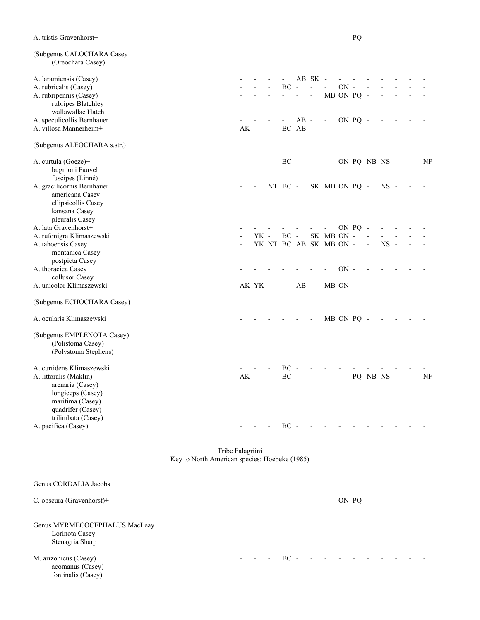| A. tristis Gravenhorst+                        |                                               |        |         |                          |                          |         |                          |                              |                          | PQ      | $\overline{\phantom{a}}$ |               |                          |    |
|------------------------------------------------|-----------------------------------------------|--------|---------|--------------------------|--------------------------|---------|--------------------------|------------------------------|--------------------------|---------|--------------------------|---------------|--------------------------|----|
| (Subgenus CALOCHARA Casey<br>(Oreochara Casey) |                                               |        |         |                          |                          |         |                          |                              |                          |         |                          |               |                          |    |
| A. laramiensis (Casey)                         |                                               |        |         |                          |                          |         | AB SK -                  |                              |                          |         |                          |               |                          |    |
| A. rubricalis (Casey)                          |                                               |        |         |                          | $\rm BC$ -               |         | $\overline{a}$           | $\blacksquare$               | $\mbox{ON}$ -            |         | $\frac{1}{2}$            |               |                          |    |
| A. rubripennis (Casey)                         |                                               |        |         |                          |                          |         | $\overline{\phantom{a}}$ |                              | MB ON PQ -               |         |                          |               |                          |    |
| rubripes Blatchley                             |                                               |        |         |                          |                          |         |                          |                              |                          |         |                          |               |                          |    |
| wallawallae Hatch                              |                                               |        |         |                          |                          |         |                          |                              |                          |         |                          |               |                          |    |
| A. speculicollis Bernhauer                     |                                               |        |         |                          |                          | $AB -$  |                          | $\overline{\phantom{a}}$     | ON PQ -                  |         |                          |               |                          |    |
| A. villosa Mannerheim+                         |                                               | $AK -$ |         | $\overline{\phantom{a}}$ |                          | BC AB - |                          |                              |                          |         |                          |               |                          |    |
| (Subgenus ALEOCHARA s.str.)                    |                                               |        |         |                          |                          |         |                          |                              |                          |         |                          |               |                          |    |
| A. curtula (Goeze)+                            |                                               |        |         |                          | $BC -$                   |         | $\overline{\phantom{a}}$ | $\overline{\phantom{a}}$     |                          |         |                          | ON PQ NB NS - | $\overline{\phantom{a}}$ | NF |
| bugnioni Fauvel                                |                                               |        |         |                          |                          |         |                          |                              |                          |         |                          |               |                          |    |
| fuscipes (Linné)                               |                                               |        |         |                          |                          |         |                          |                              |                          |         |                          |               |                          |    |
| A. gracilicornis Bernhauer                     |                                               |        |         |                          |                          |         |                          |                              |                          |         |                          |               |                          |    |
|                                                |                                               |        |         |                          | NT BC -                  |         |                          | SK MB ON PQ -                |                          |         |                          | $NS -$        |                          |    |
| americana Casey                                |                                               |        |         |                          |                          |         |                          |                              |                          |         |                          |               |                          |    |
| ellipsicollis Casey                            |                                               |        |         |                          |                          |         |                          |                              |                          |         |                          |               |                          |    |
| kansana Casey                                  |                                               |        |         |                          |                          |         |                          |                              |                          |         |                          |               |                          |    |
| pleuralis Casey                                |                                               |        |         |                          |                          |         |                          |                              |                          |         |                          |               |                          |    |
| A. lata Gravenhorst+                           |                                               |        |         |                          |                          |         |                          | $\qquad \qquad \blacksquare$ |                          | ON PQ - |                          |               |                          |    |
| A. rufonigra Klimaszewski                      |                                               |        | YK -    |                          | $BC -$                   |         |                          | SK MB ON -                   |                          |         |                          |               |                          |    |
| A. tahoensis Casey                             |                                               |        |         |                          |                          |         |                          | YK NT BC AB SK MB ON -       |                          |         | $\overline{\phantom{0}}$ | $NS -$        |                          |    |
| montanica Casey                                |                                               |        |         |                          |                          |         |                          |                              |                          |         |                          |               |                          |    |
| postpicta Casey                                |                                               |        |         |                          |                          |         |                          |                              |                          |         |                          |               |                          |    |
| A. thoracica Casey                             |                                               |        |         |                          |                          |         |                          |                              | $ON -$                   |         |                          |               |                          |    |
| collusor Casey                                 |                                               |        |         |                          |                          |         |                          |                              |                          |         |                          |               |                          |    |
| A. unicolor Klimaszewski                       |                                               |        | AK YK - |                          | $\overline{\phantom{a}}$ | $AB -$  |                          |                              | MB ON -                  |         |                          |               |                          |    |
| (Subgenus ECHOCHARA Casey)                     |                                               |        |         |                          |                          |         |                          |                              |                          |         |                          |               |                          |    |
| A. ocularis Klimaszewski                       |                                               |        |         |                          |                          |         |                          |                              | MB ON PQ -               |         |                          |               |                          |    |
| (Subgenus EMPLENOTA Casey)                     |                                               |        |         |                          |                          |         |                          |                              |                          |         |                          |               |                          |    |
| (Polistoma Casey)                              |                                               |        |         |                          |                          |         |                          |                              |                          |         |                          |               |                          |    |
| (Polystoma Stephens)                           |                                               |        |         |                          |                          |         |                          |                              |                          |         |                          |               |                          |    |
| A. curtidens Klimaszewski                      |                                               |        |         |                          | $BC -$                   |         |                          |                              |                          |         |                          |               |                          |    |
| A. littoralis (Maklin)                         |                                               | $AK -$ |         |                          | $BC -$                   |         |                          | $\overline{\phantom{a}}$     | $\overline{\phantom{a}}$ |         |                          | PQ NB NS -    | $\overline{\phantom{a}}$ | NF |
| arenaria (Casey)                               |                                               |        |         |                          |                          |         |                          |                              |                          |         |                          |               |                          |    |
| longiceps (Casey)                              |                                               |        |         |                          |                          |         |                          |                              |                          |         |                          |               |                          |    |
| maritima (Casey)                               |                                               |        |         |                          |                          |         |                          |                              |                          |         |                          |               |                          |    |
|                                                |                                               |        |         |                          |                          |         |                          |                              |                          |         |                          |               |                          |    |
| quadrifer (Casey)                              |                                               |        |         |                          |                          |         |                          |                              |                          |         |                          |               |                          |    |
| trilimbata (Casey)<br>A. pacifica (Casey)      |                                               |        |         |                          | $BC -$                   |         |                          |                              |                          |         |                          |               |                          |    |
|                                                |                                               |        |         |                          |                          |         |                          |                              |                          |         |                          |               |                          |    |
|                                                | Tribe Falagriini                              |        |         |                          |                          |         |                          |                              |                          |         |                          |               |                          |    |
|                                                | Key to North American species: Hoebeke (1985) |        |         |                          |                          |         |                          |                              |                          |         |                          |               |                          |    |
| Genus CORDALIA Jacobs                          |                                               |        |         |                          |                          |         |                          |                              |                          |         |                          |               |                          |    |
| C. obscura (Gravenhorst)+                      |                                               |        |         |                          |                          |         |                          |                              |                          | ON PQ - |                          |               |                          |    |

#### Genus MYRMECOCEPHALUS MacLeay Lorinota Casey Stenagria Sharp

acomanus (Casey) fontinalis (Casey)

M. arizonicus (Casey) - - - BC - - - - - - - - - - - -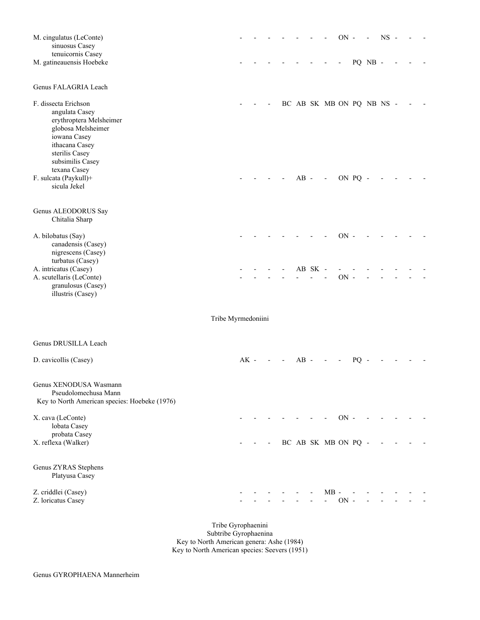| M. cingulatus (LeConte)<br>sinuosus Casey<br>tenuicornis Casey                                                                                                  |                    |        |  |        |         |                           | $ON -$ |                 |         | $NS -$ |  |  |
|-----------------------------------------------------------------------------------------------------------------------------------------------------------------|--------------------|--------|--|--------|---------|---------------------------|--------|-----------------|---------|--------|--|--|
| M. gatineauensis Hoebeke                                                                                                                                        |                    |        |  |        |         |                           |        |                 | PQ NB - |        |  |  |
| Genus FALAGRIA Leach                                                                                                                                            |                    |        |  |        |         |                           |        |                 |         |        |  |  |
| F. dissecta Erichson<br>angulata Casey<br>erythroptera Melsheimer<br>globosa Melsheimer<br>iowana Casey<br>ithacana Casey<br>sterilis Casey<br>subsimilis Casey |                    |        |  |        |         | BC AB SK MB ON PQ NB NS - |        |                 |         |        |  |  |
| texana Casey<br>F. sulcata (Paykull)+<br>sicula Jekel                                                                                                           |                    |        |  | $AB -$ |         | $\overline{a}$            |        | ON PQ -         |         |        |  |  |
| Genus ALEODORUS Say<br>Chitalia Sharp                                                                                                                           |                    |        |  |        |         |                           |        |                 |         |        |  |  |
| A. bilobatus (Say)<br>canadensis (Casey)<br>nigrescens (Casey)<br>turbatus (Casey)                                                                              |                    |        |  |        |         |                           | $ON -$ |                 |         |        |  |  |
| A. intricatus (Casey)<br>A. scutellaris (LeConte)<br>granulosus (Casey)<br>illustris (Casey)                                                                    |                    |        |  |        | AB SK - |                           | $ON -$ |                 |         |        |  |  |
|                                                                                                                                                                 | Tribe Myrmedoniini |        |  |        |         |                           |        |                 |         |        |  |  |
| Genus DRUSILLA Leach                                                                                                                                            |                    |        |  |        |         |                           |        |                 |         |        |  |  |
| D. cavicollis (Casey)                                                                                                                                           |                    | $AK -$ |  | $AB -$ |         |                           |        | PO <sub>1</sub> |         |        |  |  |
| Genus XENODUSA Wasmann<br>Pseudolomechusa Mann<br>Key to North American species: Hoebeke (1976)                                                                 |                    |        |  |        |         |                           |        |                 |         |        |  |  |
| X. cava (LeConte)<br>lobata Casey<br>probata Casey                                                                                                              |                    |        |  |        |         |                           | $ON -$ |                 |         |        |  |  |
| X. reflexa (Walker)                                                                                                                                             |                    |        |  |        |         | BC AB SK MB ON PQ -       |        |                 |         |        |  |  |
| Genus ZYRAS Stephens<br>Platyusa Casey                                                                                                                          |                    |        |  |        |         |                           |        |                 |         |        |  |  |
| Z. criddlei (Casey)<br>Z. loricatus Casey                                                                                                                       |                    |        |  |        |         | $MB -$<br>$\overline{a}$  | $ON -$ |                 |         |        |  |  |

 Tribe Gyrophaenini Subtribe Gyrophaenina Key to North American genera: Ashe (1984) Key to North American species: Seevers (1951)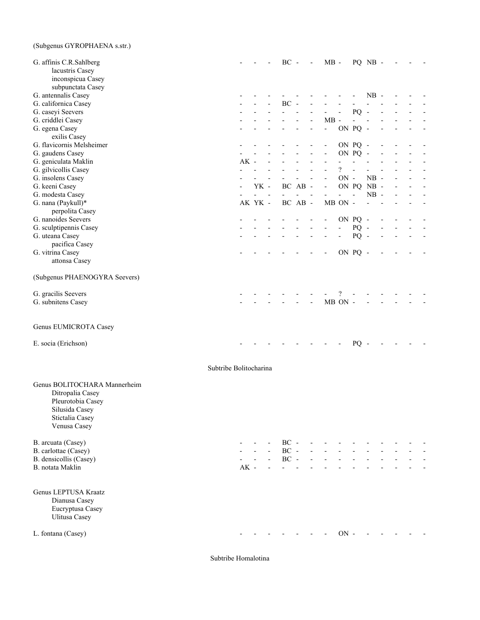# (Subgenus GYROPHAENA s.str.)

| G. affinis C.R.Sahlberg<br>lacustris Casey<br>inconspicua Casey                                                            |                        |                |                     | $BC -$         |         | $\overline{\phantom{a}}$ | $MB -$         |                          |                          | PQ NB -    |  |  |
|----------------------------------------------------------------------------------------------------------------------------|------------------------|----------------|---------------------|----------------|---------|--------------------------|----------------|--------------------------|--------------------------|------------|--|--|
| subpunctata Casey                                                                                                          |                        |                |                     |                |         |                          |                |                          |                          | $NB -$     |  |  |
| G. antennalis Casey<br>G. californica Casey                                                                                |                        |                |                     | $BC -$         |         |                          |                |                          |                          |            |  |  |
| G. caseyi Seevers                                                                                                          |                        |                |                     |                |         |                          |                |                          | PQ                       |            |  |  |
| G. criddlei Casey                                                                                                          |                        |                |                     |                |         |                          | $MB -$         |                          |                          |            |  |  |
| G. egena Casey                                                                                                             |                        |                |                     |                |         |                          | $\frac{1}{2}$  |                          | ON PQ -                  |            |  |  |
| exilis Casey                                                                                                               |                        |                |                     |                |         |                          |                |                          |                          |            |  |  |
| G. flavicornis Melsheimer                                                                                                  |                        |                |                     |                |         |                          |                |                          | ON PQ -                  |            |  |  |
| G. gaudens Casey                                                                                                           |                        |                |                     |                |         |                          |                |                          | ON PQ                    |            |  |  |
| G. geniculata Maklin                                                                                                       | $AK -$                 |                |                     |                |         |                          |                |                          |                          |            |  |  |
| G. gilvicollis Casey                                                                                                       |                        |                |                     |                |         |                          |                | $\overline{\mathcal{C}}$ |                          |            |  |  |
| G. insolens Casey                                                                                                          |                        |                |                     |                |         |                          |                | $ON -$                   |                          | $NB -$     |  |  |
| G. keeni Casey                                                                                                             |                        | YK -           |                     |                | BC AB - |                          | $\blacksquare$ |                          |                          | ON PQ NB - |  |  |
| G. modesta Casey                                                                                                           |                        | $\overline{a}$ | $\blacksquare$      |                |         |                          |                | $\overline{a}$           | $\overline{\phantom{a}}$ | $NB -$     |  |  |
| G. nana (Paykull)*                                                                                                         |                        | AK YK -        |                     |                | BC AB - |                          |                | MB ON -                  |                          |            |  |  |
| perpolita Casey                                                                                                            |                        |                |                     |                |         |                          |                |                          |                          |            |  |  |
| G. nanoides Seevers                                                                                                        |                        |                |                     |                |         |                          |                |                          | ON PQ -                  |            |  |  |
| G. sculptipennis Casey                                                                                                     |                        |                |                     |                |         |                          |                |                          | $PQ -$                   |            |  |  |
| G. uteana Casey                                                                                                            |                        |                |                     |                |         |                          |                |                          | $PQ -$                   |            |  |  |
| pacifica Casey                                                                                                             |                        |                |                     |                |         |                          |                |                          |                          |            |  |  |
| G. vitrina Casey                                                                                                           |                        |                |                     |                |         |                          |                |                          | ON PQ -                  |            |  |  |
| attonsa Casey                                                                                                              |                        |                |                     |                |         |                          |                |                          |                          |            |  |  |
| (Subgenus PHAENOGYRA Seevers)                                                                                              |                        |                |                     |                |         |                          |                |                          |                          |            |  |  |
| G. gracilis Seevers                                                                                                        |                        |                |                     |                |         |                          |                |                          |                          |            |  |  |
| G. subnitens Casey                                                                                                         |                        |                |                     |                |         | $\overline{\phantom{a}}$ |                | MB ON -                  |                          |            |  |  |
| Genus EUMICROTA Casey<br>E. socia (Erichson)                                                                               |                        |                |                     |                |         |                          |                |                          | PQ                       |            |  |  |
|                                                                                                                            | Subtribe Bolitocharina |                |                     |                |         |                          |                |                          |                          |            |  |  |
| Genus BOLITOCHARA Mannerheim<br>Ditropalia Casey<br>Pleurotobia Casey<br>Silusida Casey<br>Stictalia Casey<br>Venusa Casey |                        |                |                     |                |         |                          |                |                          |                          |            |  |  |
| B. arcuata (Casey)                                                                                                         |                        |                |                     | $BC -$         |         |                          |                |                          |                          |            |  |  |
| B. carlottae (Casey)                                                                                                       |                        |                |                     | $\rm BC$ -     |         |                          |                |                          |                          |            |  |  |
| B. densicollis (Casey)                                                                                                     |                        |                | $\mathcal{L}^{\pm}$ | $\rm BC$ -     |         |                          |                |                          |                          |            |  |  |
| B. notata Maklin                                                                                                           | $AK -$                 |                | $\mathbf{r}$        | $\overline{a}$ |         |                          |                |                          |                          |            |  |  |
| Genus LEPTUSA Kraatz<br>Dianusa Casey<br>Eucryptusa Casey<br>Ulitusa Casey                                                 |                        |                |                     |                |         |                          |                |                          |                          |            |  |  |
| L. fontana (Casey)                                                                                                         |                        |                |                     |                |         |                          |                | $\rm ON$ -               |                          |            |  |  |

Subtribe Homalotina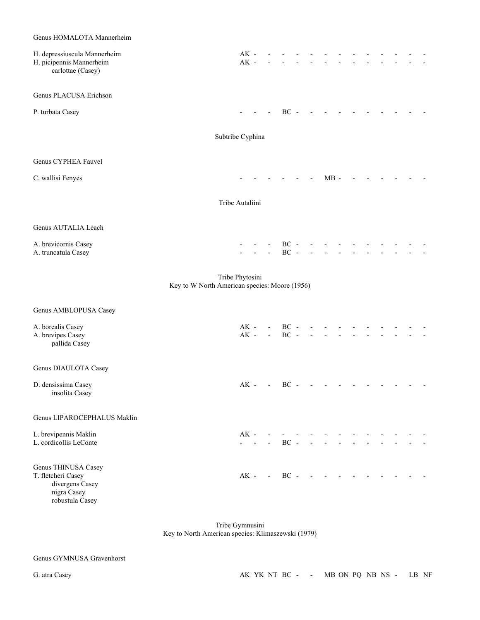# Genus HOMALOTA Mannerheim H. depressiuscula Mannerheim AK - - - - - - - - - - - - - H. picipennis Mannerheim AK - - - - - - - - - - - - carlottae (Casey) Genus PLACUSA Erichson P. turbata Casey - - - BC - - - - - - - - - - Subtribe Cyphina Genus CYPHEA Fauvel C. wallisi Fenyes **C.** wallisi Fenyes **C.** and  $\overline{AB}$  -  $\overline{AB}$  -  $\overline{AB}$  -  $\overline{AB}$  -  $\overline{AB}$  -  $\overline{AB}$  -  $\overline{AB}$  -  $\overline{AB}$  -  $\overline{AB}$  -  $\overline{AB}$  -  $\overline{AB}$  -  $\overline{AB}$  -  $\overline{AB}$  -  $\overline{AB}$  -  $\overline{AB}$  -  $\overline{AB}$  - Tribe Autaliini Genus AUTALIA Leach A. brevicornis Casey - - - BC - - - - - - - - - - A. truncatula Casey and the contract of the contract of the contract of the contract of the contract of the contract of the contract of the contract of the contract of the contract of the contract of the contract of the co Tribe Phytosini Key to W North American species: Moore (1956) Genus AMBLOPUSA Casey A. borealis Casey AK - - BC - - - - - -A. brevipes Casey AK - - BC - - - - - pallida Casey Genus DIAULOTA Casey D. densissima Casey **AK** - BC - - - - - - - - - insolita Casey Genus LIPAROCEPHALUS Maklin L. brevipennis Maklin AK - - - - - - - - - - - - - L. cordicollis LeConte  $\overline{BC}$  - - - BC -Genus THINUSA Casey T. fletcheri Casey **AK** - BC - - - - - - - - - - divergens Casey nigra Casey

 Tribe Gymnusini Key to North American species: Klimaszewski (1979)

robustula Casey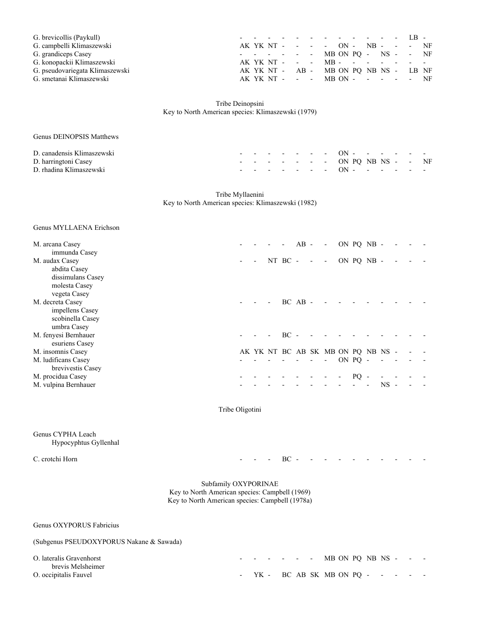| G. brevicollis (Paykull)        |  |  |  | . IB .                                    |  |  |  |  |
|---------------------------------|--|--|--|-------------------------------------------|--|--|--|--|
| G. campbelli Klimaszewski       |  |  |  | AK YK NT - - - - ON - NB - - - NF         |  |  |  |  |
| G. grandiceps Casey             |  |  |  | $- - - - - - -$ MB ON PO - NS - - NF      |  |  |  |  |
| G. konopackii Klimaszewski      |  |  |  | AK YK NT - - - MB - - - - - - - -         |  |  |  |  |
| G. pseudovariegata Klimaszewski |  |  |  | AK YK NT - AB - MB ON PQ NB NS - LB NF    |  |  |  |  |
| G. smetanai Klimaszewski        |  |  |  | AK YK NT - - - $MB ON - - - - - - - - - $ |  |  |  |  |

 Tribe Deinopsini Key to North American species: Klimaszewski (1979)

| Genus DEINOPSIS Matthews   |  |  |  |                                        |  |  |  |
|----------------------------|--|--|--|----------------------------------------|--|--|--|
| D. canadensis Klimaszewski |  |  |  | - - - - - - - ON - - - - - - -         |  |  |  |
| D. harringtoni Casey       |  |  |  | $- - - - - - - - -$ ON PO NB NS - - NF |  |  |  |
| D. rhadina Klimaszewski    |  |  |  | - - - - - - - ON - - - - - - -         |  |  |  |

 Tribe Myllaenini Key to North American species: Klimaszewski (1982)

#### Genus MYLLAENA Erichson

| M. arcana Casey      |  |                                    | $\overline{\phantom{a}}$ | $AB -$ | $\overline{\phantom{a}}$ | ON PQ NB - |        |  |  |
|----------------------|--|------------------------------------|--------------------------|--------|--------------------------|------------|--------|--|--|
| immunda Casey        |  |                                    |                          |        |                          |            |        |  |  |
| M. audax Casey       |  | NT $BC - - -$                      |                          |        |                          | ON PQ NB - |        |  |  |
| abdita Casey         |  |                                    |                          |        |                          |            |        |  |  |
| dissimulans Casey    |  |                                    |                          |        |                          |            |        |  |  |
| molesta Casey        |  |                                    |                          |        |                          |            |        |  |  |
| vegeta Casey         |  |                                    |                          |        |                          |            |        |  |  |
| M. decreta Casey     |  |                                    | $BCAB -$                 |        |                          |            |        |  |  |
| impellens Casey      |  |                                    |                          |        |                          |            |        |  |  |
| scobinella Casey     |  |                                    |                          |        |                          |            |        |  |  |
| umbra Casey          |  |                                    |                          |        |                          |            |        |  |  |
| M. fenyesi Bernhauer |  |                                    | BC -                     |        |                          |            |        |  |  |
| esuriens Casey       |  |                                    |                          |        |                          |            |        |  |  |
| M. insomnis Casey    |  | AK YK NT BC AB SK MB ON PQ NB NS - |                          |        |                          |            |        |  |  |
| M. ludificans Casey  |  |                                    |                          |        |                          | ON PO -    |        |  |  |
| brevivestis Casey    |  |                                    |                          |        |                          |            |        |  |  |
| M. procidua Casey    |  |                                    |                          |        |                          | PO.        |        |  |  |
| M. vulpina Bernhauer |  |                                    |                          |        |                          |            | $NS -$ |  |  |
|                      |  |                                    |                          |        |                          |            |        |  |  |

Tribe Oligotini

#### Genus CYPHA Leach Hypocyphtus Gyllenhal

C. crotchi Horn - - - BC - - - - - - - - - -

 Subfamily OXYPORINAE Key to North American species: Campbell (1969) Key to North American species: Campbell (1978a)

Genus OXYPORUS Fabricius

# (Subgenus PSEUDOXYPORUS Nakane & Sawada)

| O. lateralis Gravenhorst                   |  |  |  | $- - - - - -$ MB ON PQ NB NS - - -   |  |  |  |
|--------------------------------------------|--|--|--|--------------------------------------|--|--|--|
| brevis Melsheimer<br>O. occipitalis Fauvel |  |  |  | - $YK$ - BC AB SK MB ON PO - - - - - |  |  |  |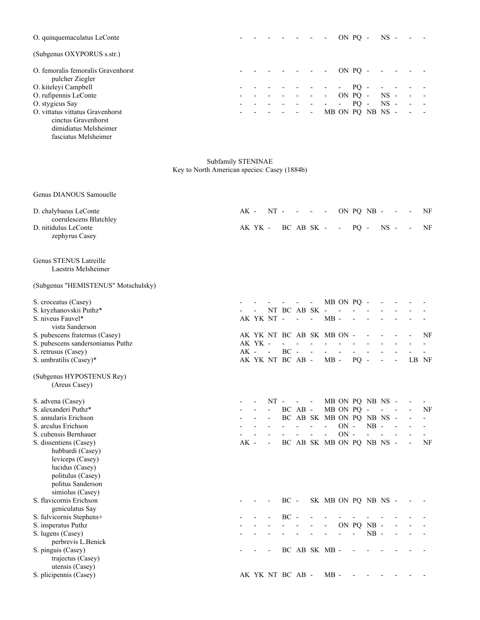| O. quinquemaculatus LeConte                           |  |  |                          |                          |            | ON PO -   |                      | $NS -$ |        |                          |            |
|-------------------------------------------------------|--|--|--------------------------|--------------------------|------------|-----------|----------------------|--------|--------|--------------------------|------------|
| (Subgenus OXYPORUS s.str.)                            |  |  |                          |                          |            |           |                      |        |        |                          |            |
| O. femoralis femoralis Gravenhorst<br>pulcher Ziegler |  |  |                          |                          |            | $ON PO -$ |                      |        |        |                          |            |
| O. kiteleyi Campbell                                  |  |  |                          | $\sim$                   |            | $- PO -$  |                      | $\sim$ | $\sim$ |                          |            |
| O. rufipennis LeConte                                 |  |  | $\overline{\phantom{a}}$ | $\overline{\phantom{a}}$ | ON PQ -    |           |                      | $NS -$ |        | $\overline{\phantom{a}}$ | $\sim 100$ |
| O. stygicus Say                                       |  |  |                          | $\sim$                   | $\sim 100$ |           | $PO - NS -$          |        |        | $\overline{\phantom{a}}$ | $\sim 100$ |
| O. vittatus vittatus Gravenhorst                      |  |  |                          |                          |            |           | $MB ON PQ NB NS - -$ |        |        |                          |            |
| cinctus Gravenhorst                                   |  |  |                          |                          |            |           |                      |        |        |                          |            |
| dimidiatus Melsheimer                                 |  |  |                          |                          |            |           |                      |        |        |                          |            |

fasciatus Melsheimer

Subfamily STENINAE Key to North American species: Casey (1884b)

| Genus DIANOUS Samouelle                        |        |                  |                |               |                          |                              |                           |                          |        |                          |        |       |                          |
|------------------------------------------------|--------|------------------|----------------|---------------|--------------------------|------------------------------|---------------------------|--------------------------|--------|--------------------------|--------|-------|--------------------------|
| D. chalybaeus LeConte                          | AK -   |                  | $NT -$         |               |                          | $\qquad \qquad \blacksquare$ | $\overline{\phantom{a}}$  |                          |        | ON PQ NB -               |        |       | NF                       |
| coerulescens Blatchley<br>D. nitidulus LeConte |        | AK YK -          |                |               | BC AB SK -               |                              |                           | $\overline{\phantom{a}}$ | $PQ -$ |                          | $NS -$ |       | NF                       |
| zephyrus Casey                                 |        |                  |                |               |                          |                              |                           |                          |        |                          |        |       |                          |
|                                                |        |                  |                |               |                          |                              |                           |                          |        |                          |        |       |                          |
| Genus STENUS Latreille                         |        |                  |                |               |                          |                              |                           |                          |        |                          |        |       |                          |
| Laestris Melsheimer                            |        |                  |                |               |                          |                              |                           |                          |        |                          |        |       |                          |
| (Subgenus "HEMISTENUS" Motschulsky)            |        |                  |                |               |                          |                              |                           |                          |        |                          |        |       |                          |
| S. croceatus (Casey)                           |        |                  |                |               |                          |                              |                           | MB ON PQ -               |        |                          |        |       |                          |
| S. kryzhanovskii Puthz*                        |        |                  |                | NT BC AB SK - |                          |                              |                           |                          |        |                          |        |       |                          |
| S. niveus Fauvel*                              |        | AK YK NT -       |                |               | $\overline{\phantom{a}}$ | ÷,                           | $MB -$                    |                          |        |                          |        |       |                          |
| vista Sanderson                                |        |                  |                |               |                          |                              |                           |                          |        |                          |        |       |                          |
| S. pubescens fraternus (Casey)                 |        |                  |                |               |                          |                              | AK YK NT BC AB SK MB ON - |                          |        |                          |        |       | NF                       |
| S. pubescens sandersonianus Puthz              |        | AK YK -          |                |               |                          |                              |                           |                          |        |                          |        |       | $\overline{a}$           |
| S. retrusus (Casey)<br>S. umbratilis (Casey)*  | AK -   | AK YK NT BC AB - | $\blacksquare$ | $BC -$        |                          |                              | $MB -$                    |                          | PO.    | $\overline{\phantom{a}}$ |        | LB NF |                          |
| (Subgenus HYPOSTENUS Rey)                      |        |                  |                |               |                          |                              |                           |                          |        |                          |        |       |                          |
| (Areus Casey)                                  |        |                  |                |               |                          |                              |                           |                          |        |                          |        |       |                          |
| S. advena (Casey)                              |        |                  | $NT -$         |               | $\overline{\phantom{0}}$ | $\overline{\phantom{a}}$     |                           |                          |        | MB ON PQ NB NS -         |        |       |                          |
| S. alexanderi Puthz*                           |        |                  |                |               | BC AB -                  |                              |                           | MB ON PQ -               |        |                          |        |       | NF                       |
| S. annularis Erichson                          |        |                  |                |               |                          |                              | BC AB SK MB ON PQ NB NS   |                          |        |                          |        |       | $\overline{a}$           |
| S. arculus Erichson                            |        |                  |                |               |                          | $\overline{a}$               | $\blacksquare$            | $ON -$                   |        | $NB -$                   |        |       | $\overline{\phantom{0}}$ |
| S. cubensis Bernhauer                          |        |                  |                |               |                          |                              | $\overline{a}$            | $ON -$                   |        | $\overline{a}$           |        |       |                          |
| S. dissentiens (Casey)                         | $AK$ - |                  |                |               |                          |                              | BC AB SK MB ON PQ NB NS - |                          |        |                          |        |       | <b>NF</b>                |
| hubbardi (Casey)                               |        |                  |                |               |                          |                              |                           |                          |        |                          |        |       |                          |
| leviceps (Casey)<br>lucidus (Casey)            |        |                  |                |               |                          |                              |                           |                          |        |                          |        |       |                          |
| politulus (Casey)                              |        |                  |                |               |                          |                              |                           |                          |        |                          |        |       |                          |
| politus Sanderson                              |        |                  |                |               |                          |                              |                           |                          |        |                          |        |       |                          |
| simiolus (Casey)                               |        |                  |                |               |                          |                              |                           |                          |        |                          |        |       |                          |
| S. flavicornis Erichson                        |        |                  |                | $BC -$        |                          |                              | SK MB ON PQ NB NS -       |                          |        |                          |        |       |                          |
| geniculatus Say                                |        |                  |                |               |                          |                              |                           |                          |        |                          |        |       |                          |
| S. fulvicornis Stephens+                       |        |                  |                | $\rm BC$      |                          |                              |                           |                          |        |                          |        |       |                          |
| S. insperatus Puthz                            |        |                  |                |               |                          |                              | $\overline{a}$            |                          |        | ON PQ NB -               |        |       |                          |
| S. lugens (Casey)                              |        |                  |                |               |                          |                              |                           |                          |        | $NB -$                   |        |       |                          |
| perbrevis L.Benick                             |        |                  |                |               |                          |                              |                           |                          |        |                          |        |       |                          |
| S. pinguis (Casey)                             |        |                  |                |               |                          |                              | BC AB SK MB -             |                          |        |                          |        |       |                          |
| trajectus (Casey)                              |        |                  |                |               |                          |                              |                           |                          |        |                          |        |       |                          |
| utensis (Casey)                                |        |                  |                |               |                          |                              |                           |                          |        |                          |        |       |                          |
| S. plicipennis (Casey)                         |        | AK YK NT BC AB - |                |               |                          |                              | $MB -$                    |                          |        |                          |        |       |                          |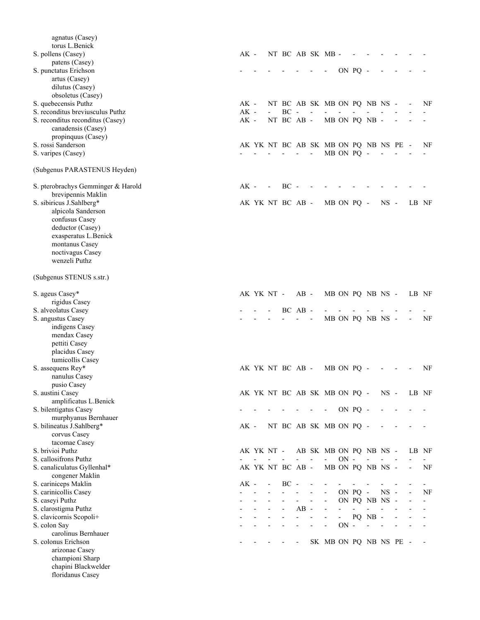| agnatus (Casey)<br>torus L.Benick<br>S. pollens (Casey)              | $AK -$           |            |                          |                |                          | NT BC AB SK MB -                                    |        |         |                  |           |       |    |
|----------------------------------------------------------------------|------------------|------------|--------------------------|----------------|--------------------------|-----------------------------------------------------|--------|---------|------------------|-----------|-------|----|
| patens (Casey)<br>S. punctatus Erichson                              |                  |            |                          |                |                          |                                                     |        | ON PQ - |                  |           |       |    |
| artus (Casey)                                                        |                  |            |                          |                |                          |                                                     |        |         |                  |           |       |    |
| dilutus (Casey)<br>obsoletus (Casey)                                 |                  |            |                          |                |                          |                                                     |        |         |                  |           |       |    |
| S. quebecensis Puthz                                                 | $AK -$           |            |                          |                |                          | NT BC AB SK MB ON PQ NB NS -                        |        |         |                  |           |       | NF |
| S. reconditus breviusculus Puthz<br>S. reconditus reconditus (Casey) | $AK -$<br>$AK -$ |            | <b>BC</b><br>NT BC AB -  | $\sim$         |                          |                                                     |        |         | MB ON PQ NB -    |           |       |    |
| canadensis (Casey)                                                   |                  |            |                          |                |                          |                                                     |        |         |                  |           |       |    |
| propinquus (Casey)                                                   |                  |            |                          |                |                          |                                                     |        |         |                  |           |       |    |
| S. rossi Sanderson<br>S. varipes (Casey)                             |                  |            |                          | $\blacksquare$ | $\overline{\phantom{a}}$ | AK YK NT BC AB SK MB ON PQ NB NS PE -<br>MB ON PQ - |        |         |                  |           |       | NF |
| (Subgenus PARASTENUS Heyden)                                         |                  |            |                          |                |                          |                                                     |        |         |                  |           |       |    |
| S. pterobrachys Gemminger & Harold<br>brevipennis Maklin             | $AK -$           |            | BC                       |                |                          |                                                     |        |         |                  |           |       |    |
| S. sibiricus J.Sahlberg*                                             |                  |            | AK YK NT BC AB -         |                |                          | MB ON PQ -                                          |        |         |                  | $NS -$    | LB NF |    |
| alpicola Sanderson                                                   |                  |            |                          |                |                          |                                                     |        |         |                  |           |       |    |
| confusus Casey<br>deductor (Casey)                                   |                  |            |                          |                |                          |                                                     |        |         |                  |           |       |    |
| exasperatus L.Benick                                                 |                  |            |                          |                |                          |                                                     |        |         |                  |           |       |    |
| montanus Casey<br>noctivagus Casey                                   |                  |            |                          |                |                          |                                                     |        |         |                  |           |       |    |
| wenzeli Puthz                                                        |                  |            |                          |                |                          |                                                     |        |         |                  |           |       |    |
| (Subgenus STENUS s.str.)                                             |                  |            |                          |                |                          |                                                     |        |         |                  |           |       |    |
| S. ageus Casey*                                                      |                  | AK YK NT - |                          | $AB -$         |                          |                                                     |        |         | MB ON PQ NB NS - |           | LB NF |    |
| rigidus Casey                                                        |                  |            |                          |                |                          |                                                     |        |         |                  |           |       |    |
| S. alveolatus Casey<br>S. angustus Casey                             |                  |            |                          | BC AB -        |                          |                                                     |        |         | MB ON PQ NB NS - |           |       | NF |
| indigens Casey                                                       |                  |            |                          |                |                          |                                                     |        |         |                  |           |       |    |
| mendax Casey<br>pettiti Casey                                        |                  |            |                          |                |                          |                                                     |        |         |                  |           |       |    |
| placidus Casey                                                       |                  |            |                          |                |                          |                                                     |        |         |                  |           |       |    |
| tumicollis Casey                                                     |                  |            |                          |                |                          |                                                     |        |         |                  |           |       |    |
| S. assequens Rey*<br>nanulus Casey                                   |                  |            | AK YK NT BC AB -         |                |                          | MB ON PQ -                                          |        |         |                  |           |       | NF |
| pusio Casey                                                          |                  |            |                          |                |                          |                                                     |        |         |                  |           |       |    |
| S. austini Casey<br>amplificatus L.Benick                            |                  |            |                          |                |                          | AK YK NT BC AB SK MB ON PQ -                        |        |         |                  | $NS -$    | LB NF |    |
| S. bilentigatus Casey                                                |                  |            |                          |                |                          |                                                     |        | ON PQ - |                  |           |       |    |
| murphyanus Bernhauer                                                 |                  |            |                          |                |                          |                                                     |        |         |                  |           |       |    |
| S. bilineatus J.Sahlberg*<br>corvus Casey                            | $AK -$           |            |                          |                |                          | NT BC AB SK MB ON PQ -                              |        |         |                  |           |       |    |
| tacomae Casey                                                        |                  |            |                          |                |                          |                                                     |        |         |                  |           |       |    |
| S. brivioi Puthz<br>S. callosifrons Puthz                            |                  | AK YK NT - |                          |                |                          | AB SK MB ON PQ NB NS -                              | $ON -$ |         |                  |           | LB NF |    |
| S. canaliculatus Gyllenhal*                                          |                  |            | AK YK NT BC AB -         |                |                          |                                                     |        |         | MB ON PQ NB NS - |           |       | NF |
| congener Maklin                                                      |                  |            |                          |                |                          |                                                     |        |         |                  |           |       |    |
| S. cariniceps Maklin<br>S. carinicollis Casey                        | $AK -$           |            | $BC -$                   |                |                          |                                                     |        | ON PQ - |                  | <b>NS</b> |       | NF |
| S. caseyi Puthz                                                      |                  |            |                          |                | L,                       | $\qquad \qquad \blacksquare$                        |        |         | ON PQ NB NS      |           |       |    |
| S. clarostigma Puthz                                                 |                  |            | $\overline{\phantom{a}}$ | $AB -$         |                          |                                                     |        |         |                  |           |       |    |
| S. clavicornis Scopoli+<br>S. colon Say                              |                  |            |                          |                |                          |                                                     | $ON -$ |         | PQ NB -          |           |       |    |
| carolinus Bernhauer                                                  |                  |            |                          |                |                          |                                                     |        |         |                  |           |       |    |
| S. colonus Erichson<br>arizonae Casey                                |                  |            |                          |                |                          | SK MB ON PQ NB NS PE -                              |        |         |                  |           |       |    |
| championi Sharp                                                      |                  |            |                          |                |                          |                                                     |        |         |                  |           |       |    |
| chapini Blackwelder                                                  |                  |            |                          |                |                          |                                                     |        |         |                  |           |       |    |
| floridanus Casey                                                     |                  |            |                          |                |                          |                                                     |        |         |                  |           |       |    |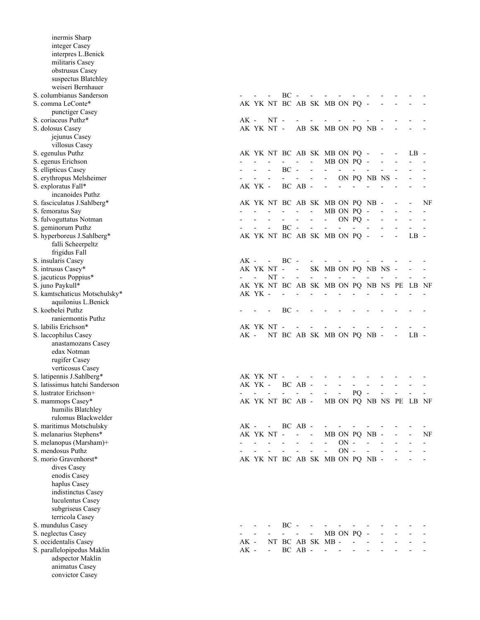| inermis Sharp                  |        |                |            |                               |                                        |                          |                                           |                          |                            |                |                          |                         |    |
|--------------------------------|--------|----------------|------------|-------------------------------|----------------------------------------|--------------------------|-------------------------------------------|--------------------------|----------------------------|----------------|--------------------------|-------------------------|----|
| integer Casey                  |        |                |            |                               |                                        |                          |                                           |                          |                            |                |                          |                         |    |
| interpres L.Benick             |        |                |            |                               |                                        |                          |                                           |                          |                            |                |                          |                         |    |
| militaris Casey                |        |                |            |                               |                                        |                          |                                           |                          |                            |                |                          |                         |    |
| obstrusus Casey                |        |                |            |                               |                                        |                          |                                           |                          |                            |                |                          |                         |    |
| suspectus Blatchley            |        |                |            |                               |                                        |                          |                                           |                          |                            |                |                          |                         |    |
| weiseri Bernhauer              |        |                |            |                               |                                        |                          |                                           |                          |                            |                |                          |                         |    |
| S. columbianus Sanderson       |        |                |            | $BC -$                        |                                        |                          |                                           |                          |                            |                |                          |                         |    |
| S. comma LeConte*              |        |                |            |                               |                                        |                          | AK YK NT BC AB SK MB ON PQ -              |                          |                            |                |                          |                         |    |
| punctiger Casey                |        |                |            |                               |                                        |                          |                                           |                          |                            |                |                          |                         |    |
| S. coriaceus Puthz*            | AK -   |                | $NT -$     |                               |                                        |                          |                                           |                          |                            |                |                          |                         |    |
| S. dolosus Casey               |        |                | AK YK NT - |                               |                                        |                          | AB SK MB ON PQ NB -                       |                          |                            |                |                          |                         |    |
| jejunus Casey                  |        |                |            |                               |                                        |                          |                                           |                          |                            |                |                          |                         |    |
| villosus Casey                 |        |                |            |                               |                                        |                          |                                           |                          |                            |                |                          |                         |    |
| S. egenulus Puthz              |        |                |            |                               |                                        |                          | AK YK NT BC AB SK MB ON PQ - -            |                          |                            |                |                          | LB -                    |    |
| S. egenus Erichson             |        |                |            |                               | $\sim 100$                             | $\overline{\phantom{a}}$ |                                           | MB ON PQ -               |                            |                |                          |                         |    |
| S. ellipticus Casey            |        |                |            | $BC -$                        |                                        |                          |                                           | $\sim 10^{-11}$          | $\mathcal{L}_{\text{max}}$ |                |                          |                         |    |
| S. erythropus Melsheimer       |        |                |            |                               | $\blacksquare$                         | $\overline{\phantom{a}}$ | $\sim 100$                                |                          |                            | ON PQ NB NS -  |                          |                         |    |
| S. exploratus Fall*            |        | AK YK -        |            |                               | BC AB -                                |                          | $\overline{\phantom{a}}$                  |                          | $\mathbf{r}$               |                |                          |                         |    |
| incanoides Puthz               |        |                |            |                               |                                        |                          |                                           |                          |                            |                |                          |                         |    |
| S. fasciculatus J.Sahlberg*    |        |                |            |                               |                                        |                          | AK YK NT BC AB SK MB ON PQ NB -           |                          |                            |                |                          |                         | NF |
| S. femoratus Say               |        |                |            | and a straight and a straight |                                        |                          | MB ON PQ -                                |                          |                            |                | $\sim$ $-$               |                         |    |
| S. fulvoguttatus Notman        |        |                |            | $\omega_{\rm{max}}$           |                                        |                          | <b>All Service</b>                        | ON PQ -                  |                            |                | $\overline{\phantom{a}}$ |                         |    |
| S. geminorum Puthz             |        |                |            | $BC -$                        |                                        | <b>Contract Contract</b> | $\overline{\phantom{a}}$                  |                          | $\sim$ 10 $\pm$            |                |                          |                         |    |
| S. hyperboreus J.Sahlberg*     |        |                |            |                               |                                        |                          | AK YK NT BC AB SK MB ON PQ -              |                          |                            |                |                          | $LB -$                  |    |
| falli Scheerpeltz              |        |                |            |                               |                                        |                          |                                           |                          |                            |                |                          |                         |    |
| frigidus Fall                  |        |                |            |                               |                                        |                          |                                           |                          |                            |                |                          |                         |    |
| S. insularis Casey             |        |                |            | AK - - BC -                   |                                        |                          |                                           |                          |                            |                |                          |                         |    |
| S. intrusus Casey*             |        |                |            | AK YK NT - -                  |                                        |                          | SK MB ON PQ NB NS -                       |                          |                            |                |                          |                         |    |
| S. jacuticus Poppius*          |        | $\blacksquare$ | $NT -$     |                               | $\mathbf{r}$                           |                          |                                           |                          |                            |                |                          |                         |    |
| S. juno Paykull*               |        |                |            |                               |                                        |                          | AK YK NT BC AB SK MB ON PQ NB NS PE LB NF |                          |                            |                |                          |                         |    |
| S. kamtschaticus Motschulsky*  |        | AK YK -        |            | $\overline{\phantom{a}}$      |                                        |                          |                                           |                          |                            |                |                          |                         |    |
| aquilonius L.Benick            |        |                |            |                               |                                        |                          |                                           |                          |                            |                |                          |                         |    |
| S. koebelei Puthz              |        |                |            | $BC -$                        |                                        |                          |                                           |                          |                            |                |                          |                         |    |
| raniermontis Puthz             |        |                |            |                               |                                        |                          |                                           |                          |                            |                |                          |                         |    |
| S. labilis Erichson*           |        |                | AK YK NT - |                               |                                        |                          |                                           |                          |                            |                |                          |                         |    |
| S. laccophilus Casey           | AK -   |                |            |                               |                                        |                          | NT BC AB SK MB ON PQ NB -                 |                          |                            |                |                          | $LB -$                  |    |
| anastamozans Casey             |        |                |            |                               |                                        |                          |                                           |                          |                            |                |                          |                         |    |
| edax Notman                    |        |                |            |                               |                                        |                          |                                           |                          |                            |                |                          |                         |    |
| rugifer Casey                  |        |                |            |                               |                                        |                          |                                           |                          |                            |                |                          |                         |    |
| verticosus Casey               |        |                |            |                               |                                        |                          |                                           |                          |                            |                |                          |                         |    |
| S. latipennis J.Sahlberg*      |        |                | AK YK NT - |                               |                                        |                          |                                           |                          |                            |                |                          |                         |    |
| S. latissimus hatchi Sanderson |        |                |            | $AKYK - BCAB -$               |                                        |                          |                                           |                          |                            |                |                          |                         |    |
| S. lustrator Erichson+         |        |                |            |                               |                                        |                          |                                           | $\overline{\phantom{a}}$ | $PQ -$                     |                |                          |                         |    |
| S. mammops Casey*              |        |                |            | AK YK NT BC AB -              |                                        |                          |                                           |                          |                            |                |                          | MB ON PQ NB NS PE LB NF |    |
| humilis Blatchley              |        |                |            |                               |                                        |                          |                                           |                          |                            |                |                          |                         |    |
| rulomus Blackwelder            |        |                |            |                               |                                        |                          |                                           |                          |                            |                |                          |                         |    |
| S. maritimus Motschulsky       | AK -   |                |            | $- BC AB -$                   |                                        |                          |                                           |                          |                            |                |                          |                         |    |
| S. melanarius Stephens*        |        |                | AK YK NT - |                               | $\overline{\phantom{a}}$<br>$\sim$ $-$ |                          |                                           |                          |                            | MB ON PQ NB -  |                          |                         | NF |
| S. melanopus (Marsham)+        |        |                |            |                               |                                        |                          | ä,                                        | $ON -$                   |                            | $\blacksquare$ |                          |                         |    |
| S. mendosus Puthz              |        |                |            |                               |                                        | $\overline{a}$           | $\overline{a}$                            | $ON -$                   |                            | $\overline{a}$ |                          |                         |    |
| S. morio Gravenhorst*          |        |                |            |                               |                                        |                          | AK YK NT BC AB SK MB ON PQ NB -           |                          |                            |                |                          |                         |    |
| dives Casey                    |        |                |            |                               |                                        |                          |                                           |                          |                            |                |                          |                         |    |
| enodis Casey                   |        |                |            |                               |                                        |                          |                                           |                          |                            |                |                          |                         |    |
| haplus Casey                   |        |                |            |                               |                                        |                          |                                           |                          |                            |                |                          |                         |    |
| indistinctus Casey             |        |                |            |                               |                                        |                          |                                           |                          |                            |                |                          |                         |    |
| luculentus Casey               |        |                |            |                               |                                        |                          |                                           |                          |                            |                |                          |                         |    |
| subgriseus Casey               |        |                |            |                               |                                        |                          |                                           |                          |                            |                |                          |                         |    |
| terricola Casey                |        |                |            |                               |                                        |                          |                                           |                          |                            |                |                          |                         |    |
| S. mundulus Casey              |        |                |            | $BC -$                        |                                        |                          |                                           |                          |                            |                |                          |                         |    |
| S. neglectus Casey             |        |                |            |                               |                                        | $\overline{\phantom{0}}$ |                                           | MB ON PQ -               |                            |                |                          |                         |    |
| S. occidentalis Casey          | $AK$ - |                |            |                               |                                        |                          | NT BC AB SK MB -                          |                          | $\blacksquare$             |                |                          |                         |    |
| S. parallelopipedus Maklin     | $AK -$ |                | $\sim 100$ |                               | BC AB -                                |                          | $\blacksquare$                            |                          |                            |                |                          |                         |    |
| adspector Maklin               |        |                |            |                               |                                        |                          |                                           |                          |                            |                |                          |                         |    |
| animatus Casey                 |        |                |            |                               |                                        |                          |                                           |                          |                            |                |                          |                         |    |
| convictor Casey                |        |                |            |                               |                                        |                          |                                           |                          |                            |                |                          |                         |    |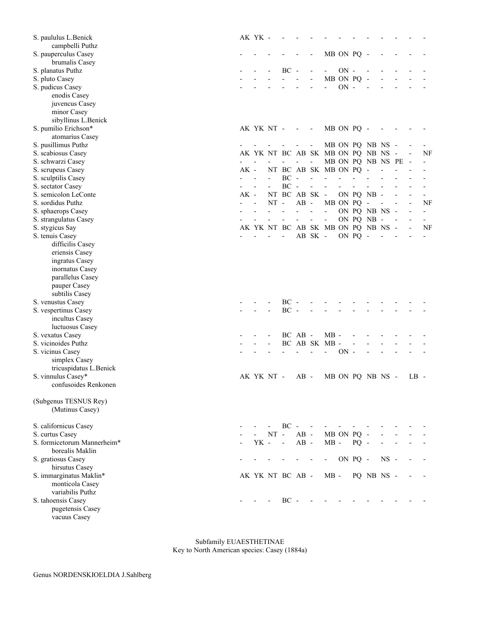| S. paululus L.Benick        |        | AK YK -                  |                          |                          |                          |                          |                                    |            |         |                   |        |                          |                          |
|-----------------------------|--------|--------------------------|--------------------------|--------------------------|--------------------------|--------------------------|------------------------------------|------------|---------|-------------------|--------|--------------------------|--------------------------|
| campbelli Puthz             |        |                          |                          |                          |                          |                          |                                    |            |         |                   |        |                          |                          |
| S. pauperculus Casey        |        |                          |                          |                          |                          |                          |                                    | MB ON PQ - |         |                   |        |                          |                          |
| brumalis Casey              |        |                          |                          |                          |                          |                          |                                    |            |         |                   |        |                          |                          |
| S. planatus Puthz           |        |                          |                          | $BC -$                   |                          |                          |                                    | $ON -$     |         |                   |        |                          |                          |
| S. pluto Casey              |        |                          |                          |                          |                          | $\overline{a}$           |                                    | MB ON PQ   |         |                   |        |                          |                          |
| S. pudicus Casey            |        |                          |                          |                          |                          |                          | $\blacksquare$                     | $ON -$     |         |                   |        |                          |                          |
| enodis Casey                |        |                          |                          |                          |                          |                          |                                    |            |         |                   |        |                          |                          |
| juvencus Casey              |        |                          |                          |                          |                          |                          |                                    |            |         |                   |        |                          |                          |
| minor Casey                 |        |                          |                          |                          |                          |                          |                                    |            |         |                   |        |                          |                          |
| sibyllinus L.Benick         |        |                          |                          |                          |                          |                          |                                    |            |         |                   |        |                          |                          |
| S. pumilio Erichson*        |        | AK YK NT -               |                          |                          | $\overline{\phantom{a}}$ | $\overline{\phantom{a}}$ |                                    | MB ON PQ - |         |                   |        |                          |                          |
| atomarius Casey             |        |                          |                          |                          |                          |                          |                                    |            |         |                   |        |                          |                          |
| S. pusillimus Puthz         |        |                          |                          |                          |                          | $\overline{\phantom{a}}$ |                                    |            |         | MB ON PQ NB NS -  |        |                          |                          |
| S. scabiosus Casey          |        |                          |                          |                          |                          |                          | AK YK NT BC AB SK MB ON PQ NB NS - |            |         |                   |        | $\overline{\phantom{a}}$ | NF                       |
| S. schwarzi Casey           |        |                          |                          |                          |                          | $\frac{1}{2}$            |                                    |            |         | MB ON PQ NB NS PE |        |                          |                          |
| S. scrupeus Casey           | $AK -$ |                          |                          |                          |                          |                          | NT BC AB SK MB ON PQ -             |            |         |                   |        |                          |                          |
| S. sculptilis Casey         |        |                          | $\mathcal{L}^{\pm}$      | $BC -$                   |                          | $\overline{\phantom{a}}$ | $\overline{\phantom{a}}$           |            |         |                   |        |                          |                          |
| S. sectator Casey           |        | $\blacksquare$           | $\overline{\phantom{a}}$ | $BC -$                   |                          | $\blacksquare$           | $\overline{\phantom{a}}$           |            |         |                   |        |                          |                          |
| S. semicolon LeConte        | $AK -$ |                          |                          | NT BC AB SK -            |                          |                          |                                    |            |         | ON PQ NB -        |        |                          |                          |
| S. sordidus Puthz           |        |                          | $NT -$                   |                          | $AB -$                   |                          |                                    | MB ON PQ - |         |                   |        |                          | NF                       |
|                             |        |                          |                          | $\overline{\phantom{a}}$ | $\blacksquare$           | $\frac{1}{2}$            | $\overline{\phantom{a}}$           |            |         | ON PQ NB NS -     |        |                          |                          |
| S. sphaerops Casey          |        |                          |                          |                          | $\overline{\phantom{a}}$ |                          |                                    |            |         |                   |        |                          | $\overline{\phantom{0}}$ |
| S. strangulatus Casey       |        |                          |                          | $\overline{\phantom{a}}$ |                          | $\blacksquare$           | $\overline{\phantom{a}}$           |            |         | ON PQ NB -        |        |                          | $\overline{\phantom{a}}$ |
| S. stygicus Say             |        |                          |                          |                          |                          |                          | AK YK NT BC AB SK MB ON PQ NB NS - |            |         |                   |        |                          | NF                       |
| S. tenuis Casey             |        |                          |                          |                          |                          | AB SK -                  |                                    |            | ON PQ - |                   |        |                          |                          |
| difficilis Casey            |        |                          |                          |                          |                          |                          |                                    |            |         |                   |        |                          |                          |
| eriensis Casey              |        |                          |                          |                          |                          |                          |                                    |            |         |                   |        |                          |                          |
| ingratus Casey              |        |                          |                          |                          |                          |                          |                                    |            |         |                   |        |                          |                          |
| inornatus Casey             |        |                          |                          |                          |                          |                          |                                    |            |         |                   |        |                          |                          |
| parallelus Casey            |        |                          |                          |                          |                          |                          |                                    |            |         |                   |        |                          |                          |
| pauper Casey                |        |                          |                          |                          |                          |                          |                                    |            |         |                   |        |                          |                          |
| subtilis Casey              |        |                          |                          |                          |                          |                          |                                    |            |         |                   |        |                          |                          |
| S. venustus Casey           |        |                          |                          | $BC -$                   |                          |                          |                                    |            |         |                   |        |                          |                          |
| S. vespertinus Casey        |        |                          |                          | $BC -$                   |                          |                          |                                    |            |         |                   |        |                          |                          |
| incultus Casey              |        |                          |                          |                          |                          |                          |                                    |            |         |                   |        |                          |                          |
| luctuosus Casey             |        |                          |                          |                          |                          |                          |                                    |            |         |                   |        |                          |                          |
| S. vexatus Casey            |        |                          |                          |                          | BC AB -                  |                          | $MB -$                             |            |         |                   |        |                          |                          |
| S. vicinoides Puthz         |        |                          |                          |                          |                          |                          | BC AB SK MB                        |            |         |                   |        |                          |                          |
| S. vicinus Casey            |        |                          |                          |                          |                          | $\overline{a}$           | $\blacksquare$                     | $ON -$     |         |                   |        |                          |                          |
| simplex Casey               |        |                          |                          |                          |                          |                          |                                    |            |         |                   |        |                          |                          |
| tricuspidatus L.Benick      |        |                          |                          |                          |                          |                          |                                    |            |         |                   |        |                          |                          |
| S. vinnulus Casey*          |        | AK YK NT -               |                          |                          | $AB -$                   |                          |                                    |            |         | MB ON PQ NB NS -  |        | $LB -$                   |                          |
| confusoides Renkonen        |        |                          |                          |                          |                          |                          |                                    |            |         |                   |        |                          |                          |
|                             |        |                          |                          |                          |                          |                          |                                    |            |         |                   |        |                          |                          |
| (Subgenus TESNUS Rey)       |        |                          |                          |                          |                          |                          |                                    |            |         |                   |        |                          |                          |
| (Mutinus Casey)             |        |                          |                          |                          |                          |                          |                                    |            |         |                   |        |                          |                          |
|                             |        |                          |                          |                          |                          |                          |                                    |            |         |                   |        |                          |                          |
| S. californicus Casey       |        |                          |                          | $BC -$                   |                          |                          |                                    |            |         |                   |        |                          |                          |
| S. curtus Casey             |        |                          | $NT -$                   |                          | $AB -$                   |                          | MB ON PQ -                         |            |         |                   |        |                          |                          |
| S. formicetorum Mannerheim* |        | YK -                     |                          | $\sim$                   | $AB -$                   |                          | $MB -$                             |            | $PQ -$  |                   |        |                          |                          |
| borealis Maklin             |        |                          |                          |                          |                          |                          |                                    |            |         |                   |        |                          |                          |
| S. gratiosus Casey          |        |                          |                          |                          |                          |                          | $\sim 100$                         | ON PQ -    |         |                   | $NS -$ |                          |                          |
| hirsutus Casey              |        |                          |                          |                          |                          |                          |                                    |            |         |                   |        |                          |                          |
| S. immarginatus Maklin*     |        |                          |                          | AK YK NT BC AB -         |                          |                          | $MB -$                             |            |         | PQ NB NS -        |        |                          |                          |
| monticola Casey             |        |                          |                          |                          |                          |                          |                                    |            |         |                   |        |                          |                          |
| variabilis Puthz            |        |                          |                          |                          |                          |                          |                                    |            |         |                   |        |                          |                          |
| S. tahoensis Casey          |        | <b>Contract Contract</b> |                          | $BC -$                   |                          |                          |                                    |            |         |                   |        |                          |                          |
| pugetensis Casey            |        |                          |                          |                          |                          |                          |                                    |            |         |                   |        |                          |                          |
| vacuus Casey                |        |                          |                          |                          |                          |                          |                                    |            |         |                   |        |                          |                          |

 Subfamily EUAESTHETINAE Key to North American species: Casey (1884a)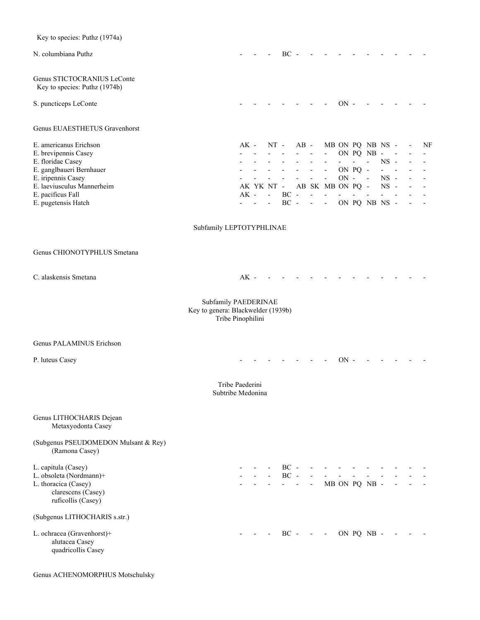| Key to species: Puthz (1974a)                                         |                                                                                 |                 |        |                          |                          |                          |                          |                                                 |                     |                   |                                        |                           |  |                          |
|-----------------------------------------------------------------------|---------------------------------------------------------------------------------|-----------------|--------|--------------------------|--------------------------|--------------------------|--------------------------|-------------------------------------------------|---------------------|-------------------|----------------------------------------|---------------------------|--|--------------------------|
| N. columbiana Puthz                                                   |                                                                                 |                 |        |                          | $BC -$                   |                          |                          |                                                 |                     |                   |                                        |                           |  |                          |
| Genus STICTOCRANIUS LeConte<br>Key to species: Puthz (1974b)          |                                                                                 |                 |        |                          |                          |                          |                          |                                                 |                     |                   |                                        |                           |  |                          |
| S. puncticeps LeConte                                                 |                                                                                 |                 |        |                          |                          |                          |                          |                                                 | $ON -$              |                   |                                        |                           |  |                          |
| Genus EUAESTHETUS Gravenhorst                                         |                                                                                 |                 |        |                          |                          |                          |                          |                                                 |                     |                   |                                        |                           |  |                          |
| E. americanus Erichson                                                |                                                                                 | AK -            |        |                          | $NT -$                   | $AB -$                   |                          |                                                 |                     |                   | MB ON PQ NB NS -                       |                           |  | NF                       |
| E. brevipennis Casey                                                  |                                                                                 |                 |        |                          |                          | $\sim$ $ \sim$           | $\overline{\phantom{a}}$ | $\sim$                                          |                     | $\overline{a}$    | ON PQ NB -<br>$\overline{\phantom{a}}$ | $NS -$                    |  |                          |
| E. floridae Casey<br>E. ganglbaueri Bernhauer                         |                                                                                 |                 |        | $\sim 100$               | $\omega_{\rm{max}}$      | $\omega_{\rm{max}}$      | $\sim$                   | $\overline{\phantom{a}}$<br>$\omega_{\rm{max}}$ |                     | ON PQ -           |                                        | $\mathbf{L} = \mathbf{L}$ |  |                          |
| E. iripennis Casey                                                    |                                                                                 |                 |        | $\omega_{\rm{max}}$      | $\overline{\phantom{a}}$ | $\overline{\phantom{a}}$ | $\frac{1}{2}$            | $\blacksquare$                                  | $ON -$              |                   | $\sim 100$                             | $NS -$                    |  | $\overline{\phantom{a}}$ |
| E. laeviusculus Mannerheim                                            |                                                                                 |                 |        | AK YK NT -               |                          |                          |                          | AB SK MB ON PQ -                                |                     |                   |                                        | $NS -$                    |  |                          |
| E. pacificus Fall                                                     |                                                                                 |                 | $AK -$ | $\omega_{\rm{max}}$      | $BC -$                   |                          | $\blacksquare$           | $\blacksquare$                                  | $\omega_{\rm{max}}$ | $\Delta \sim 100$ | $\overline{\phantom{a}}$               | $\mathbf{r}$              |  |                          |
| E. pugetensis Hatch                                                   |                                                                                 |                 | $\sim$ | $\blacksquare$           | $BC -$                   |                          |                          | $\Delta \phi = \Delta \phi = 0.01$              |                     |                   | ON PQ NB NS -                          |                           |  |                          |
|                                                                       | Subfamily LEPTOTYPHLINAE                                                        |                 |        |                          |                          |                          |                          |                                                 |                     |                   |                                        |                           |  |                          |
| Genus CHIONOTYPHLUS Smetana                                           |                                                                                 |                 |        |                          |                          |                          |                          |                                                 |                     |                   |                                        |                           |  |                          |
| C. alaskensis Smetana                                                 |                                                                                 | $AK -$          |        |                          |                          |                          |                          |                                                 |                     |                   |                                        |                           |  |                          |
|                                                                       | Subfamily PAEDERINAE<br>Key to genera: Blackwelder (1939b)<br>Tribe Pinophilini |                 |        |                          |                          |                          |                          |                                                 |                     |                   |                                        |                           |  |                          |
| <b>Genus PALAMINUS Erichson</b>                                       |                                                                                 |                 |        |                          |                          |                          |                          |                                                 |                     |                   |                                        |                           |  |                          |
| P. luteus Casey                                                       |                                                                                 |                 |        |                          |                          |                          |                          |                                                 | $ON -$              |                   |                                        |                           |  |                          |
|                                                                       | Subtribe Medonina                                                               | Tribe Paederini |        |                          |                          |                          |                          |                                                 |                     |                   |                                        |                           |  |                          |
| Genus LITHOCHARIS Dejean<br>Metaxyodonta Casey                        |                                                                                 |                 |        |                          |                          |                          |                          |                                                 |                     |                   |                                        |                           |  |                          |
| (Subgenus PSEUDOMEDON Mulsant & Rey)<br>(Ramona Casey)                |                                                                                 |                 |        |                          |                          |                          |                          |                                                 |                     |                   |                                        |                           |  |                          |
| L. capitula (Casey)                                                   |                                                                                 |                 |        |                          |                          |                          |                          | - BC - - - - - - - -<br>and a straight and      |                     |                   |                                        |                           |  |                          |
| L. obsoleta (Nordmann)+<br>L. thoracica (Casey)<br>clarescens (Casey) |                                                                                 |                 |        | <b>Contract Contract</b> |                          | $BC -$                   |                          | - - - MB ON PQ NB -                             |                     |                   |                                        |                           |  |                          |
| ruficollis (Casey)<br>(Subgenus LITHOCHARIS s.str.)                   |                                                                                 |                 |        |                          |                          |                          |                          |                                                 |                     |                   |                                        |                           |  |                          |
| L. ochracea (Gravenhorst)+                                            |                                                                                 |                 |        |                          |                          |                          |                          | BC - - - - ON PQ NB -                           |                     |                   |                                        |                           |  |                          |
| alutacea Casey<br>quadricollis Casey                                  |                                                                                 |                 |        |                          |                          |                          |                          |                                                 |                     |                   |                                        |                           |  |                          |

Genus ACHENOMORPHUS Motschulsky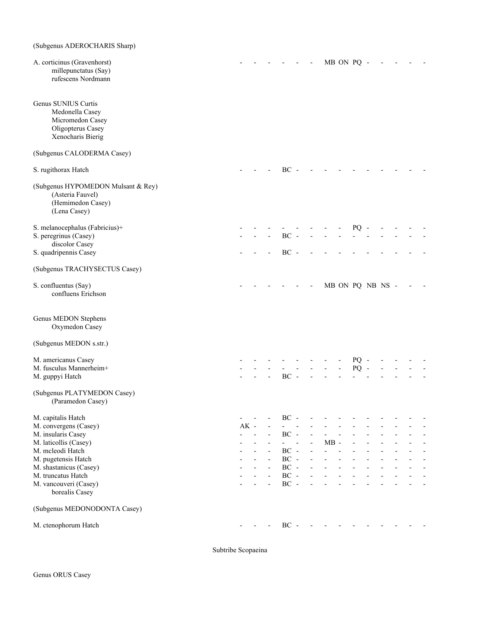# (Subgenus ADEROCHARIS Sharp)

| A. corticinus (Gravenhorst)<br>millepunctatus (Say)<br>rufescens Nordmann                            |        |  |                                    |  |        | MB ON PQ -       |        |  |  |  |
|------------------------------------------------------------------------------------------------------|--------|--|------------------------------------|--|--------|------------------|--------|--|--|--|
| Genus SUNIUS Curtis<br>Medonella Casey<br>Micromedon Casey<br>Oligopterus Casey<br>Xenocharis Bierig |        |  |                                    |  |        |                  |        |  |  |  |
| (Subgenus CALODERMA Casey)                                                                           |        |  |                                    |  |        |                  |        |  |  |  |
| S. rugithorax Hatch                                                                                  |        |  | $BC -$                             |  |        |                  |        |  |  |  |
| (Subgenus HYPOMEDON Mulsant & Rey)<br>(Asteria Fauvel)<br>(Hemimedon Casey)<br>(Lena Casey)          |        |  |                                    |  |        |                  |        |  |  |  |
| S. melanocephalus (Fabricius)+                                                                       |        |  |                                    |  |        |                  | $PQ -$ |  |  |  |
| S. peregrinus (Casey)<br>discolor Casey                                                              |        |  | $BC -$                             |  |        |                  |        |  |  |  |
| S. quadripennis Casey                                                                                |        |  | $BC -$                             |  |        |                  |        |  |  |  |
| (Subgenus TRACHYSECTUS Casey)                                                                        |        |  |                                    |  |        |                  |        |  |  |  |
| S. confluentus (Say)<br>confluens Erichson                                                           |        |  |                                    |  |        | MB ON PQ NB NS - |        |  |  |  |
| Genus MEDON Stephens<br>Oxymedon Casey                                                               |        |  |                                    |  |        |                  |        |  |  |  |
| (Subgenus MEDON s.str.)                                                                              |        |  |                                    |  |        |                  |        |  |  |  |
| M. americanus Casey                                                                                  |        |  |                                    |  |        |                  | $PQ -$ |  |  |  |
| M. fusculus Mannerheim+<br>M. guppyi Hatch                                                           |        |  | $BC -$                             |  |        |                  | $PQ -$ |  |  |  |
| (Subgenus PLATYMEDON Casey)<br>(Paramedon Casey)                                                     |        |  |                                    |  |        |                  |        |  |  |  |
| M. capitalis Hatch                                                                                   |        |  | $BC -$                             |  |        |                  |        |  |  |  |
| M. convergens (Casey)                                                                                | $AK -$ |  |                                    |  |        |                  |        |  |  |  |
| M. insularis Casey                                                                                   |        |  | $BC -$                             |  |        |                  |        |  |  |  |
| M. laticollis (Casey)<br>M. mcleodi Hatch                                                            |        |  | $\overline{\phantom{0}}$<br>$BC -$ |  | $MB -$ |                  |        |  |  |  |
| M. pugetensis Hatch                                                                                  |        |  | $BC -$                             |  |        |                  |        |  |  |  |
| M. shastanicus (Casey)                                                                               |        |  | $BC -$                             |  |        |                  |        |  |  |  |
| M. truncatus Hatch                                                                                   |        |  | $BC -$                             |  |        |                  |        |  |  |  |
| M. vancouveri (Casey)<br>borealis Casey                                                              |        |  | $BC -$                             |  |        |                  |        |  |  |  |
| (Subgenus MEDONODONTA Casey)                                                                         |        |  |                                    |  |        |                  |        |  |  |  |
| M. ctenophorum Hatch                                                                                 |        |  | $BC -$                             |  |        |                  |        |  |  |  |

Subtribe Scopaeina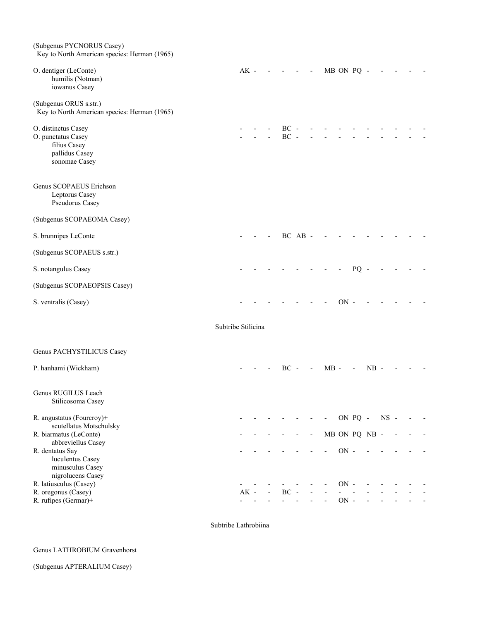| (Subgenus PYCNORUS Casey)<br>Key to North American species: Herman (1965)                    |                    |        |                          |                  |                          |                          |            |         |    |               |        |  |  |
|----------------------------------------------------------------------------------------------|--------------------|--------|--------------------------|------------------|--------------------------|--------------------------|------------|---------|----|---------------|--------|--|--|
| O. dentiger (LeConte)<br>humilis (Notman)<br>iowanus Casey                                   |                    | $AK -$ |                          |                  | $\overline{\phantom{a}}$ | $\overline{\phantom{a}}$ | MB ON PQ - |         |    |               |        |  |  |
| (Subgenus ORUS s.str.)<br>Key to North American species: Herman (1965)                       |                    |        |                          |                  |                          |                          |            |         |    |               |        |  |  |
| O. distinctus Casey<br>O. punctatus Casey<br>filius Casey<br>pallidus Casey<br>sonomae Casey |                    |        |                          | $BC -$<br>$BC -$ |                          |                          |            |         |    |               |        |  |  |
| Genus SCOPAEUS Erichson<br>Leptorus Casey<br>Pseudorus Casey                                 |                    |        |                          |                  |                          |                          |            |         |    |               |        |  |  |
| (Subgenus SCOPAEOMA Casey)                                                                   |                    |        |                          |                  |                          |                          |            |         |    |               |        |  |  |
| S. brunnipes LeConte                                                                         |                    |        |                          |                  | $BC$ $AB$ -              |                          |            |         |    |               |        |  |  |
| (Subgenus SCOPAEUS s.str.)                                                                   |                    |        |                          |                  |                          |                          |            |         |    |               |        |  |  |
| S. notangulus Casey                                                                          |                    |        |                          |                  |                          |                          |            |         | PQ |               |        |  |  |
| (Subgenus SCOPAEOPSIS Casey)                                                                 |                    |        |                          |                  |                          |                          |            |         |    |               |        |  |  |
| S. ventralis (Casey)                                                                         |                    |        |                          |                  |                          |                          |            | $ON -$  |    |               |        |  |  |
|                                                                                              | Subtribe Stilicina |        |                          |                  |                          |                          |            |         |    |               |        |  |  |
| Genus PACHYSTILICUS Casey                                                                    |                    |        |                          |                  |                          |                          |            |         |    |               |        |  |  |
| P. hanhami (Wickham)                                                                         |                    |        |                          | $BC -$           |                          | $\blacksquare$           | $MB -$     |         |    | $NB -$        |        |  |  |
| Genus RUGILUS Leach<br>Stilicosoma Casey                                                     |                    |        |                          |                  |                          |                          |            |         |    |               |        |  |  |
| R. angustatus (Fourcroy)+                                                                    |                    |        |                          |                  |                          |                          |            | ON PQ - |    |               | $NS -$ |  |  |
| scutellatus Motschulsky<br>R. biarmatus (LeConte)                                            |                    |        |                          |                  |                          | $\overline{\phantom{a}}$ |            |         |    | MB ON PQ NB - |        |  |  |
| abbreviellus Casey<br>R. dentatus Say<br>luculentus Casey<br>minusculus Casey                |                    |        |                          |                  |                          |                          |            | $ON -$  |    |               |        |  |  |
| nigrolucens Casey<br>R. latiusculus (Casey)                                                  |                    |        |                          |                  |                          |                          |            | $ON -$  |    |               |        |  |  |
| R. oregonus (Casey)                                                                          |                    | $AK -$ | $\overline{\phantom{a}}$ | $BC -$           |                          |                          |            |         |    |               |        |  |  |
| R. rufipes (Germar)+                                                                         |                    |        |                          |                  |                          |                          |            | $ON -$  |    |               |        |  |  |

Subtribe Lathrobiina

#### Genus LATHROBIUM Gravenhorst

(Subgenus APTERALIUM Casey)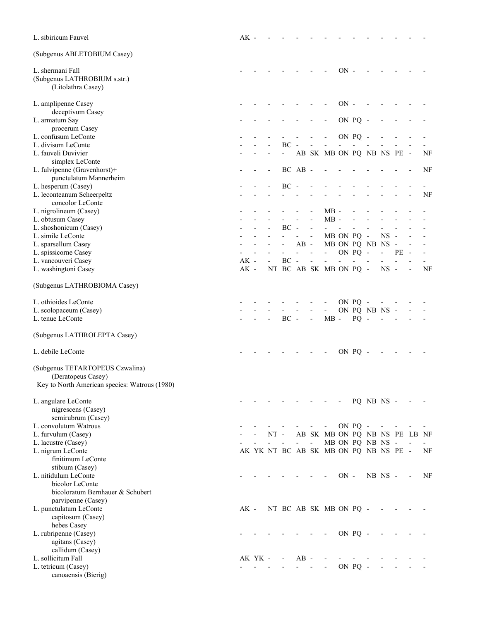| L. sibiricum Fauvel                           | $AK -$ |         |        |                          |                     |                          |                                       |            |                |                  |                |                          |                          |    |
|-----------------------------------------------|--------|---------|--------|--------------------------|---------------------|--------------------------|---------------------------------------|------------|----------------|------------------|----------------|--------------------------|--------------------------|----|
| (Subgenus ABLETOBIUM Casey)                   |        |         |        |                          |                     |                          |                                       |            |                |                  |                |                          |                          |    |
| L. shermani Fall                              |        |         |        |                          |                     |                          |                                       | $ON$ -     |                |                  |                |                          |                          |    |
| (Subgenus LATHROBIUM s.str.)                  |        |         |        |                          |                     |                          |                                       |            |                |                  |                |                          |                          |    |
| (Litolathra Casey)                            |        |         |        |                          |                     |                          |                                       |            |                |                  |                |                          |                          |    |
| L. amplipenne Casey                           |        |         |        |                          |                     |                          |                                       | $ON -$     |                |                  |                |                          |                          |    |
| deceptivum Casey                              |        |         |        |                          |                     |                          |                                       |            |                |                  |                |                          |                          |    |
| L. armatum Say<br>procerum Casey              |        |         |        |                          |                     |                          |                                       |            | ON PQ -        |                  |                |                          |                          |    |
| L. confusum LeConte                           |        |         |        |                          |                     |                          |                                       |            | ON PQ -        |                  |                |                          |                          |    |
| L. divisum LeConte                            |        |         |        | BC                       |                     |                          |                                       |            |                |                  |                |                          |                          |    |
| L. fauveli Duvivier                           |        |         |        |                          |                     |                          | AB SK MB ON PQ NB NS PE -             |            |                |                  |                |                          |                          | NF |
| simplex LeConte                               |        |         |        |                          |                     |                          |                                       |            |                |                  |                |                          |                          |    |
| L. fulvipenne (Gravenhorst)+                  |        |         |        |                          | BC AB -             |                          |                                       |            |                |                  |                |                          |                          | NF |
| punctulatum Mannerheim                        |        |         |        |                          |                     |                          |                                       |            |                |                  |                |                          |                          |    |
| L. hesperum (Casey)                           |        |         |        | $BC -$                   |                     |                          |                                       |            |                |                  |                |                          |                          |    |
| L. leconteanum Scheerpeltz                    |        |         |        |                          |                     |                          |                                       |            |                |                  |                |                          |                          | NF |
| concolor LeConte<br>L. nigrolineum (Casey)    |        |         |        |                          |                     |                          | $MB -$                                |            |                |                  |                |                          |                          |    |
| L. obtusum Casey                              |        |         |        |                          |                     |                          | $MB -$                                |            |                |                  |                |                          |                          |    |
| L. shoshonicum (Casey)                        |        |         |        | $BC -$                   |                     |                          |                                       |            |                |                  |                |                          |                          |    |
| L. simile LeConte                             |        |         |        |                          |                     | $\overline{\phantom{a}}$ |                                       | MB ON PQ - |                |                  | $NS -$         |                          |                          |    |
| L. sparsellum Casey                           |        |         |        |                          | $AB -$              |                          |                                       |            |                | MB ON PQ NB NS   |                | $\overline{\phantom{a}}$ |                          |    |
| L. spissicorne Casey                          |        |         |        |                          |                     |                          | $\blacksquare$                        |            | ON PQ -        |                  | $\overline{a}$ | PЕ                       |                          |    |
| L. vancouveri Casey                           | $AK -$ |         |        | $BC -$                   |                     | $\overline{\phantom{a}}$ |                                       |            | $\overline{a}$ |                  |                |                          |                          |    |
| L. washingtoni Casey                          | $AK -$ |         |        |                          |                     |                          | NT BC AB SK MB ON PQ -                |            |                |                  | $NS -$         |                          |                          | NF |
| (Subgenus LATHROBIOMA Casey)                  |        |         |        |                          |                     |                          |                                       |            |                |                  |                |                          |                          |    |
| L. othioides LeConte                          |        |         |        |                          |                     |                          |                                       |            | ON PQ -        |                  |                |                          |                          |    |
| L. scolopaceum (Casey)                        |        |         |        |                          |                     |                          | $\qquad \qquad \blacksquare$          |            |                | ON PQ NB NS -    |                |                          |                          |    |
| L. tenue LeConte                              |        |         |        | $BC -$                   |                     | $\overline{\phantom{a}}$ | $MB -$                                |            | $PQ -$         |                  |                |                          |                          |    |
| (Subgenus LATHROLEPTA Casey)                  |        |         |        |                          |                     |                          |                                       |            |                |                  |                |                          |                          |    |
| L. debile LeConte                             |        |         |        |                          |                     |                          |                                       |            | ON PQ -        |                  |                |                          |                          |    |
| (Subgenus TETARTOPEUS Czwalina)               |        |         |        |                          |                     |                          |                                       |            |                |                  |                |                          |                          |    |
| (Deratopeus Casey)                            |        |         |        |                          |                     |                          |                                       |            |                |                  |                |                          |                          |    |
| Key to North American species: Watrous (1980) |        |         |        |                          |                     |                          |                                       |            |                |                  |                |                          |                          |    |
| L. angulare LeConte                           |        |         |        |                          |                     |                          |                                       |            |                | PQ NB NS -       |                |                          |                          |    |
| nigrescens (Casey)                            |        |         |        |                          |                     |                          |                                       |            |                |                  |                |                          |                          |    |
| semirubrum (Casey)                            |        |         |        |                          |                     |                          |                                       |            |                |                  |                |                          |                          |    |
| L. convolutum Watrous                         |        |         |        |                          |                     |                          | $\overline{\phantom{a}}$              |            | ON PQ -        |                  | $\sim$         |                          |                          |    |
| L. furvulum (Casey)<br>L. lacustre (Casey)    |        |         | $NT -$ | $\overline{\phantom{a}}$ | $\omega_{\rm{eff}}$ | $\blacksquare$           | AB SK MB ON PQ NB NS PE LB NF         |            |                | MB ON PQ NB NS - |                |                          | $\overline{\phantom{a}}$ |    |
| L. nigrum LeConte                             |        |         |        |                          |                     |                          | AK YK NT BC AB SK MB ON PQ NB NS PE - |            |                |                  |                |                          |                          | NF |
| finitimum LeConte                             |        |         |        |                          |                     |                          |                                       |            |                |                  |                |                          |                          |    |
| stibium (Casey)                               |        |         |        |                          |                     |                          |                                       |            |                |                  |                |                          |                          |    |
| L. nitidulum LeConte                          |        |         |        |                          |                     |                          |                                       | $ON -$     |                |                  | NB NS -        |                          |                          | NF |
| bicolor LeConte                               |        |         |        |                          |                     |                          |                                       |            |                |                  |                |                          |                          |    |
| bicoloratum Bernhauer & Schubert              |        |         |        |                          |                     |                          |                                       |            |                |                  |                |                          |                          |    |
| parvipenne (Casey)                            |        |         |        |                          |                     |                          |                                       |            |                |                  |                |                          |                          |    |
| L. punctulatum LeConte                        | AK -   |         |        |                          |                     |                          | NT BC AB SK MB ON PQ -                |            |                |                  |                |                          |                          |    |
| capitosum (Casey)<br>hebes Casey              |        |         |        |                          |                     |                          |                                       |            |                |                  |                |                          |                          |    |
| L. rubripenne (Casey)                         |        |         |        |                          |                     |                          |                                       |            | ON PQ -        |                  |                |                          |                          |    |
| agitans (Casey)                               |        |         |        |                          |                     |                          |                                       |            |                |                  |                |                          |                          |    |
| callidum (Casey)                              |        |         |        |                          |                     |                          |                                       |            |                |                  |                |                          |                          |    |
| L. sollicitum Fall                            |        | AK YK - |        |                          | $AB -$              |                          |                                       |            |                |                  |                |                          |                          |    |
| L. tetricum (Casey)                           |        |         |        |                          |                     |                          |                                       |            | ON PQ -        |                  |                |                          |                          |    |
| canoaensis (Bierig)                           |        |         |        |                          |                     |                          |                                       |            |                |                  |                |                          |                          |    |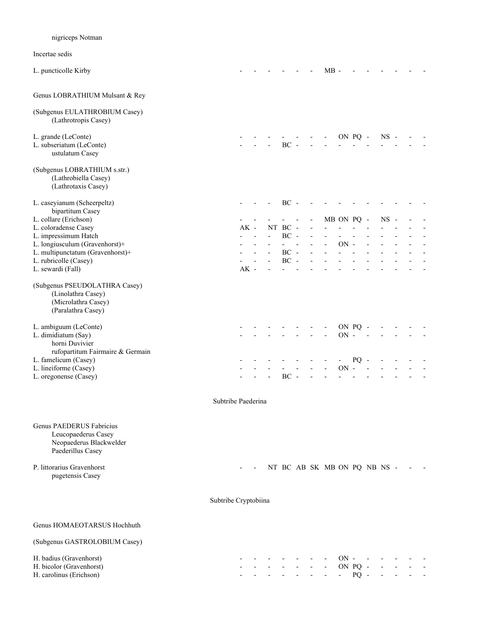# nigriceps Notman Incertae sedis L. puncticolle Kirby  $\qquad \qquad - \qquad - \qquad - \qquad - \qquad - \qquad - \qquad \qquad MB - \qquad - \qquad$ Genus LOBRATHIUM Mulsant & Rey (Subgenus EULATHROBIUM Casey) (Lathrotropis Casey) L. grande (LeConte) **- - - - - - - ON PQ - NS** - - -L. subseriatum (LeConte)  $-$  - - BC ustulatum Casey (Subgenus LOBRATHIUM s.str.) (Lathrobiella Casey) (Lathrotaxis Casey) L. caseyianum (Scheerpeltz) - - - BC - bipartitum Casey L. collare (Erichson) **- - - - - - MB ON PQ - NS** -L. coloradense Casey **AK** - NT BC - - - - - - - - - - -L. impressimum Hatch - - - BC - - - - - - - - - - L. longiusculum (Gravenhorst)+ - - - - - - - ON - - -L. multipunctatum (Gravenhorst)+ - - - BC - - - - - - - - - -L. rubricolle (Casey) and the contract of the contract of the contract of the contract of the contract of the contract of the contract of the contract of the contract of the contract of the contract of the contract of the L. sewardi (Fall) AK -(Subgenus PSEUDOLATHRA Casey) (Linolathra Casey) (Microlathra Casey) (Paralathra Casey) L. ambiguum (LeConte) - - - - - - - ON PQ - - - - - L. dimidiatum (Say)  $-$  - - - - - - - ON horni Duvivier rufopartitum Fairmaire & Germain L. famelicum (Casey) - - - - - - - - PQ - - - - - L. lineiforme (Casey) - - - - - - - ON - - - - - - L. oregonense (Casey)  $-$  - - BC - Subtribe Paederina Genus PAEDERUS Fabricius Leucopaederus Casey Neopaederus Blackwelder Paederillus Casey P. littorarius Gravenhorst **-** - NT BC AB SK MB ON PQ NB NS - pugetensis Casey Subtribe Cryptobiina Genus HOMAEOTARSUS Hochhuth (Subgenus GASTROLOBIUM Casey) H. badius (Gravenhorst) and the set of the set of the set of the set of the set of the set of the set of the set of the set of the set of the set of the set of the set of the set of the set of the set of the set of the set H. bicolor (Gravenhorst) and the set of the set of the set of the set of the set of the set of the set of the set of the set of the set of the set of the set of the set of the set of the set of the set of the set of the se H. carolinus (Erichson) - - - - - - - - PQ - - - - -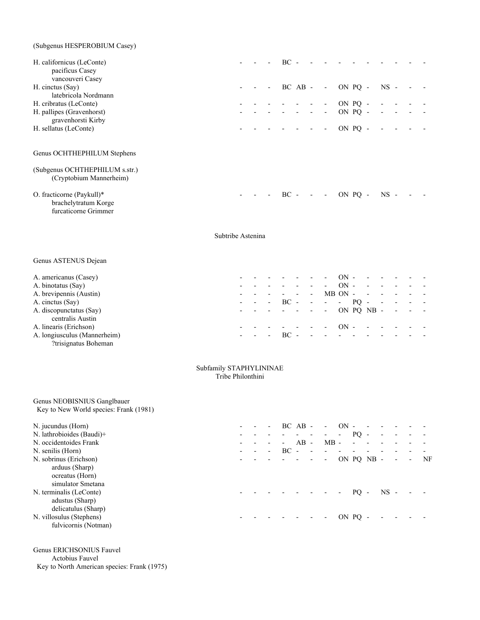| (Subgenus HESPEROBIUM Casey)                                              |  |                          |                         |  |                     |                      |  |  |
|---------------------------------------------------------------------------|--|--------------------------|-------------------------|--|---------------------|----------------------|--|--|
| H. californicus (LeConte)<br>pacificus Casey<br>vancouveri Casey          |  | $BC -$                   |                         |  |                     |                      |  |  |
| H. cinctus (Say)                                                          |  |                          |                         |  | $BC AB - - ON PQ -$ | $NS -$               |  |  |
| latebricola Nordmann                                                      |  |                          |                         |  |                     |                      |  |  |
| H. cribratus (LeConte)                                                    |  |                          |                         |  | $- ON PQ -$         |                      |  |  |
| H. pallipes (Gravenhorst)<br>gravenhorsti Kirby                           |  | i i popular              |                         |  | ON PQ -             | $\sim 100$<br>$\sim$ |  |  |
| H. sellatus (LeConte)                                                     |  |                          | $\sim 100$ km s $^{-1}$ |  | $- ON PO$ .         | $\sim$               |  |  |
| Genus OCHTHEPHILUM Stephens                                               |  |                          |                         |  |                     |                      |  |  |
| (Subgenus OCHTHEPHILUM s.str.)<br>(Cryptobium Mannerheim)                 |  |                          |                         |  |                     |                      |  |  |
| O. fracticorne (Paykull)*<br>brachelytratum Korge<br>furcaticorne Grimmer |  | $- - - BC - - - ON PO -$ |                         |  |                     | $NS -$               |  |  |

Subtribe Astenina

#### Genus ASTENUS Dejean

|                              |                          |                          |                          |                |                    |                          | $ON -$    |        | $\overline{a}$ |                                                             |  |
|------------------------------|--------------------------|--------------------------|--------------------------|----------------|--------------------|--------------------------|-----------|--------|----------------|-------------------------------------------------------------|--|
| A. americanus (Casey)        |                          |                          |                          |                |                    |                          |           |        |                |                                                             |  |
| A. binotatus (Say)           |                          |                          |                          |                |                    | $\overline{\phantom{0}}$ | $ON -$    |        | $\overline{a}$ |                                                             |  |
| A. brevipennis (Austin)      |                          |                          |                          |                | $\sim$             |                          | $MB ON -$ |        | $\sim$         |                                                             |  |
| A. cinctus (Say)             | $\overline{\phantom{0}}$ | $\overline{\phantom{0}}$ | <b>Contract Contract</b> | $BC - - - - -$ |                    |                          |           | $PO -$ |                | $\mathcal{L}_{\text{max}}$ , and $\mathcal{L}_{\text{max}}$ |  |
| A. discopunctatus (Say)      |                          |                          |                          |                | المناسبة والمناسبة | - ON PO NB - - - -       |           |        |                |                                                             |  |
| centralis Austin             |                          |                          |                          |                |                    |                          |           |        |                |                                                             |  |
| A. linearis (Erichson)       |                          |                          |                          |                |                    |                          |           |        |                |                                                             |  |
| A. longiusculus (Mannerheim) | $\overline{\phantom{0}}$ |                          |                          | BC.            |                    |                          |           |        |                |                                                             |  |
| ?trisignatus Boheman         |                          |                          |                          |                |                    |                          |           |        |                |                                                             |  |

 Subfamily STAPHYLININAE Tribe Philonthini

#### Genus NEOBISNIUS Ganglbauer Key to New World species: Frank (1981)

| N. jucundus (Horn)        |  | $\overline{\phantom{a}}$ |        | $BCAB -$                                     |                          | $\sim$                   | ON               |       |        |                          |            |                          |    |
|---------------------------|--|--------------------------|--------|----------------------------------------------|--------------------------|--------------------------|------------------|-------|--------|--------------------------|------------|--------------------------|----|
| N. lathrobioides (Baudi)+ |  |                          |        | المتواصل والمتابعة                           |                          | $\sim 100$               | $\sim$ 100 $\mu$ | PO.   | $\sim$ | $\overline{\phantom{a}}$ |            |                          |    |
| N. occidentoides Frank    |  |                          | $\sim$ | AB                                           | $\overline{\phantom{a}}$ | $MB -$                   |                  |       |        |                          |            |                          |    |
| N. senilis (Horn)         |  |                          | $BC -$ |                                              | $\overline{\phantom{a}}$ |                          |                  |       |        |                          |            |                          |    |
| N. sobrinus (Erichson)    |  |                          |        | and a straightful state of                   |                          | $\sim$                   | ON PQ NB -       |       |        |                          | $\sim 100$ | $\overline{\phantom{a}}$ | NF |
| arduus (Sharp)            |  |                          |        |                                              |                          |                          |                  |       |        |                          |            |                          |    |
| ocreatus (Horn)           |  |                          |        |                                              |                          |                          |                  |       |        |                          |            |                          |    |
| simulator Smetana         |  |                          |        |                                              |                          |                          |                  |       |        |                          |            |                          |    |
| N. terminalis (LeConte)   |  |                          |        | $\sim$ $\sim$ $\sim$ $\sim$ $\sim$ $\sim$ PQ |                          |                          |                  |       |        | $NS -$                   |            |                          |    |
| adustus (Sharp)           |  |                          |        |                                              |                          |                          |                  |       |        |                          |            |                          |    |
| delicatulus (Sharp)       |  |                          |        |                                              |                          |                          |                  |       |        |                          |            |                          |    |
| N. villosulus (Stephens)  |  |                          |        |                                              |                          | $\overline{\phantom{a}}$ |                  | ON PO |        |                          |            |                          |    |
| fulvicornis (Notman)      |  |                          |        |                                              |                          |                          |                  |       |        |                          |            |                          |    |

Genus ERICHSONIUS Fauvel

Actobius Fauvel

Key to North American species: Frank (1975)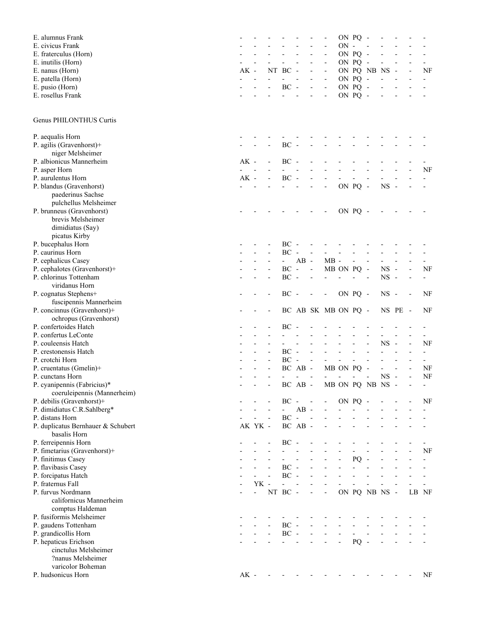| E. alumnus Frank                                         |        |                |                          |                             |                          |                              |                              |                          | ON PQ - |                          |             |                          |       |                          |
|----------------------------------------------------------|--------|----------------|--------------------------|-----------------------------|--------------------------|------------------------------|------------------------------|--------------------------|---------|--------------------------|-------------|--------------------------|-------|--------------------------|
| E. civicus Frank                                         |        |                |                          |                             |                          |                              |                              | $ON -$                   |         |                          |             |                          |       |                          |
| E. fraterculus (Horn)                                    |        |                |                          |                             |                          |                              |                              |                          | ON PQ - |                          |             |                          |       |                          |
| E. inutilis (Horn)                                       |        |                |                          |                             |                          |                              |                              |                          | ON PQ - |                          |             |                          |       |                          |
| E. nanus (Horn)                                          | $AK -$ |                |                          | NT BC                       | $\overline{\phantom{a}}$ |                              |                              |                          |         | ON PQ NB NS              |             |                          |       | NF                       |
| E. patella (Horn)                                        |        |                |                          |                             |                          |                              | $\frac{1}{2}$                | ON PQ -                  |         |                          |             |                          |       |                          |
| E. pusio (Horn)                                          |        |                |                          | $BC -$                      |                          | $\qquad \qquad \blacksquare$ | $\overline{a}$               |                          | ON PQ - |                          |             |                          |       |                          |
| E. rosellus Frank                                        |        |                |                          |                             |                          |                              |                              |                          | ON PQ - |                          |             |                          |       |                          |
| Genus PHILONTHUS Curtis                                  |        |                |                          |                             |                          |                              |                              |                          |         |                          |             |                          |       |                          |
| P. aequalis Horn                                         |        |                |                          |                             |                          |                              |                              |                          |         |                          |             |                          |       |                          |
| P. agilis (Gravenhorst)+                                 |        |                |                          | $BC -$                      |                          |                              |                              |                          |         |                          |             |                          |       |                          |
| niger Melsheimer                                         |        |                |                          |                             |                          |                              |                              |                          |         |                          |             |                          |       |                          |
| P. albionicus Mannerheim                                 | $AK -$ |                |                          | $BC -$                      |                          |                              |                              |                          |         |                          |             |                          |       |                          |
| P. asper Horn                                            |        |                |                          |                             |                          |                              |                              |                          |         |                          |             |                          |       | NF                       |
| P. aurulentus Horn                                       | $AK -$ |                |                          | $\rm BC$                    |                          |                              |                              |                          |         |                          |             |                          |       |                          |
| P. blandus (Gravenhorst)<br>paederinus Sachse            |        |                |                          |                             |                          |                              | $\overline{\phantom{a}}$     |                          | ON PQ - |                          | $NS -$      |                          |       |                          |
| pulchellus Melsheimer                                    |        |                |                          |                             |                          |                              |                              |                          |         |                          |             |                          |       |                          |
| P. brunneus (Gravenhorst)<br>brevis Melsheimer           |        |                |                          |                             |                          |                              |                              | ON PQ -                  |         |                          |             |                          |       |                          |
|                                                          |        |                |                          |                             |                          |                              |                              |                          |         |                          |             |                          |       |                          |
| dimidiatus (Say)<br>picatus Kirby                        |        |                |                          |                             |                          |                              |                              |                          |         |                          |             |                          |       |                          |
| P. bucephalus Horn                                       |        |                |                          | BC                          |                          |                              |                              |                          |         |                          |             |                          |       |                          |
| P. caurinus Horn                                         |        |                |                          | BC                          | $\overline{\phantom{a}}$ | $\frac{1}{2}$                |                              |                          |         |                          |             |                          |       |                          |
| P. cephalicus Casey                                      |        |                |                          | $\sim$                      | $AB -$                   |                              | $MB -$                       |                          |         |                          |             |                          |       |                          |
| P. cephalotes (Gravenhorst)+                             |        |                |                          | BC                          | $\sim$                   | $\frac{1}{2}$                | MB ON PQ -                   |                          |         |                          | <b>NS</b>   | $\overline{\phantom{a}}$ |       | NF                       |
| P. chlorinus Tottenham                                   |        |                |                          | BC                          | $\overline{\phantom{a}}$ |                              |                              |                          |         |                          | $_{\rm NS}$ | $\overline{a}$           |       |                          |
| viridanus Horn                                           |        |                |                          |                             |                          |                              |                              |                          |         |                          |             |                          |       |                          |
| P. cognatus Stephens+                                    |        |                |                          | $BC -$                      |                          |                              | $\qquad \qquad \blacksquare$ | ON PQ -                  |         |                          | $NS -$      |                          |       | NF                       |
| fuscipennis Mannerheim                                   |        |                |                          |                             |                          |                              |                              |                          |         |                          |             |                          |       |                          |
| P. concinnus (Gravenhorst)+                              |        |                |                          |                             |                          |                              | BC AB SK MB ON PQ -          |                          |         |                          |             | NS PE -                  |       | NF                       |
| ochropus (Gravenhorst)                                   |        |                |                          |                             |                          |                              |                              |                          |         |                          |             |                          |       |                          |
| P. confertoides Hatch                                    |        |                |                          | $BC -$                      |                          |                              |                              |                          |         |                          |             |                          |       |                          |
| P. confertus LeConte                                     |        |                |                          |                             |                          |                              |                              |                          |         |                          |             |                          |       |                          |
| P. couleensis Hatch                                      |        |                |                          |                             |                          |                              |                              |                          |         |                          | <b>NS</b>   |                          |       | NF                       |
| P. crestonensis Hatch                                    |        |                |                          | $BC -$                      |                          |                              |                              |                          |         |                          |             |                          |       | $\overline{\phantom{a}}$ |
| P. crotchi Horn                                          |        |                |                          | $\rm BC$                    | $\overline{\phantom{a}}$ | $\frac{1}{2}$                |                              |                          |         |                          |             |                          |       | $\overline{\phantom{a}}$ |
| P. cruentatus (Gmelin)+                                  |        |                |                          |                             | BC AB -                  |                              |                              | MB ON PQ                 |         |                          |             |                          |       | NF                       |
| P. cunctans Horn                                         |        |                |                          |                             |                          |                              | $\overline{\phantom{a}}$     |                          |         |                          | $_{\rm NS}$ | $\overline{\phantom{a}}$ |       | NF                       |
| P. cyanipennis (Fabricius)*                              |        |                |                          |                             | $BC$ $AB$ -              |                              |                              |                          |         | MB ON PQ NB NS           |             |                          |       |                          |
| coeruleipennis (Mannerheim)<br>P. debilis (Gravenhorst)+ |        |                |                          | $BC -$                      |                          | $\sim$ $-$                   | $\overline{\phantom{a}}$     | ON PQ -                  |         |                          |             |                          |       | NF                       |
| P. dimidiatus C.R.Sahlberg*                              |        |                |                          | $\mathcal{L}^{\mathcal{L}}$ | $AB -$                   |                              |                              |                          |         |                          |             |                          |       |                          |
| P. distans Horn                                          |        |                | $\overline{\phantom{a}}$ | $BC -$                      |                          | $\sim$                       |                              |                          |         |                          |             |                          |       |                          |
| P. duplicatus Bernhauer & Schubert                       |        | AK YK -        |                          |                             | BC AB -                  |                              |                              |                          |         |                          |             |                          |       |                          |
| basalis Horn                                             |        |                |                          |                             |                          |                              |                              |                          |         |                          |             |                          |       |                          |
| P. ferreipennis Horn                                     |        |                |                          | $BC -$                      |                          |                              |                              |                          |         |                          |             |                          |       |                          |
| P. fimetarius (Gravenhorst)+                             |        |                |                          | $\sim$ 10 $\pm$             |                          |                              |                              |                          |         |                          |             |                          |       | NF                       |
| P. finitimus Casey                                       |        |                |                          | $\sim$ 10 $\pm$             | $\blacksquare$           |                              | ÷,                           | $\overline{\phantom{0}}$ | PQ      | $\overline{\phantom{a}}$ |             |                          |       |                          |
| P. flavibasis Casey                                      |        |                |                          | $BC -$                      |                          |                              |                              |                          |         |                          |             |                          |       |                          |
| P. forcipatus Hatch                                      |        |                |                          | $BC -$                      |                          |                              |                              |                          |         |                          |             |                          |       |                          |
| P. fraternus Fall                                        |        | $YK$ -         |                          | $\overline{a}$              |                          |                              |                              |                          |         |                          |             |                          |       |                          |
| P. furvus Nordmann                                       |        | $\overline{a}$ |                          | NT BC -                     |                          | $\frac{1}{2}$                | $\overline{\phantom{a}}$     |                          |         | ON PQ NB NS -            |             |                          | LB NF |                          |
| californicus Mannerheim                                  |        |                |                          |                             |                          |                              |                              |                          |         |                          |             |                          |       |                          |
| comptus Haldeman                                         |        |                |                          |                             |                          |                              |                              |                          |         |                          |             |                          |       |                          |
| P. fusiformis Melsheimer                                 |        |                |                          |                             |                          |                              |                              |                          |         |                          |             |                          |       |                          |
| P. gaudens Tottenham                                     |        |                |                          | $\rm BC$ -                  |                          |                              |                              |                          |         |                          |             |                          |       |                          |
| P. grandicollis Horn<br>P. hepaticus Erichson            |        |                | $\blacksquare$           | $\rm BC$ -                  |                          | $\overline{\phantom{0}}$     | $\overline{\phantom{a}}$     | $\overline{\phantom{a}}$ | PQ      |                          |             |                          |       |                          |
| cinctulus Melsheimer                                     |        |                |                          |                             |                          |                              |                              |                          |         |                          |             |                          |       |                          |
| ?nanus Melsheimer                                        |        |                |                          |                             |                          |                              |                              |                          |         |                          |             |                          |       |                          |
| varicolor Boheman                                        |        |                |                          |                             |                          |                              |                              |                          |         |                          |             |                          |       |                          |
| P. hudsonicus Horn                                       | $AK -$ |                |                          |                             |                          |                              |                              |                          |         |                          |             |                          |       | NF                       |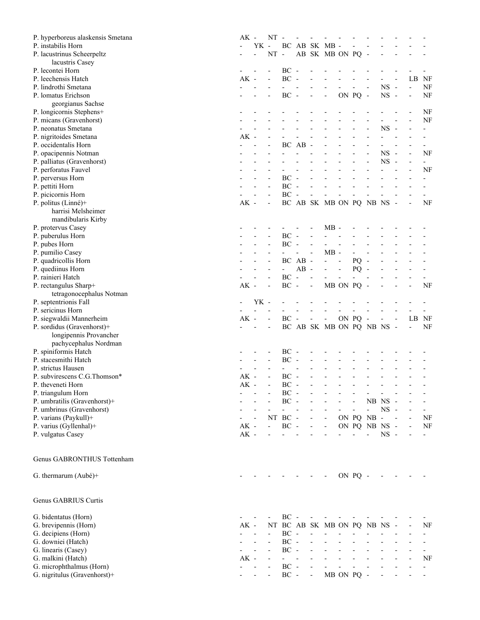| P. hyperboreus alaskensis Smetana                        | $AK -$ |                | NT                       |          |                          |                          |                              |                          |            |                          |               |                          |                          |                |
|----------------------------------------------------------|--------|----------------|--------------------------|----------|--------------------------|--------------------------|------------------------------|--------------------------|------------|--------------------------|---------------|--------------------------|--------------------------|----------------|
| P. instabilis Horn                                       |        | YK -           |                          |          |                          |                          | BC AB SK MB -                |                          |            |                          |               |                          |                          |                |
| P. lacustrinus Scheerpeltz                               |        | $\overline{a}$ | $NT -$                   |          |                          |                          | AB SK MB ON PQ -             |                          |            |                          |               |                          |                          |                |
| lacustris Casey                                          |        |                |                          |          |                          |                          |                              |                          |            |                          |               |                          |                          |                |
| P. lecontei Horn                                         |        |                |                          | $BC -$   |                          |                          |                              |                          |            |                          |               |                          |                          |                |
| P. leechensis Hatch                                      | $AK -$ |                |                          | $\rm BC$ | $\overline{\phantom{a}}$ |                          |                              |                          |            |                          |               |                          | LB NF                    |                |
|                                                          |        |                |                          |          |                          |                          |                              |                          |            |                          |               |                          |                          |                |
| P. lindrothi Smetana                                     |        |                |                          |          |                          |                          |                              |                          |            |                          | $NS -$        |                          | $\overline{a}$           | NF             |
| P. lomatus Erichson                                      |        |                |                          | $BC -$   |                          |                          |                              |                          | ON PQ -    |                          | $NS -$        |                          |                          | NF             |
| georgianus Sachse                                        |        |                |                          |          |                          |                          |                              |                          |            |                          |               |                          |                          |                |
| P. longicornis Stephens+                                 |        |                |                          |          |                          |                          |                              |                          |            |                          |               |                          |                          | NF             |
| P. micans (Gravenhorst)                                  |        |                |                          |          |                          |                          |                              |                          |            |                          |               |                          |                          | NF             |
| P. neonatus Smetana                                      |        |                |                          |          |                          |                          |                              |                          |            |                          | $_{\rm NS}$   |                          |                          |                |
| P. nigritoides Smetana                                   | $AK -$ |                |                          |          |                          |                          |                              |                          |            |                          |               |                          |                          |                |
| P. occidentalis Horn                                     |        |                |                          |          | BC AB                    | $\overline{\phantom{a}}$ |                              |                          |            |                          |               |                          |                          |                |
| P. opacipennis Notman                                    |        |                |                          |          |                          |                          |                              |                          |            |                          | <b>NS</b>     | $\overline{\phantom{a}}$ |                          | NF             |
|                                                          |        |                |                          |          |                          |                          |                              |                          |            |                          |               |                          |                          |                |
| P. palliatus (Gravenhorst)                               |        |                |                          |          |                          |                          |                              |                          |            |                          | $_{\rm NS}$   | $\overline{\phantom{a}}$ |                          |                |
| P. perforatus Fauvel                                     |        |                |                          |          |                          |                          |                              |                          |            |                          |               |                          |                          | NF             |
| P. perversus Horn                                        |        |                |                          | $BC -$   |                          |                          |                              |                          |            |                          |               |                          |                          | $\overline{a}$ |
| P. pettiti Horn                                          |        |                |                          | $BC -$   |                          |                          |                              |                          |            |                          |               |                          |                          |                |
| P. picicornis Horn                                       |        |                |                          | $BC -$   |                          |                          |                              |                          |            |                          |               |                          |                          |                |
| P. politus (Linné)+                                      | $AK -$ |                |                          |          |                          |                          | BC AB SK MB ON PQ NB NS -    |                          |            |                          |               |                          |                          | NF             |
| harrisi Melsheimer                                       |        |                |                          |          |                          |                          |                              |                          |            |                          |               |                          |                          |                |
| mandibularis Kirby                                       |        |                |                          |          |                          |                          |                              |                          |            |                          |               |                          |                          |                |
| P. protervus Casey                                       |        |                |                          |          |                          |                          | $MB -$                       |                          |            |                          |               |                          |                          |                |
| P. puberulus Horn                                        |        |                |                          | $BC -$   |                          |                          |                              |                          |            |                          |               |                          |                          |                |
|                                                          |        |                |                          |          |                          |                          |                              |                          |            |                          |               |                          |                          |                |
| P. pubes Horn                                            |        |                |                          | $BC -$   |                          |                          |                              |                          |            |                          |               |                          |                          |                |
| P. pumilio Casey                                         |        |                |                          |          |                          | $\overline{\phantom{a}}$ | $MB -$                       |                          |            |                          |               |                          |                          |                |
| P. quadricollis Horn                                     |        |                |                          |          | BC AB -                  |                          | $\overline{\phantom{a}}$     | $\overline{\phantom{a}}$ | $PQ -$     |                          |               |                          |                          |                |
| P. quediinus Horn                                        |        |                |                          |          | $AB -$                   |                          |                              |                          | PQ         |                          |               |                          |                          |                |
| P. rainieri Hatch                                        |        |                |                          | $BC -$   |                          | $\blacksquare$           |                              |                          |            |                          |               |                          |                          |                |
| P. rectangulus Sharp+                                    | $AK -$ |                | Ĭ.                       | $BC -$   |                          | $\blacksquare$           | MB ON PQ                     |                          |            | $\overline{\phantom{a}}$ |               |                          |                          | NF             |
| tetragonocephalus Notman                                 |        |                |                          |          |                          |                          |                              |                          |            |                          |               |                          |                          |                |
| P. septentrionis Fall                                    |        | $YK$ -         |                          |          |                          |                          |                              |                          |            |                          |               |                          |                          |                |
| P. sericinus Horn                                        |        |                |                          |          |                          |                          |                              |                          |            |                          |               |                          |                          |                |
|                                                          |        |                |                          | $BC -$   |                          |                          |                              |                          |            |                          |               |                          |                          |                |
|                                                          |        |                |                          |          |                          |                          |                              |                          |            |                          |               |                          |                          |                |
| P. siegwaldii Mannerheim                                 | $AK -$ |                |                          |          |                          | $\blacksquare$           | $\Box$                       |                          | ON PQ -    |                          | $\frac{1}{2}$ | $\mathbf{L}$             | LB NF                    |                |
| P. sordidus (Gravenhorst)+                               |        |                | $\overline{\phantom{a}}$ |          |                          |                          | BC AB SK MB ON PQ NB NS -    |                          |            |                          |               |                          | $\overline{\phantom{a}}$ | NF             |
| longipennis Provancher                                   |        |                |                          |          |                          |                          |                              |                          |            |                          |               |                          |                          |                |
| pachycephalus Nordman                                    |        |                |                          |          |                          |                          |                              |                          |            |                          |               |                          |                          |                |
| P. spiniformis Hatch                                     |        |                |                          | $BC -$   |                          |                          |                              |                          |            |                          |               |                          |                          |                |
|                                                          |        |                |                          |          | $\overline{\phantom{a}}$ |                          |                              |                          |            |                          |               |                          |                          |                |
| P. stacesmithi Hatch                                     |        |                |                          | $\rm BC$ |                          |                          |                              |                          |            |                          |               |                          |                          |                |
| P. strictus Hausen                                       |        |                |                          |          |                          |                          |                              |                          |            |                          |               |                          |                          |                |
| P. subvirescens C.G.Thomson*                             | $AK -$ |                |                          | $\rm BC$ | $\overline{\phantom{a}}$ |                          |                              |                          |            |                          |               |                          |                          |                |
| P. theveneti Horn                                        | AK     |                |                          | $\rm BC$ |                          |                          |                              |                          |            |                          |               |                          |                          |                |
| P. triangulum Horn                                       |        |                |                          | $BC -$   |                          |                          |                              |                          |            |                          |               |                          |                          |                |
| P. umbratilis (Gravenhorst)+                             |        |                |                          | $BC -$   |                          |                          |                              |                          |            | NB NS -                  |               |                          |                          |                |
| P. umbrinus (Gravenhorst)                                |        |                |                          |          |                          |                          |                              |                          |            | $\overline{a}$           | $NS -$        |                          |                          |                |
| P. varians (Paykull)+                                    |        |                |                          | NT BC -  |                          | $\blacksquare$           | $\overline{\phantom{a}}$     |                          |            | ON PQ NB -               |               |                          |                          | NF             |
| P. varius (Gyllenhal)+                                   | $AK -$ |                | $\overline{\phantom{a}}$ | $BC -$   |                          | $\blacksquare$           | $\overline{\phantom{a}}$     |                          |            | ON PQ NB NS -            |               |                          |                          | NF             |
|                                                          |        |                |                          |          |                          |                          |                              |                          | $\equiv$   | $\overline{\phantom{0}}$ | $NS -$        |                          |                          |                |
| P. vulgatus Casey                                        | $AK -$ |                |                          |          |                          |                          |                              |                          |            |                          |               |                          |                          |                |
|                                                          |        |                |                          |          |                          |                          |                              |                          |            |                          |               |                          |                          |                |
|                                                          |        |                |                          |          |                          |                          |                              |                          |            |                          |               |                          |                          |                |
| Genus GABRONTHUS Tottenham                               |        |                |                          |          |                          |                          |                              |                          |            |                          |               |                          |                          |                |
|                                                          |        |                |                          |          |                          |                          |                              |                          |            |                          |               |                          |                          |                |
| G. thermarum (Aubé)+                                     |        |                |                          |          |                          |                          |                              |                          | ON PQ -    |                          |               |                          |                          |                |
|                                                          |        |                |                          |          |                          |                          |                              |                          |            |                          |               |                          |                          |                |
|                                                          |        |                |                          |          |                          |                          |                              |                          |            |                          |               |                          |                          |                |
| Genus GABRIUS Curtis                                     |        |                |                          |          |                          |                          |                              |                          |            |                          |               |                          |                          |                |
|                                                          |        |                |                          |          |                          |                          |                              |                          |            |                          |               |                          |                          |                |
| G. bidentatus (Horn)                                     |        |                |                          | $BC -$   |                          |                          |                              |                          |            |                          |               |                          |                          |                |
| G. brevipennis (Horn)                                    | $AK -$ |                |                          |          |                          |                          | NT BC AB SK MB ON PQ NB NS - |                          |            |                          |               |                          |                          | NF             |
| G. decipiens (Horn)                                      |        |                | $\overline{\phantom{a}}$ | $BC -$   |                          |                          |                              |                          |            |                          |               |                          |                          |                |
| G. downiei (Hatch)                                       |        |                |                          | $BC -$   |                          |                          |                              |                          |            |                          |               |                          |                          |                |
| G. linearis (Casey)                                      |        |                |                          | $BC -$   |                          |                          |                              |                          |            |                          |               |                          |                          |                |
| G. malkini (Hatch)                                       | $AK -$ |                | $\overline{\phantom{a}}$ | $\sim$   |                          |                          |                              |                          |            |                          |               |                          |                          | NF             |
|                                                          |        |                |                          | $BC -$   |                          |                          |                              |                          |            |                          |               |                          |                          |                |
| G. microphthalmus (Horn)<br>G. nigritulus (Gravenhorst)+ |        |                |                          | $BC -$   |                          | $\overline{\phantom{a}}$ |                              |                          | MB ON PQ - |                          |               |                          |                          |                |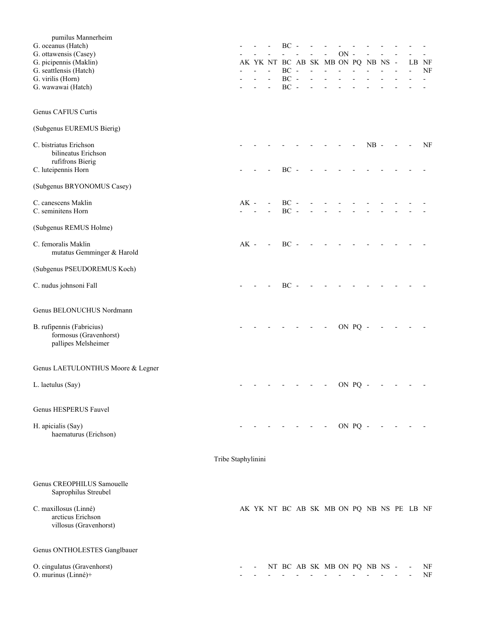| pumilus Mannerheim                                  |                    |        |                                                                                                                 |                      |                |                                    |        |         |               |  |                                           |    |
|-----------------------------------------------------|--------------------|--------|-----------------------------------------------------------------------------------------------------------------|----------------------|----------------|------------------------------------|--------|---------|---------------|--|-------------------------------------------|----|
| G. oceanus (Hatch)                                  |                    |        |                                                                                                                 | $BC -$               |                |                                    |        |         |               |  |                                           |    |
| G. ottawensis (Casey)                               |                    |        |                                                                                                                 |                      |                |                                    | $ON -$ |         |               |  |                                           |    |
| G. picipennis (Maklin)                              |                    |        |                                                                                                                 |                      |                | AK YK NT BC AB SK MB ON PQ NB NS - |        |         |               |  | LB NF                                     |    |
| G. seattlensis (Hatch)<br>G. virilis (Horn)         |                    |        |                                                                                                                 | $\rm BC$ -<br>$BC -$ | $\overline{a}$ | $\overline{a}$                     |        |         |               |  |                                           | NF |
| G. wawawai (Hatch)                                  |                    |        |                                                                                                                 | $BC -$               |                |                                    |        |         |               |  |                                           |    |
|                                                     |                    |        |                                                                                                                 |                      |                |                                    |        |         |               |  |                                           |    |
| Genus CAFIUS Curtis                                 |                    |        |                                                                                                                 |                      |                |                                    |        |         |               |  |                                           |    |
| (Subgenus EUREMUS Bierig)                           |                    |        |                                                                                                                 |                      |                |                                    |        |         |               |  |                                           |    |
| C. bistriatus Erichson                              |                    |        |                                                                                                                 |                      |                |                                    |        |         | $NB -$        |  |                                           | NF |
| bilineatus Erichson                                 |                    |        |                                                                                                                 |                      |                |                                    |        |         |               |  |                                           |    |
| rufifrons Bierig                                    |                    |        |                                                                                                                 |                      |                |                                    |        |         |               |  |                                           |    |
| C. luteipennis Horn                                 |                    |        |                                                                                                                 | $BC -$               |                |                                    |        |         |               |  |                                           |    |
| (Subgenus BRYONOMUS Casey)                          |                    |        |                                                                                                                 |                      |                |                                    |        |         |               |  |                                           |    |
| C. canescens Maklin                                 |                    | $AK -$ |                                                                                                                 | $BC -$               |                |                                    |        |         |               |  |                                           |    |
| C. seminitens Horn                                  |                    |        |                                                                                                                 | $BC -$               |                |                                    |        |         |               |  |                                           |    |
| (Subgenus REMUS Holme)                              |                    |        |                                                                                                                 |                      |                |                                    |        |         |               |  |                                           |    |
| C. femoralis Maklin                                 |                    | $AK -$ | $\blacksquare$                                                                                                  | $BC -$               |                |                                    |        |         |               |  |                                           |    |
| mutatus Gemminger & Harold                          |                    |        |                                                                                                                 |                      |                |                                    |        |         |               |  |                                           |    |
| (Subgenus PSEUDOREMUS Koch)                         |                    |        |                                                                                                                 |                      |                |                                    |        |         |               |  |                                           |    |
| C. nudus johnsoni Fall                              |                    |        |                                                                                                                 | $BC -$               |                |                                    |        |         |               |  |                                           |    |
| Genus BELONUCHUS Nordmann                           |                    |        |                                                                                                                 |                      |                |                                    |        |         |               |  |                                           |    |
| B. rufipennis (Fabricius)<br>formosus (Gravenhorst) |                    |        |                                                                                                                 |                      |                |                                    |        | ON PQ - |               |  |                                           |    |
| pallipes Melsheimer                                 |                    |        |                                                                                                                 |                      |                |                                    |        |         |               |  |                                           |    |
| Genus LAETULONTHUS Moore & Legner                   |                    |        |                                                                                                                 |                      |                |                                    |        |         |               |  |                                           |    |
| L. laetulus (Say)                                   |                    |        | the contract of the contract of the contract of the contract of the contract of the contract of the contract of |                      |                |                                    |        |         | ON $PQ - - -$ |  |                                           |    |
| Genus HESPERUS Fauvel                               |                    |        |                                                                                                                 |                      |                |                                    |        |         |               |  |                                           |    |
|                                                     |                    |        |                                                                                                                 |                      |                |                                    |        |         |               |  |                                           |    |
| H. apicialis (Say)<br>haematurus (Erichson)         |                    |        |                                                                                                                 |                      |                | $      0N$ PQ $-$                  |        |         |               |  |                                           |    |
|                                                     | Tribe Staphylinini |        |                                                                                                                 |                      |                |                                    |        |         |               |  |                                           |    |
|                                                     |                    |        |                                                                                                                 |                      |                |                                    |        |         |               |  |                                           |    |
| Genus CREOPHILUS Samouelle<br>Saprophilus Streubel  |                    |        |                                                                                                                 |                      |                |                                    |        |         |               |  |                                           |    |
| C. maxillosus (Linné)                               |                    |        |                                                                                                                 |                      |                |                                    |        |         |               |  | AK YK NT BC AB SK MB ON PQ NB NS PE LB NF |    |
| arcticus Erichson                                   |                    |        |                                                                                                                 |                      |                |                                    |        |         |               |  |                                           |    |
| villosus (Gravenhorst)                              |                    |        |                                                                                                                 |                      |                |                                    |        |         |               |  |                                           |    |
| Genus ONTHOLESTES Ganglbauer                        |                    |        |                                                                                                                 |                      |                |                                    |        |         |               |  |                                           |    |
| O. cingulatus (Gravenhorst)                         |                    |        |                                                                                                                 |                      |                | NT BC AB SK MB ON PQ NB NS -       |        |         |               |  |                                           | NF |
| O. murinus (Linné)+                                 |                    |        |                                                                                                                 |                      |                |                                    |        |         |               |  |                                           | NF |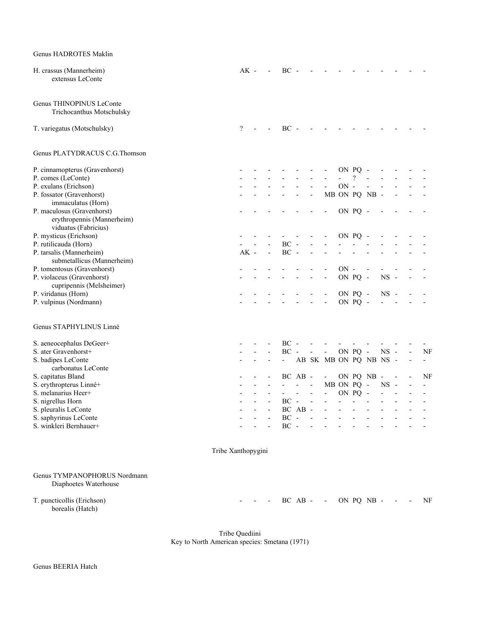| Genus HADROTES Maklin                                  |                    |                          |                |                |                          |                          |                          |            |                          |                          |                |                          |                              |
|--------------------------------------------------------|--------------------|--------------------------|----------------|----------------|--------------------------|--------------------------|--------------------------|------------|--------------------------|--------------------------|----------------|--------------------------|------------------------------|
| H. crassus (Mannerheim)<br>extensus LeConte            |                    | $AK -$                   |                | $BC -$         |                          |                          |                          |            |                          |                          |                |                          |                              |
| Genus THINOPINUS LeConte<br>Trichocanthus Motschulsky  |                    |                          |                |                |                          |                          |                          |            |                          |                          |                |                          |                              |
| T. variegatus (Motschulsky)                            |                    | $\overline{\mathcal{L}}$ |                | $BC -$         |                          |                          |                          |            |                          |                          |                |                          |                              |
| Genus PLATYDRACUS C.G.Thomson                          |                    |                          |                |                |                          |                          |                          |            |                          |                          |                |                          |                              |
| P. cinnamopterus (Gravenhorst)                         |                    |                          |                |                |                          |                          |                          |            | ON PQ -                  |                          |                |                          |                              |
| P. comes (LeConte)                                     |                    |                          |                |                |                          |                          |                          |            | $\overline{\mathcal{L}}$ |                          |                |                          |                              |
| P. exulans (Erichson)                                  |                    |                          |                |                |                          |                          |                          | $ON -$     |                          |                          |                |                          |                              |
| P. fossator (Gravenhorst)                              |                    |                          |                |                |                          | $\overline{\phantom{a}}$ |                          |            |                          | MB ON PQ NB -            |                |                          |                              |
| immaculatus (Horn)                                     |                    |                          |                |                |                          |                          |                          |            |                          |                          |                |                          |                              |
| P. maculosus (Gravenhorst)                             |                    |                          |                |                |                          |                          |                          |            | ON PQ -                  |                          |                |                          |                              |
| erythropennis (Mannerheim)                             |                    |                          |                |                |                          |                          |                          |            |                          |                          |                |                          |                              |
| viduatus (Fabricius)                                   |                    |                          |                |                |                          |                          |                          |            |                          |                          |                |                          |                              |
| P. mysticus (Erichson)                                 |                    |                          |                |                |                          |                          |                          |            | ON PQ -                  |                          |                |                          |                              |
| P. rutilicauda (Horn)                                  |                    |                          |                | $BC -$         |                          |                          |                          |            |                          |                          |                |                          |                              |
| P. tarsalis (Mannerheim)                               |                    | $AK -$                   | $\overline{a}$ | $BC -$         |                          |                          |                          |            |                          |                          |                |                          |                              |
| submetallicus (Mannerheim)                             |                    |                          |                |                |                          |                          |                          |            |                          |                          |                |                          |                              |
| P. tomentosus (Gravenhorst)                            |                    |                          |                |                |                          |                          |                          | $ON -$     |                          |                          |                |                          |                              |
| P. violaceus (Gravenhorst)<br>cupripennis (Melsheimer) |                    |                          |                |                |                          |                          |                          |            | ON PQ -                  |                          | $NS -$         |                          |                              |
| P. viridanus (Horn)                                    |                    |                          |                |                |                          |                          |                          |            | ON PQ -                  |                          | $NS -$         |                          |                              |
| P. vulpinus (Nordmann)                                 |                    |                          |                |                |                          |                          | $\blacksquare$           |            | ON PQ -                  |                          |                |                          |                              |
| Genus STAPHYLINUS Linné                                |                    |                          |                |                |                          |                          |                          |            |                          |                          |                |                          |                              |
| S. aeneocephalus DeGeer+                               |                    |                          |                | $BC -$         |                          |                          |                          |            |                          |                          |                |                          |                              |
| S. ater Gravenhorst+                                   |                    |                          |                | $BC -$         |                          | $\overline{\phantom{a}}$ | $\blacksquare$           |            | ON PQ -                  |                          | $NS -$         |                          | NF                           |
| S. badipes LeConte                                     |                    |                          |                | $\sim 10$      |                          |                          | AB SK MB ON PQ NB NS -   |            |                          |                          |                |                          | $\overline{\phantom{a}}$     |
| carbonatus LeConte                                     |                    |                          |                |                |                          |                          |                          |            |                          |                          |                |                          |                              |
| S. capitatus Bland                                     |                    |                          |                |                | BC AB -                  |                          | $\overline{\phantom{a}}$ |            |                          | ON PQ NB -               |                |                          | NF                           |
| S. erythropterus Linné+                                |                    |                          |                |                | $\overline{\phantom{a}}$ | $\overline{\phantom{a}}$ |                          | MB ON PQ - |                          |                          | $_{\rm NS}$    | $\overline{\phantom{a}}$ | $\qquad \qquad \blacksquare$ |
| S. melanarius Heer+                                    |                    |                          | $\overline{a}$ | $\blacksquare$ | $\sim 100$               | $\overline{\phantom{a}}$ | $\overline{\phantom{a}}$ |            | ON PQ                    | $\overline{\phantom{a}}$ | $\overline{a}$ | $\overline{\phantom{a}}$ | $\qquad \qquad \blacksquare$ |
| S. nigrellus Horn                                      |                    |                          |                | BC             |                          |                          |                          |            |                          |                          |                |                          |                              |
| S. pleuralis LeConte                                   |                    |                          |                |                | BC AB -                  |                          |                          |            |                          |                          |                |                          |                              |
| S. saphyrinus LeConte                                  |                    |                          |                | $BC -$         |                          |                          |                          |            |                          |                          |                |                          |                              |
| S. winkleri Bernhauer+                                 |                    |                          |                | $BC -$         |                          | ÷,                       |                          |            |                          |                          |                |                          |                              |
|                                                        | Tribe Xanthopygini |                          |                |                |                          |                          |                          |            |                          |                          |                |                          |                              |
| Genus TYMPANOPHORUS Nordmann<br>Diaphoetes Waterhouse  |                    |                          |                |                |                          |                          |                          |            |                          |                          |                |                          |                              |
| T. puncticollis (Erichson)<br>borealis (Hatch)         |                    |                          |                |                |                          |                          | $BC AB - -$              |            |                          | ON PQ NB -               |                |                          | NF                           |

 Tribe Quediini Key to North American species: Smetana (1971)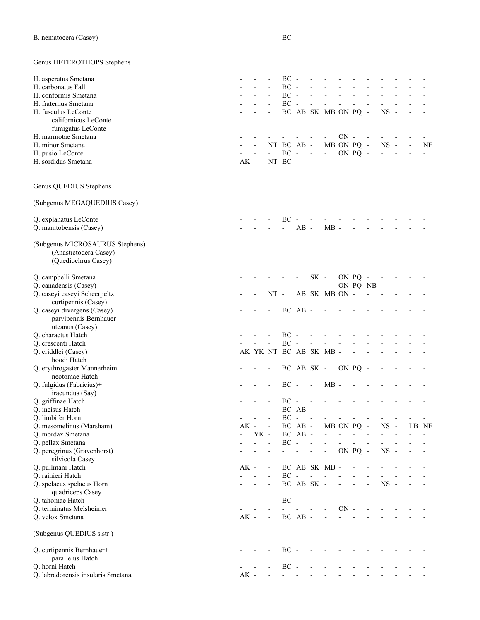| B. nematocera (Casey)                                                           |                |      |                          | $BC -$         |                          |                          |                             |          |         |                          |             |                          |                          |    |
|---------------------------------------------------------------------------------|----------------|------|--------------------------|----------------|--------------------------|--------------------------|-----------------------------|----------|---------|--------------------------|-------------|--------------------------|--------------------------|----|
| Genus HETEROTHOPS Stephens                                                      |                |      |                          |                |                          |                          |                             |          |         |                          |             |                          |                          |    |
| H. asperatus Smetana                                                            |                |      |                          | $BC -$         |                          |                          |                             |          |         |                          |             |                          |                          |    |
| H. carbonatus Fall                                                              |                |      |                          | $BC -$         |                          |                          |                             |          |         |                          |             |                          |                          |    |
| H. conformis Smetana                                                            |                |      |                          | $BC -$         |                          |                          |                             |          |         |                          |             |                          |                          |    |
| H. fraternus Smetana                                                            |                |      |                          | $BC -$         |                          | $\overline{\phantom{0}}$ |                             |          |         |                          |             |                          |                          |    |
| H. fusculus LeConte                                                             |                |      |                          |                |                          |                          | BC AB SK MB ON PQ -         |          |         |                          | <b>NS</b>   |                          |                          |    |
| californicus LeConte                                                            |                |      |                          |                |                          |                          |                             |          |         |                          |             |                          |                          |    |
| fumigatus LeConte<br>H. marmotae Smetana                                        |                |      |                          |                |                          |                          |                             | $ON -$   |         |                          |             |                          |                          |    |
| H. minor Smetana                                                                |                |      |                          | NT BC AB -     |                          |                          | MB ON PQ -                  |          |         |                          | $NS -$      |                          | $\overline{\phantom{a}}$ | NF |
| H. pusio LeConte                                                                |                |      |                          | $\rm BC$ -     |                          | $\blacksquare$           | $\mathcal{L}_{\mathcal{A}}$ |          | ON PQ - |                          |             |                          |                          |    |
| H. sordidus Smetana                                                             | $AK -$         |      |                          | NT BC -        |                          |                          |                             |          |         |                          |             |                          |                          |    |
| Genus QUEDIUS Stephens                                                          |                |      |                          |                |                          |                          |                             |          |         |                          |             |                          |                          |    |
| (Subgenus MEGAQUEDIUS Casey)                                                    |                |      |                          |                |                          |                          |                             |          |         |                          |             |                          |                          |    |
|                                                                                 |                |      |                          |                |                          |                          |                             |          |         |                          |             |                          |                          |    |
| Q. explanatus LeConte                                                           |                |      |                          | BC             |                          |                          |                             |          |         |                          |             |                          |                          |    |
| Q. manitobensis (Casey)                                                         |                |      |                          | $\overline{a}$ | $AB -$                   |                          | $MB -$                      |          |         |                          |             |                          |                          |    |
| (Subgenus MICROSAURUS Stephens)<br>(Anastictodera Casey)<br>(Quediochrus Casey) |                |      |                          |                |                          |                          |                             |          |         |                          |             |                          |                          |    |
|                                                                                 |                |      |                          |                |                          |                          |                             |          |         |                          |             |                          |                          |    |
| Q. campbelli Smetana                                                            |                |      |                          |                |                          | $SK -$                   |                             |          | ON PQ - |                          |             |                          |                          |    |
| Q. canadensis (Casey)<br>Q. caseyi caseyi Scheerpeltz                           |                |      | $NT -$                   |                |                          |                          | AB SK MB ON -               |          |         | ON PQ NB -               |             |                          |                          |    |
| curtipennis (Casey)                                                             |                |      |                          |                |                          |                          |                             |          |         |                          |             |                          |                          |    |
| Q. caseyi divergens (Casey)                                                     |                |      |                          |                | BC AB -                  |                          |                             |          |         |                          |             |                          |                          |    |
| parvipennis Bernhauer                                                           |                |      |                          |                |                          |                          |                             |          |         |                          |             |                          |                          |    |
| uteanus (Casey)                                                                 |                |      |                          |                |                          |                          |                             |          |         |                          |             |                          |                          |    |
| Q. charactus Hatch                                                              |                |      |                          | $BC -$         |                          |                          |                             |          |         |                          |             |                          |                          |    |
| Q. crescenti Hatch                                                              |                |      | $\frac{1}{2}$            | $BC -$         |                          | $\overline{\phantom{a}}$ |                             |          |         |                          |             |                          |                          |    |
| Q. criddlei (Casey)<br>hoodi Hatch                                              |                |      |                          |                |                          |                          | AK YK NT BC AB SK MB -      |          |         |                          |             |                          |                          |    |
| Q. erythrogaster Mannerheim                                                     |                |      |                          |                |                          | BC AB SK -               |                             | ON PQ    |         |                          |             |                          |                          |    |
| neotomae Hatch                                                                  |                |      |                          |                |                          |                          |                             |          |         |                          |             |                          |                          |    |
| Q. fulgidus (Fabricius)+                                                        |                |      |                          | BС             | $\overline{\phantom{a}}$ | $\overline{a}$           | $MB -$                      |          |         |                          |             |                          |                          |    |
| iracundus (Say)                                                                 |                |      |                          |                |                          |                          |                             |          |         |                          |             |                          |                          |    |
| Q. griffinae Hatch                                                              |                |      |                          | $BC -$         |                          |                          |                             |          |         |                          |             |                          |                          |    |
| Q. incisus Hatch                                                                |                |      |                          | $BC -$         | BC AB -                  |                          |                             |          |         |                          |             |                          |                          |    |
| Q. limbifer Horn<br>Q. mesomelinus (Marsham)                                    | $AK$ -         |      |                          |                | BC AB -                  | $\sim$                   |                             | MB ON PQ |         | $\overline{\phantom{a}}$ | <b>NS</b>   | $\overline{\phantom{a}}$ | LB NF                    |    |
| Q. mordax Smetana                                                               | $\overline{a}$ | YK - |                          |                | BC AB -                  |                          |                             |          |         |                          |             |                          |                          |    |
| Q. pellax Smetana                                                               |                |      |                          | $\rm BC$ -     |                          | $\overline{a}$           |                             |          |         |                          |             |                          |                          |    |
| Q. peregrinus (Gravenhorst)<br>silvicola Casey                                  |                |      |                          |                |                          | $\overline{a}$           | $\overline{\phantom{a}}$    |          | ON PQ - |                          | $_{\rm NS}$ | $\overline{\phantom{a}}$ |                          |    |
| Q. pullmani Hatch                                                               | $AK -$         |      | $\overline{\phantom{0}}$ |                |                          |                          | BC AB SK MB -               |          |         |                          |             |                          |                          |    |
| Q. rainieri Hatch                                                               |                |      |                          | $BC -$         |                          |                          |                             |          |         |                          |             |                          |                          |    |
| Q. spelaeus spelaeus Horn<br>quadriceps Casey                                   |                |      | $\blacksquare$           |                |                          | BC AB SK -               |                             |          |         |                          | $_{\rm NS}$ |                          |                          |    |
| Q. tahomae Hatch                                                                |                |      |                          | $BC -$         |                          |                          |                             |          |         |                          |             |                          |                          |    |
| Q. terminatus Melsheimer<br>Q. velox Smetana                                    | $AK -$         |      | $\blacksquare$           |                | BC AB -                  |                          |                             | $ON -$   |         |                          |             |                          |                          |    |
| (Subgenus QUEDIUS s.str.)                                                       |                |      |                          |                |                          |                          |                             |          |         |                          |             |                          |                          |    |
|                                                                                 |                |      |                          |                |                          |                          |                             |          |         |                          |             |                          |                          |    |
| Q. curtipennis Bernhauer+                                                       |                |      |                          | $BC -$         |                          |                          |                             |          |         |                          |             |                          |                          |    |
| parallelus Hatch<br>Q. horni Hatch                                              |                |      |                          | $BC -$         |                          |                          |                             |          |         |                          |             |                          |                          |    |
| Q. labradorensis insularis Smetana                                              | $AK -$         |      |                          |                |                          |                          |                             |          |         |                          |             |                          |                          |    |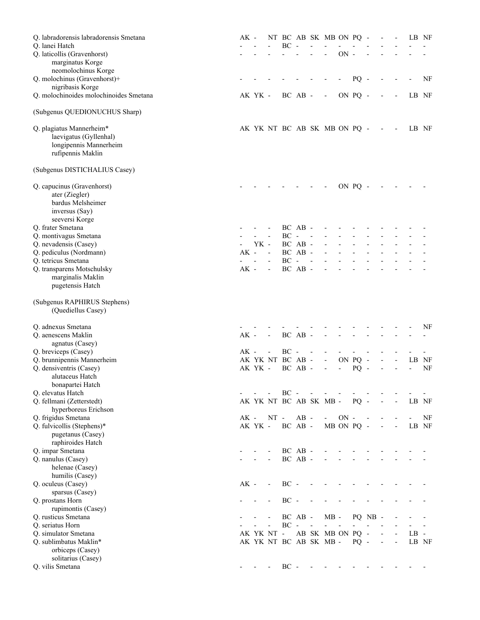| Q. labradorensis labradorensis Smetana<br>Q. lanei Hatch                                              | AK -   |                  |                          | BC     | $\sim$  |                          | NT BC AB SK MB ON PQ -         |            |            |         | $\overline{\phantom{a}}$ |                          | LB NF  |    |
|-------------------------------------------------------------------------------------------------------|--------|------------------|--------------------------|--------|---------|--------------------------|--------------------------------|------------|------------|---------|--------------------------|--------------------------|--------|----|
| Q. laticollis (Gravenhorst)<br>marginatus Korge                                                       |        |                  |                          |        |         |                          | $\overline{a}$                 | $ON -$     |            |         |                          |                          |        |    |
| neomolochinus Korge<br>Q. molochinus (Gravenhorst)+                                                   |        |                  |                          |        |         |                          |                                |            | $PQ -$     |         |                          |                          |        | NF |
| nigribasis Korge                                                                                      |        |                  |                          |        |         |                          |                                |            |            |         |                          |                          |        |    |
| Q. molochinoides molochinoides Smetana                                                                |        | AK YK -          |                          |        | BC AB - |                          | $\overline{\phantom{a}}$       |            | ON PQ -    |         |                          | $\overline{\phantom{a}}$ | LB NF  |    |
| (Subgenus QUEDIONUCHUS Sharp)                                                                         |        |                  |                          |        |         |                          |                                |            |            |         |                          |                          |        |    |
| Q. plagiatus Mannerheim*<br>laevigatus (Gyllenhal)<br>longipennis Mannerheim<br>rufipennis Maklin     |        |                  |                          |        |         |                          | AK YK NT BC AB SK MB ON PQ - - |            |            |         |                          | $\overline{\phantom{a}}$ | LB NF  |    |
| (Subgenus DISTICHALIUS Casey)                                                                         |        |                  |                          |        |         |                          |                                |            |            |         |                          |                          |        |    |
| Q. capucinus (Gravenhorst)<br>ater (Ziegler)<br>bardus Melsheimer<br>inversus (Say)<br>seeversi Korge |        |                  |                          |        |         |                          |                                |            | ON PQ -    |         |                          |                          |        |    |
| Q. frater Smetana                                                                                     |        |                  |                          |        | BC AB - |                          |                                |            |            |         |                          |                          |        |    |
| Q. montivagus Smetana                                                                                 |        | YK -             |                          | $BC -$ | BC AB - | $\sim$ $-$               |                                |            |            |         |                          |                          |        |    |
| Q. nevadensis (Casey)<br>Q. pediculus (Nordmann)                                                      | $AK -$ |                  | $\sim$                   |        | BC AB - |                          |                                |            |            |         |                          |                          |        |    |
| Q. tetricus Smetana                                                                                   |        | $\overline{a}$   | $\Box$                   | $BC -$ |         | $\overline{\phantom{a}}$ |                                |            |            |         |                          |                          |        |    |
| Q. transparens Motschulsky<br>marginalis Maklin<br>pugetensis Hatch                                   | $AK -$ |                  | $\overline{\phantom{a}}$ |        | BC AB - |                          |                                |            |            |         |                          |                          |        |    |
| (Subgenus RAPHIRUS Stephens)<br>(Quediellus Casey)                                                    |        |                  |                          |        |         |                          |                                |            |            |         |                          |                          |        |    |
| Q. adnexus Smetana                                                                                    |        |                  |                          |        |         |                          |                                |            |            |         |                          |                          |        | NF |
| Q. aenescens Maklin<br>agnatus (Casey)                                                                | $AK -$ |                  | $\overline{\phantom{a}}$ |        | BC AB - |                          |                                |            |            |         |                          |                          |        |    |
| Q. breviceps (Casey)                                                                                  | $AK -$ |                  |                          | BC     |         |                          |                                |            |            |         |                          |                          |        |    |
| Q. brunnipennis Mannerheim                                                                            |        | AK YK NT BC AB - |                          |        |         |                          | $\overline{\phantom{a}}$       |            | ON PQ -    |         |                          | $\overline{\phantom{a}}$ | LB NF  |    |
| Q. densiventris (Casey)<br>alutaceus Hatch<br>bonapartei Hatch                                        |        | AK YK -          |                          |        | BC AB - |                          |                                |            | PQ         |         |                          |                          |        | NF |
| Q. elevatus Hatch                                                                                     |        |                  |                          | $BC -$ |         |                          |                                |            |            |         |                          |                          |        |    |
| Q. fellmani (Zetterstedt)<br>hyperboreus Erichson                                                     |        |                  |                          |        |         |                          | AK YK NT BC AB SK MB -         |            | $PQ -$     |         |                          | $\overline{\phantom{a}}$ | LB NF  |    |
| Q. frigidus Smetana                                                                                   | $AK -$ |                  | $NT -$                   |        | $AB -$  |                          |                                | $\rm ON$ - |            |         |                          |                          |        | NF |
| Q. fulvicollis (Stephens)*<br>pugetanus (Casey)<br>raphiroides Hatch                                  |        | AK YK -          |                          |        | BC AB - |                          |                                |            | MB ON PQ - |         |                          | $\overline{\phantom{a}}$ | LB NF  |    |
| Q. impar Smetana                                                                                      |        |                  |                          |        | BC AB - |                          |                                |            |            |         |                          |                          |        |    |
| Q. nanulus (Casey)                                                                                    |        |                  |                          |        | BC AB - |                          |                                |            |            |         |                          |                          |        |    |
| helenae (Casey)                                                                                       |        |                  |                          |        |         |                          |                                |            |            |         |                          |                          |        |    |
| humilis (Casey)<br>Q. oculeus (Casey)                                                                 | $AK -$ |                  | $\overline{\phantom{a}}$ | $BC -$ |         |                          |                                |            |            |         |                          |                          |        |    |
| sparsus (Casey)                                                                                       |        |                  |                          |        |         |                          |                                |            |            |         |                          |                          |        |    |
| Q. prostans Horn                                                                                      |        |                  |                          | $BC -$ |         |                          |                                |            |            |         |                          |                          |        |    |
| rupimontis (Casey)                                                                                    |        |                  |                          |        |         |                          |                                |            |            |         |                          |                          |        |    |
| Q. rusticus Smetana<br>Q. seriatus Horn                                                               |        |                  |                          | $BC -$ | BC AB - |                          | $MB -$                         |            |            | PQ NB - |                          |                          |        |    |
| Q. simulator Smetana                                                                                  |        | AK YK NT -       |                          |        |         |                          | AB SK MB ON                    |            | $PQ -$     |         |                          |                          | $LB -$ |    |
| Q. sublimbatus Maklin*                                                                                |        |                  |                          |        |         |                          | AK YK NT BC AB SK MB -         |            | $PQ -$     |         | $\frac{1}{2}$            | $\overline{\phantom{a}}$ | LB NF  |    |
| orbiceps (Casey)                                                                                      |        |                  |                          |        |         |                          |                                |            |            |         |                          |                          |        |    |
| solitarius (Casey)<br>Q. vilis Smetana                                                                |        |                  |                          | $BC -$ |         |                          |                                |            |            |         |                          |                          |        |    |
|                                                                                                       |        |                  |                          |        |         |                          |                                |            |            |         |                          |                          |        |    |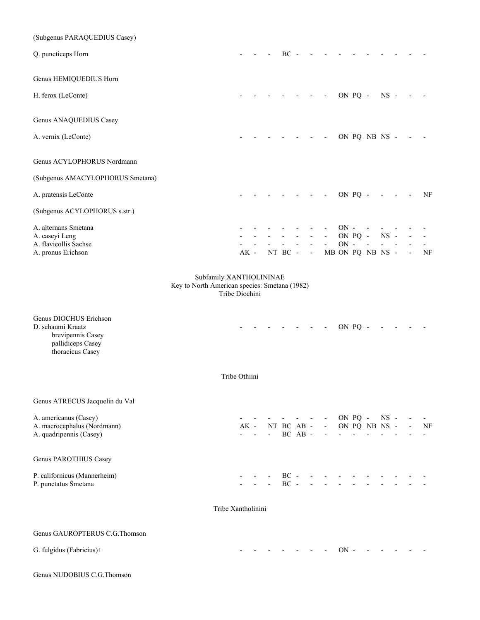| (Subgenus PARAQUEDIUS Casey)                                                                              |                                                                 |        |              |                     |         |                    |                          |                                                                |            |                |                  |        |                          |                          |
|-----------------------------------------------------------------------------------------------------------|-----------------------------------------------------------------|--------|--------------|---------------------|---------|--------------------|--------------------------|----------------------------------------------------------------|------------|----------------|------------------|--------|--------------------------|--------------------------|
| Q. puncticeps Horn                                                                                        |                                                                 |        |              |                     | $BC -$  |                    |                          |                                                                |            |                |                  |        |                          |                          |
| Genus HEMIQUEDIUS Horn                                                                                    |                                                                 |        |              |                     |         |                    |                          |                                                                |            |                |                  |        |                          |                          |
| H. ferox (LeConte)                                                                                        |                                                                 |        |              |                     |         |                    | $\overline{\phantom{a}}$ | $\overline{\phantom{a}}$                                       | ON PQ -    |                |                  | $NS -$ |                          |                          |
| Genus ANAQUEDIUS Casey                                                                                    |                                                                 |        |              |                     |         |                    |                          |                                                                |            |                |                  |        |                          |                          |
| A. vernix (LeConte)                                                                                       |                                                                 |        |              |                     |         |                    |                          |                                                                |            |                | ON PQ NB NS -    |        |                          |                          |
| Genus ACYLOPHORUS Nordmann                                                                                |                                                                 |        |              |                     |         |                    |                          |                                                                |            |                |                  |        |                          |                          |
| (Subgenus AMACYLOPHORUS Smetana)                                                                          |                                                                 |        |              |                     |         |                    |                          |                                                                |            |                |                  |        |                          |                          |
| A. pratensis LeConte                                                                                      |                                                                 |        |              |                     |         | $\sim$ $-$         |                          | $\qquad \qquad \blacksquare$                                   |            | ON PQ -        |                  |        | $\overline{\phantom{a}}$ | NF                       |
| (Subgenus ACYLOPHORUS s.str.)                                                                             |                                                                 |        |              |                     |         |                    |                          |                                                                |            |                |                  |        |                          |                          |
| A. alternans Smetana                                                                                      |                                                                 |        |              |                     |         |                    |                          |                                                                | $ON -$     |                |                  |        |                          |                          |
| A. caseyi Leng<br>A. flavicollis Sachse                                                                   |                                                                 |        |              |                     |         |                    |                          | $\overline{\phantom{a}}$                                       | $\rm ON$ - | ON PQ -        |                  | $NS -$ |                          |                          |
| A. pronus Erichson                                                                                        |                                                                 | $AK -$ |              |                     | NT BC - |                    | $\overline{\phantom{a}}$ |                                                                |            |                | MB ON PQ NB NS - |        |                          | NF                       |
| Genus DIOCHUS Erichson<br>D. schaumi Kraatz<br>brevipennis Casey<br>pallidiceps Casey<br>thoracicus Casey | Key to North American species: Smetana (1982)<br>Tribe Diochini |        |              |                     |         |                    | $\overline{\phantom{a}}$ | $\overline{\phantom{a}}$                                       |            | ON PQ -        |                  |        |                          |                          |
|                                                                                                           | Tribe Othiini                                                   |        |              |                     |         |                    |                          |                                                                |            |                |                  |        |                          |                          |
| Genus ATRECUS Jacquelin du Val                                                                            |                                                                 |        |              |                     |         |                    |                          |                                                                |            |                |                  |        |                          |                          |
| A. americanus (Casey)<br>A. macrocephalus (Nordmann)                                                      |                                                                 |        | $AK -$       |                     |         |                    |                          | $- - - - - - \cdot ON PQ - NS -$<br>NT BC AB - - ON PQ NB NS - |            |                |                  |        |                          | NF                       |
| A. quadripennis (Casey)                                                                                   |                                                                 |        | $\mathbf{r}$ | $\omega_{\rm{max}}$ |         | BC AB -            |                          | $\blacksquare$                                                 |            | $\blacksquare$ |                  |        |                          | $\overline{\phantom{0}}$ |
| Genus PAROTHIUS Casey                                                                                     |                                                                 |        |              |                     |         |                    |                          |                                                                |            |                |                  |        |                          |                          |
| P. californicus (Mannerheim)<br>P. punctatus Smetana                                                      |                                                                 |        |              |                     | $BC -$  |                    |                          | $BC - - -$                                                     |            |                |                  |        |                          |                          |
|                                                                                                           | Tribe Xantholinini                                              |        |              |                     |         |                    |                          |                                                                |            |                |                  |        |                          |                          |
| Genus GAUROPTERUS C.G.Thomson                                                                             |                                                                 |        |              |                     |         |                    |                          |                                                                |            |                |                  |        |                          |                          |
| G. fulgidus (Fabricius)+                                                                                  |                                                                 |        |              |                     |         | the company of the |                          |                                                                | $ON -$     |                |                  |        |                          |                          |

Genus NUDOBIUS C.G.Thomson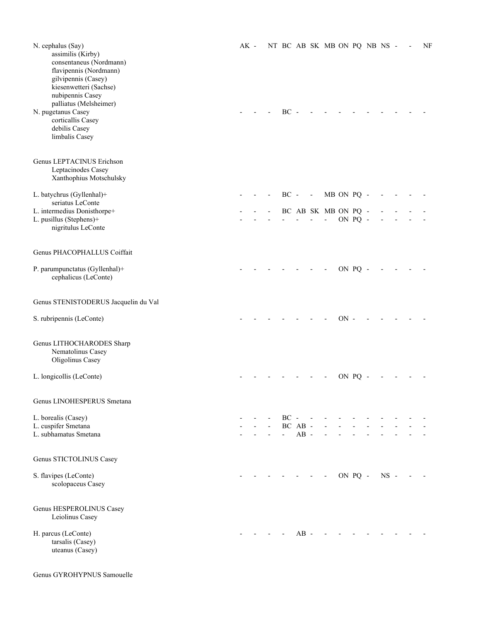| N. cephalus (Say)<br>assimilis (Kirby)<br>consentaneus (Nordmann)<br>flavipennis (Nordmann)<br>gilvipennis (Casey)<br>kiesenwetteri (Sachse)<br>nubipennis Casey<br>palliatus (Melsheimer)<br>N. pugetanus Casey<br>corticallis Casey<br>debilis Casey<br>limbalis Casey<br>Genus LEPTACINUS Erichson | $AK -$ |  | $BC -$                        |        |                          | NT BC AB SK MB ON PQ NB NS - |      |         |              |  | NF |
|-------------------------------------------------------------------------------------------------------------------------------------------------------------------------------------------------------------------------------------------------------------------------------------------------------|--------|--|-------------------------------|--------|--------------------------|------------------------------|------|---------|--------------|--|----|
| Leptacinodes Casey<br>Xanthophius Motschulsky                                                                                                                                                                                                                                                         |        |  |                               |        |                          |                              |      |         |              |  |    |
| L. batychrus (Gyllenhal)+<br>seriatus LeConte                                                                                                                                                                                                                                                         |        |  | $BC -$                        |        | $\overline{\phantom{a}}$ | MB ON PQ -                   |      |         |              |  |    |
| L. intermedius Donisthorpe+                                                                                                                                                                                                                                                                           |        |  |                               |        |                          | BC AB SK MB ON PQ -          |      |         |              |  |    |
| L. pusillus (Stephens)+<br>nigritulus LeConte                                                                                                                                                                                                                                                         |        |  |                               |        |                          | $\overline{a}$               |      | ON PQ - |              |  |    |
| Genus PHACOPHALLUS Coiffait                                                                                                                                                                                                                                                                           |        |  |                               |        |                          |                              |      |         |              |  |    |
| P. parumpunctatus (Gyllenhal)+<br>cephalicus (LeConte)                                                                                                                                                                                                                                                |        |  |                               |        |                          |                              |      | ON PQ - |              |  |    |
| Genus STENISTODERUS Jacquelin du Val                                                                                                                                                                                                                                                                  |        |  |                               |        |                          |                              |      |         |              |  |    |
| S. rubripennis (LeConte)                                                                                                                                                                                                                                                                              |        |  |                               |        |                          |                              | ON - |         |              |  |    |
| Genus LITHOCHARODES Sharp<br>Nematolinus Casey<br>Oligolinus Casey                                                                                                                                                                                                                                    |        |  |                               |        |                          |                              |      |         |              |  |    |
| L. longicollis (LeConte)                                                                                                                                                                                                                                                                              |        |  |                               |        |                          |                              |      | ON PQ   |              |  |    |
| Genus LINOHESPERUS Smetana                                                                                                                                                                                                                                                                            |        |  |                               |        |                          |                              |      |         |              |  |    |
| L. borealis (Casey)                                                                                                                                                                                                                                                                                   |        |  | $BC -$                        |        |                          |                              |      |         |              |  |    |
| L. cuspifer Smetana<br>L. subhamatus Smetana                                                                                                                                                                                                                                                          |        |  | BC AB -<br>$\Delta \sim 10^4$ | $AB -$ |                          |                              |      |         |              |  |    |
| Genus STICTOLINUS Casey                                                                                                                                                                                                                                                                               |        |  |                               |        |                          |                              |      |         |              |  |    |
| S. flavipes (LeConte)<br>scolopaceus Casey                                                                                                                                                                                                                                                            |        |  |                               |        | $\overline{\phantom{a}}$ | $\overline{\phantom{a}}$     |      |         | ON PQ - NS - |  |    |
| Genus HESPEROLINUS Casey<br>Leiolinus Casey                                                                                                                                                                                                                                                           |        |  |                               |        |                          |                              |      |         |              |  |    |
| H. parcus (LeConte)<br>tarsalis (Casey)<br>uteanus (Casey)                                                                                                                                                                                                                                            |        |  |                               | $AB -$ |                          |                              |      |         |              |  |    |

Genus GYROHYPNUS Samouelle